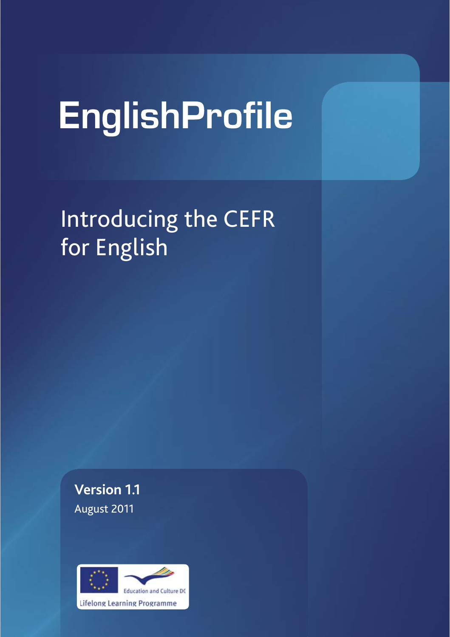# EnglishProfile

Introducing the CEFR for English

**Version 1.1** August 2011

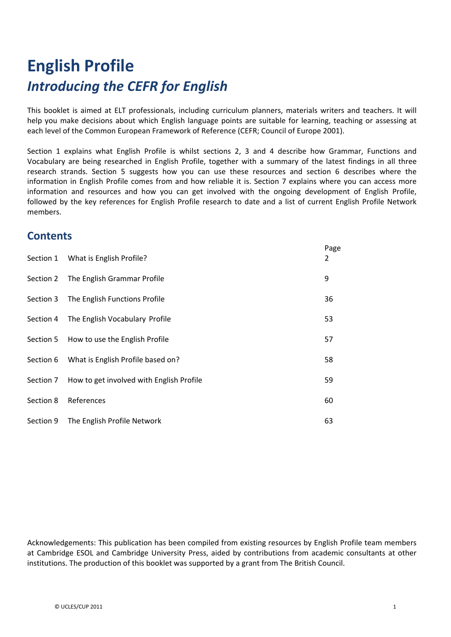# **English Profile** *Introducing the CEFR for English*

This booklet is aimed at ELT professionals, including curriculum planners, materials writers and teachers. It will help you make decisions about which English language points are suitable for learning, teaching or assessing at each level of the Common European Framework of Reference (CEFR; Council of Europe 2001).

Section 1 explains what English Profile is whilst sections 2, 3 and 4 describe how Grammar, Functions and Vocabulary are being researched in English Profile, together with a summary of the latest findings in all three research strands. Section 5 suggests how you can use these resources and section 6 describes where the information in English Profile comes from and how reliable it is. Section 7 explains where you can access more information and resources and how you can get involved with the ongoing development of English Profile, followed by the key references for English Profile research to date and a list of current English Profile Network members.

# **Contents**

|           | Section 1 What is English Profile?       | Page<br>2 |
|-----------|------------------------------------------|-----------|
| Section 2 | The English Grammar Profile              | 9         |
| Section 3 | The English Functions Profile            | 36        |
| Section 4 | The English Vocabulary Profile           | 53        |
|           | Section 5 How to use the English Profile | 57        |
| Section 6 | What is English Profile based on?        | 58        |
| Section 7 | How to get involved with English Profile | 59        |
| Section 8 | References                               | 60        |
| Section 9 | The English Profile Network              | 63        |

Acknowledgements: This publication has been compiled from existing resources by English Profile team members at Cambridge ESOL and Cambridge University Press, aided by contributions from academic consultants at other institutions. The production of this booklet was supported by a grant from The British Council.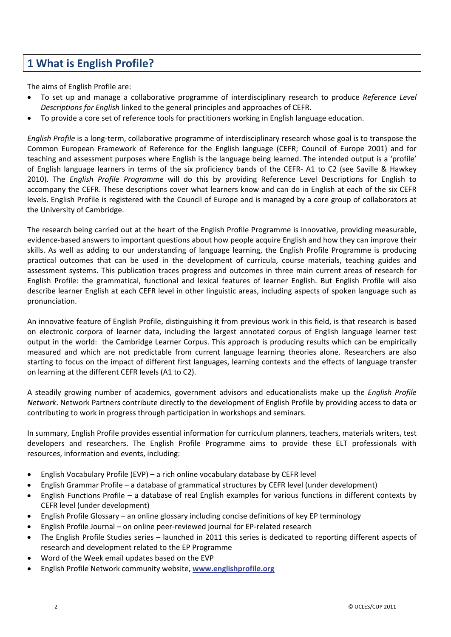# **1 What is English Profile?**

The aims of English Profile are:

- x To set up and manage a collaborative programme of interdisciplinary research to produce *Reference Level Descriptions for English* linked to the general principles and approaches of CEFR.
- To provide a core set of reference tools for practitioners working in English language education.

*English Profile* is a long-term, collaborative programme of interdisciplinary research whose goal is to transpose the Common European Framework of Reference for the English language (CEFR; Council of Europe 2001) and for teaching and assessment purposes where English is the language being learned. The intended output is a 'profile' of English language learners in terms of the six proficiency bands of the CEFR-A1 to C2 (see Saville & Hawkey 2010). The *English Profile Programme* will do this by providing Reference Level Descriptions for English to accompany the CEFR. These descriptions cover what learners know and can do in English at each of the six CEFR levels. English Profile is registered with the Council of Europe and is managed by a core group of collaborators at the University of Cambridge.

The research being carried out at the heart of the English Profile Programme is innovative, providing measurable, evidence-based answers to important questions about how people acquire English and how they can improve their skills. As well as adding to our understanding of language learning, the English Profile Programme is producing practical outcomes that can be used in the development of curricula, course materials, teaching guides and assessment systems. This publication traces progress and outcomes in three main current areas of research for English Profile: the grammatical, functional and lexical features of learner English. But English Profile will also describe learner English at each CEFR level in other linguistic areas, including aspects of spoken language such as pronunciation.

An innovative feature of English Profile, distinguishing it from previous work in this field, is that research is based on electronic corpora of learner data, including the largest annotated corpus of English language learner test output in the world: the Cambridge Learner Corpus. This approach is producing results which can be empirically measured and which are not predictable from current language learning theories alone. Researchers are also starting to focus on the impact of different first languages, learning contexts and the effects of language transfer on learning at the different CEFR levels (A1 to C2).

A steadily growing number of academics, government advisors and educationalists make up the *English Profile Network*. Network Partners contribute directly to the development of English Profile by providing access to data or contributing to work in progress through participation in workshops and seminars.

In summary, English Profile provides essential information for curriculum planners, teachers, materials writers, test developers and researchers. The English Profile Programme aims to provide these ELT professionals with resources, information and events, including:

- English Vocabulary Profile (EVP) a rich online vocabulary database by CEFR level
- x English Grammar Profile a database of grammatical structures by CEFR level (under development)
- English Functions Profile a database of real English examples for various functions in different contexts by CEFR level (under development)
- x English Profile Glossary an online glossary including concise definitions of key EP terminology
- English Profile Journal on online peer-reviewed journal for EP-related research
- The English Profile Studies series launched in 2011 this series is dedicated to reporting different aspects of research and development related to the EP Programme
- Word of the Week email updates based on the EVP
- x English Profile Network community website, **www.englishprofile.org**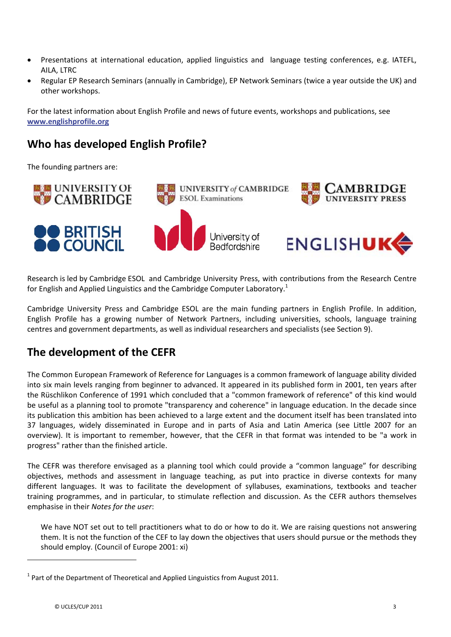- Presentations at international education, applied linguistics and language testing conferences, e.g. IATEFL, AILA, LTRC
- x Regular EP Research Seminars (annually in Cambridge), EP Network Seminars (twice a year outside the UK) and other workshops.

For the latest information about English Profile and news of future events, workshops and publications, see **www.englishprofile.org**

# **Who has developed English Profile?**

The founding partners are:











Research is led by Cambridge ESOL and Cambridge University Press, with contributions from the Research Centre for English and Applied Linguistics and the Cambridge Computer Laboratory.<sup>1</sup>

University of

Cambridge University Press and Cambridge ESOL are the main funding partners in English Profile. In addition, English Profile has a growing number of Network Partners, including universities, schools, language training centres and government departments, as well as individual researchers and specialists (see Section 9).

# **The development of the CEFR**

The Common European Framework of Reference for Languages is a common framework of language ability divided into six main levels ranging from beginner to advanced. It appeared in its published form in 2001, ten years after the Rüschlikon Conference of 1991 which concluded that a "common framework of reference" of this kind would be useful as a planning tool to promote "transparency and coherence" in language education. In the decade since its publication this ambition has been achieved to a large extent and the document itself has been translated into 37 languages, widely disseminated in Europe and in parts of Asia and Latin America (see Little 2007 for an overview). It is important to remember, however, that the CEFR in that format was intended to be "a work in progress" rather than the finished article.

The CEFR was therefore envisaged as a planning tool which could provide a "common language" for describing objectives, methods and assessment in language teaching, as put into practice in diverse contexts for many different languages. It was to facilitate the development of syllabuses, examinations, textbooks and teacher training programmes, and in particular, to stimulate reflection and discussion. As the CEFR authors themselves emphasise in their *Notes for the user*:

We have NOT set out to tell practitioners what to do or how to do it. We are raising questions not answering them. It is not the function of the CEF to lay down the objectives that users should pursue or the methods they should employ. (Council of Europe 2001: xi)

-

 $1$  Part of the Department of Theoretical and Applied Linguistics from August 2011.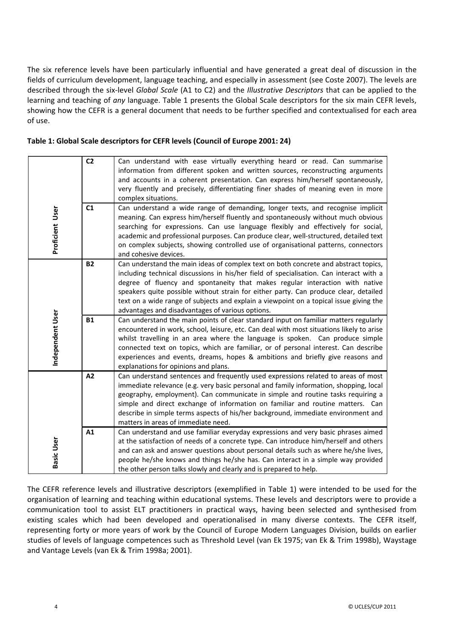The six reference levels have been particularly influential and have generated a great deal of discussion in the fields of curriculum development, language teaching, and especially in assessment (see Coste 2007). The levels are described through the sixͲlevel *Global Scale* (A1 to C2) and the *Illustrative Descriptors* that can be applied to the learning and teaching of *any* language. Table 1 presents the Global Scale descriptors for the six main CEFR levels, showing how the CEFR is a general document that needs to be further specified and contextualised for each area of use.

| Table 1: Global Scale descriptors for CEFR levels (Council of Europe 2001: 24) |  |
|--------------------------------------------------------------------------------|--|
|--------------------------------------------------------------------------------|--|

| Proficient User   | C <sub>2</sub><br>C <sub>1</sub> | Can understand with ease virtually everything heard or read. Can summarise<br>information from different spoken and written sources, reconstructing arguments<br>and accounts in a coherent presentation. Can express him/herself spontaneously,<br>very fluently and precisely, differentiating finer shades of meaning even in more<br>complex situations.<br>Can understand a wide range of demanding, longer texts, and recognise implicit<br>meaning. Can express him/herself fluently and spontaneously without much obvious<br>searching for expressions. Can use language flexibly and effectively for social,<br>academic and professional purposes. Can produce clear, well-structured, detailed text<br>on complex subjects, showing controlled use of organisational patterns, connectors |
|-------------------|----------------------------------|-------------------------------------------------------------------------------------------------------------------------------------------------------------------------------------------------------------------------------------------------------------------------------------------------------------------------------------------------------------------------------------------------------------------------------------------------------------------------------------------------------------------------------------------------------------------------------------------------------------------------------------------------------------------------------------------------------------------------------------------------------------------------------------------------------|
|                   |                                  | and cohesive devices.                                                                                                                                                                                                                                                                                                                                                                                                                                                                                                                                                                                                                                                                                                                                                                                 |
|                   | <b>B2</b>                        | Can understand the main ideas of complex text on both concrete and abstract topics,<br>including technical discussions in his/her field of specialisation. Can interact with a<br>degree of fluency and spontaneity that makes regular interaction with native<br>speakers quite possible without strain for either party. Can produce clear, detailed<br>text on a wide range of subjects and explain a viewpoint on a topical issue giving the<br>advantages and disadvantages of various options.                                                                                                                                                                                                                                                                                                  |
| Independent User  | <b>B1</b>                        | Can understand the main points of clear standard input on familiar matters regularly<br>encountered in work, school, leisure, etc. Can deal with most situations likely to arise<br>whilst travelling in an area where the language is spoken. Can produce simple<br>connected text on topics, which are familiar, or of personal interest. Can describe<br>experiences and events, dreams, hopes & ambitions and briefly give reasons and<br>explanations for opinions and plans.                                                                                                                                                                                                                                                                                                                    |
|                   | A2                               | Can understand sentences and frequently used expressions related to areas of most<br>immediate relevance (e.g. very basic personal and family information, shopping, local<br>geography, employment). Can communicate in simple and routine tasks requiring a<br>simple and direct exchange of information on familiar and routine matters. Can<br>describe in simple terms aspects of his/her background, immediate environment and<br>matters in areas of immediate need.                                                                                                                                                                                                                                                                                                                           |
| <b>Basic User</b> | A1                               | Can understand and use familiar everyday expressions and very basic phrases aimed<br>at the satisfaction of needs of a concrete type. Can introduce him/herself and others<br>and can ask and answer questions about personal details such as where he/she lives,<br>people he/she knows and things he/she has. Can interact in a simple way provided<br>the other person talks slowly and clearly and is prepared to help.                                                                                                                                                                                                                                                                                                                                                                           |

The CEFR reference levels and illustrative descriptors (exemplified in Table 1) were intended to be used for the organisation of learning and teaching within educational systems. These levels and descriptors were to provide a communication tool to assist ELT practitioners in practical ways, having been selected and synthesised from existing scales which had been developed and operationalised in many diverse contexts. The CEFR itself, representing forty or more years of work by the Council of Europe Modern Languages Division, builds on earlier studies of levels of language competences such as Threshold Level (van Ek 1975; van Ek & Trim 1998b), Waystage and Vantage Levels (van Ek & Trim 1998a; 2001).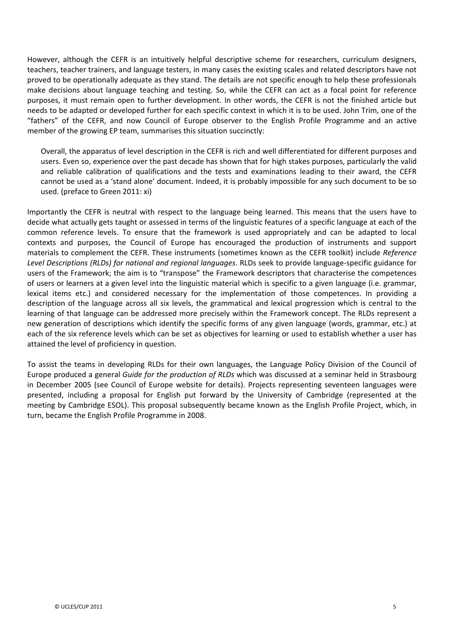However, although the CEFR is an intuitively helpful descriptive scheme for researchers, curriculum designers, teachers, teacher trainers, and language testers, in many cases the existing scales and related descriptors have not proved to be operationally adequate as they stand. The details are not specific enough to help these professionals make decisions about language teaching and testing. So, while the CEFR can act as a focal point for reference purposes, it must remain open to further development. In other words, the CEFR is not the finished article but needs to be adapted or developed further for each specific context in which it is to be used. John Trim, one of the "fathers" of the CEFR, and now Council of Europe observer to the English Profile Programme and an active member of the growing EP team, summarises this situation succinctly:

Overall, the apparatus of level description in the CEFR is rich and well differentiated for different purposes and users. Even so, experience over the past decade has shown that for high stakes purposes, particularly the valid and reliable calibration of qualifications and the tests and examinations leading to their award, the CEFR cannot be used as a 'stand alone' document. Indeed, it is probably impossible for any such document to be so used. (preface to Green 2011: xi)

Importantly the CEFR is neutral with respect to the language being learned. This means that the users have to decide what actually gets taught or assessed in terms of the linguistic features of a specific language at each of the common reference levels. To ensure that the framework is used appropriately and can be adapted to local contexts and purposes, the Council of Europe has encouraged the production of instruments and support materials to complement the CEFR. These instruments (sometimes known as the CEFR toolkit) include *Reference Level Descriptions (RLDs) for national and regional languages*. RLDs seek to provide languageͲspecific guidance for users of the Framework; the aim is to "transpose" the Framework descriptors that characterise the competences of users or learners at a given level into the linguistic material which is specific to a given language (i.e. grammar, lexical items etc.) and considered necessary for the implementation of those competences. In providing a description of the language across all six levels, the grammatical and lexical progression which is central to the learning of that language can be addressed more precisely within the Framework concept. The RLDs represent a new generation of descriptions which identify the specific forms of any given language (words, grammar, etc.) at each of the six reference levels which can be set as objectives for learning or used to establish whether a user has attained the level of proficiency in question.

To assist the teams in developing RLDs for their own languages, the Language Policy Division of the Council of Europe produced a general *Guide for the production of RLDs* which was discussed at a seminar held in Strasbourg in December 2005 (see Council of Europe website for details). Projects representing seventeen languages were presented, including a proposal for English put forward by the University of Cambridge (represented at the meeting by Cambridge ESOL). This proposal subsequently became known as the English Profile Project, which, in turn, became the English Profile Programme in 2008.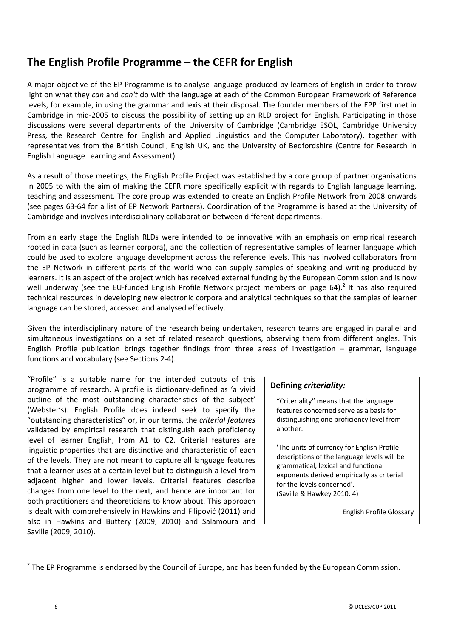# **The English Profile Programme – the CEFR for English**

A major objective of the EP Programme is to analyse language produced by learners of English in order to throw light on what they *can* and *can't* do with the language at each of the Common European Framework of Reference levels, for example, in using the grammar and lexis at their disposal. The founder members of the EPP first met in Cambridge in mid-2005 to discuss the possibility of setting up an RLD project for English. Participating in those discussions were several departments of the University of Cambridge (Cambridge ESOL, Cambridge University Press, the Research Centre for English and Applied Linguistics and the Computer Laboratory), together with representatives from the British Council, English UK, and the University of Bedfordshire (Centre for Research in English Language Learning and Assessment).

As a result of those meetings, the English Profile Project was established by a core group of partner organisations in 2005 to with the aim of making the CEFR more specifically explicit with regards to English language learning, teaching and assessment. The core group was extended to create an English Profile Network from 2008 onwards (see pages 63-64 for a list of EP Network Partners). Coordination of the Programme is based at the University of Cambridge and involves interdisciplinary collaboration between different departments.

From an early stage the English RLDs were intended to be innovative with an emphasis on empirical research rooted in data (such as learner corpora), and the collection of representative samples of learner language which could be used to explore language development across the reference levels. This has involved collaborators from the EP Network in different parts of the world who can supply samples of speaking and writing produced by learners. It is an aspect of the project which has received external funding by the European Commission and is now well underway (see the EU-funded English Profile Network project members on page 64).<sup>2</sup> It has also required technical resources in developing new electronic corpora and analytical techniques so that the samples of learner language can be stored, accessed and analysed effectively.

Given the interdisciplinary nature of the research being undertaken, research teams are engaged in parallel and simultaneous investigations on a set of related research questions, observing them from different angles. This English Profile publication brings together findings from three areas of investigation – grammar, language functions and vocabulary (see Sections 2-4).

"Profile" is a suitable name for the intended outputs of this programme of research. A profile is dictionary-defined as 'a vivid outline of the most outstanding characteristics of the subject' (Webster's). English Profile does indeed seek to specify the "outstanding characteristics" or, in our terms, the *criterial features* validated by empirical research that distinguish each proficiency level of learner English, from A1 to C2. Criterial features are linguistic properties that are distinctive and characteristic of each of the levels. They are not meant to capture all language features that a learner uses at a certain level but to distinguish a level from adjacent higher and lower levels. Criterial features describe changes from one level to the next, and hence are important for both practitioners and theoreticians to know about. This approach is dealt with comprehensively in Hawkins and Filipović (2011) and also in Hawkins and Buttery (2009, 2010) and Salamoura and Saville (2009, 2010).

#### **Defining** *criteriality:*

"Criteriality" means that the language features concerned serve as a basis for distinguishing one proficiency level from another.

'The units of currency for English Profile descriptions of the language levels will be grammatical, lexical and functional exponents derived empirically as criterial for the levels concerned'. (Saville & Hawkey 2010: 4)

English Profile Glossary

-

 $2$  The EP Programme is endorsed by the Council of Europe, and has been funded by the European Commission.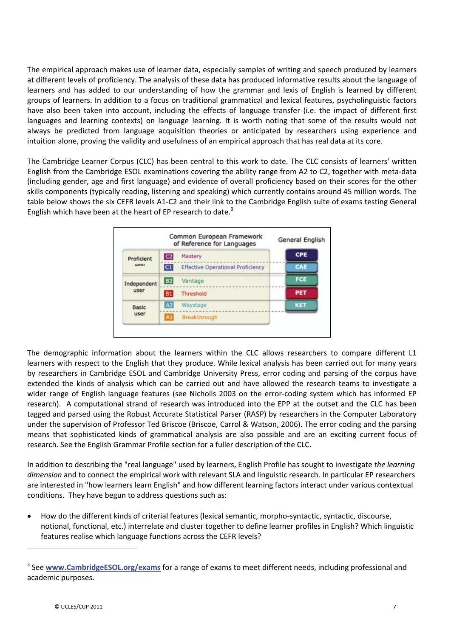The empirical approach makes use of learner data, especially samples of writing and speech produced by learners at different levels of proficiency. The analysis of these data has produced informative results about the language of learners and has added to our understanding of how the grammar and lexis of English is learned by different groups of learners. In addition to a focus on traditional grammatical and lexical features, psycholinguistic factors have also been taken into account, including the effects of language transfer (i.e. the impact of different first languages and learning contexts) on language learning. It is worth noting that some of the results would not always be predicted from language acquisition theories or anticipated by researchers using experience and intuition alone, proving the validity and usefulness of an empirical approach that has real data at its core.

The Cambridge Learner Corpus (CLC) has been central to this work to date. The CLC consists of learners' written English from the Cambridge ESOL examinations covering the ability range from A2 to C2, together with meta-data (including gender, age and first language) and evidence of overall proficiency based on their scores for the other skills components (typically reading, listening and speaking) which currently contains around 45 million words. The table below shows the six CEFR levels A1-C2 and their link to the Cambridge English suite of exams testing General English which have been at the heart of EP research to date. $3$ 



The demographic information about the learners within the CLC allows researchers to compare different L1 learners with respect to the English that they produce. While lexical analysis has been carried out for many years by researchers in Cambridge ESOL and Cambridge University Press, error coding and parsing of the corpus have extended the kinds of analysis which can be carried out and have allowed the research teams to investigate a wider range of English language features (see Nicholls 2003 on the error-coding system which has informed EP research). A computational strand of research was introduced into the EPP at the outset and the CLC has been tagged and parsed using the Robust Accurate Statistical Parser (RASP) by researchers in the Computer Laboratory under the supervision of Professor Ted Briscoe (Briscoe, Carrol & Watson, 2006). The error coding and the parsing means that sophisticated kinds of grammatical analysis are also possible and are an exciting current focus of research. See the English Grammar Profile section for a fuller description of the CLC.

In addition to describing the "real language" used by learners, English Profile has sought to investigate *the learning dimension* and to connect the empirical work with relevant SLA and linguistic research. In particular EP researchers are interested in "how learners learn English" and how different learning factors interact under various contextual conditions. They have begun to address questions such as:

How do the different kinds of criterial features (lexical semantic, morpho-syntactic, syntactic, discourse, notional, functional, etc.) interrelate and cluster together to define learner profiles in English? Which linguistic features realise which language functions across the CEFR levels?

-

<sup>3</sup> See **www.CambridgeESOL.org/exams** for a range of exams to meet different needs, including professional and academic purposes.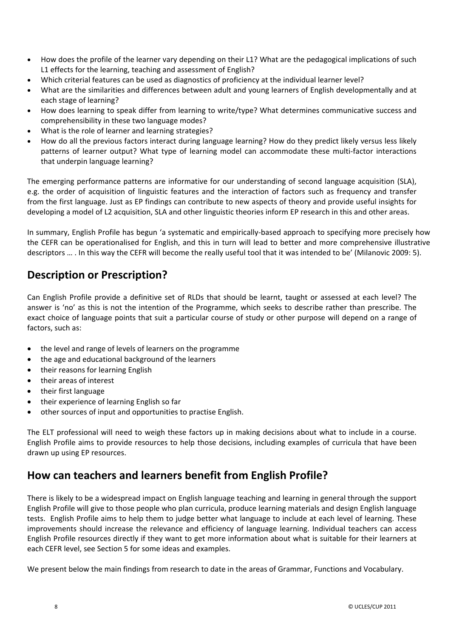- How does the profile of the learner vary depending on their L1? What are the pedagogical implications of such L1 effects for the learning, teaching and assessment of English?
- x Which criterial features can be used as diagnostics of proficiency at the individual learner level?
- x What are the similarities and differences between adult and young learners of English developmentally and at each stage of learning?
- How does learning to speak differ from learning to write/type? What determines communicative success and comprehensibility in these two language modes?
- What is the role of learner and learning strategies?
- How do all the previous factors interact during language learning? How do they predict likely versus less likely patterns of learner output? What type of learning model can accommodate these multi-factor interactions that underpin language learning?

The emerging performance patterns are informative for our understanding of second language acquisition (SLA), e.g. the order of acquisition of linguistic features and the interaction of factors such as frequency and transfer from the first language. Just as EP findings can contribute to new aspects of theory and provide useful insights for developing a model of L2 acquisition, SLA and other linguistic theories inform EP research in this and other areas.

In summary, English Profile has begun 'a systematic and empirically-based approach to specifying more precisely how the CEFR can be operationalised for English, and this in turn will lead to better and more comprehensive illustrative descriptors … . In this way the CEFR will become the really useful tool that it was intended to be' (Milanovic 2009: 5).

# **Description or Prescription?**

Can English Profile provide a definitive set of RLDs that should be learnt, taught or assessed at each level? The answer is 'no' as this is not the intention of the Programme, which seeks to describe rather than prescribe. The exact choice of language points that suit a particular course of study or other purpose will depend on a range of factors, such as:

- the level and range of levels of learners on the programme
- the age and educational background of the learners
- their reasons for learning English
- x their areas of interest
- their first language
- their experience of learning English so far
- other sources of input and opportunities to practise English.

The ELT professional will need to weigh these factors up in making decisions about what to include in a course. English Profile aims to provide resources to help those decisions, including examples of curricula that have been drawn up using EP resources.

# **How can teachers and learners benefit from English Profile?**

There is likely to be a widespread impact on English language teaching and learning in general through the support English Profile will give to those people who plan curricula, produce learning materials and design English language tests. English Profile aims to help them to judge better what language to include at each level of learning. These improvements should increase the relevance and efficiency of language learning. Individual teachers can access English Profile resources directly if they want to get more information about what is suitable for their learners at each CEFR level, see Section 5 for some ideas and examples.

We present below the main findings from research to date in the areas of Grammar, Functions and Vocabulary.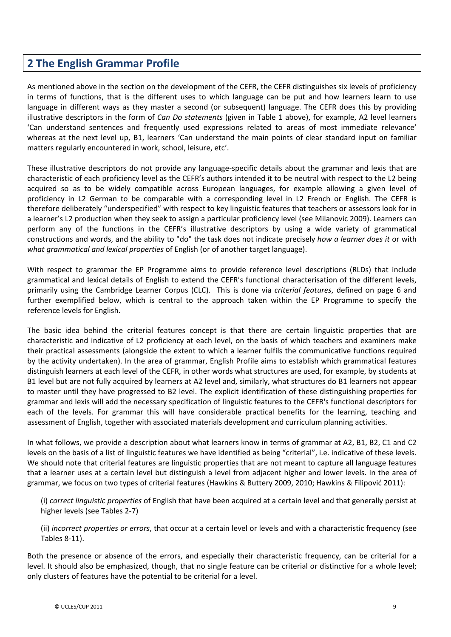# **2 The English Grammar Profile**

As mentioned above in the section on the development of the CEFR, the CEFR distinguishes six levels of proficiency in terms of functions, that is the different uses to which language can be put and how learners learn to use language in different ways as they master a second (or subsequent) language. The CEFR does this by providing illustrative descriptors in the form of *Can Do statements* (given in Table 1 above), for example, A2 level learners 'Can understand sentences and frequently used expressions related to areas of most immediate relevance' whereas at the next level up, B1, learners 'Can understand the main points of clear standard input on familiar matters regularly encountered in work, school, leisure, etc'.

These illustrative descriptors do not provide any language-specific details about the grammar and lexis that are characteristic of each proficiency level as the CEFR's authors intended it to be neutral with respect to the L2 being acquired so as to be widely compatible across European languages, for example allowing a given level of proficiency in L2 German to be comparable with a corresponding level in L2 French or English. The CEFR is therefore deliberately "underspecified" with respect to key linguistic features that teachers or assessors look for in a learner's L2 production when they seek to assign a particular proficiency level (see Milanovic 2009). Learners can perform any of the functions in the CEFR's illustrative descriptors by using a wide variety of grammatical constructions and words, and the ability to "do" the task does not indicate precisely *how a learner does it* or with *what grammatical and lexical properties* of English (or of another target language).

With respect to grammar the EP Programme aims to provide reference level descriptions (RLDs) that include grammatical and lexical details of English to extend the CEFR's functional characterisation of the different levels, primarily using the Cambridge Learner Corpus (CLC). This is done via *criterial features*, defined on page 6 and further exemplified below, which is central to the approach taken within the EP Programme to specify the reference levels for English.

The basic idea behind the criterial features concept is that there are certain linguistic properties that are characteristic and indicative of L2 proficiency at each level, on the basis of which teachers and examiners make their practical assessments (alongside the extent to which a learner fulfils the communicative functions required by the activity undertaken). In the area of grammar, English Profile aims to establish which grammatical features distinguish learners at each level of the CEFR, in other words what structures are used, for example, by students at B1 level but are not fully acquired by learners at A2 level and, similarly, what structures do B1 learners not appear to master until they have progressed to B2 level. The explicit identification of these distinguishing properties for grammar and lexis will add the necessary specification of linguistic features to the CEFR's functional descriptors for each of the levels. For grammar this will have considerable practical benefits for the learning, teaching and assessment of English, together with associated materials development and curriculum planning activities.

In what follows, we provide a description about what learners know in terms of grammar at A2, B1, B2, C1 and C2 levels on the basis of a list of linguistic features we have identified as being "criterial", i.e. indicative of these levels. We should note that criterial features are linguistic properties that are not meant to capture all language features that a learner uses at a certain level but distinguish a level from adjacent higher and lower levels. In the area of grammar, we focus on two types of criterial features (Hawkins & Buttery 2009, 2010; Hawkins & Filipović 2011):

(i) *correct linguistic properties* of English that have been acquired at a certain level and that generally persist at higher levels (see Tables 2-7)

(ii) *incorrect properties or errors*, that occur at a certain level or levels and with a characteristic frequency (see Tables 8-11).

Both the presence or absence of the errors, and especially their characteristic frequency, can be criterial for a level. It should also be emphasized, though, that no single feature can be criterial or distinctive for a whole level; only clusters of features have the potential to be criterial for a level.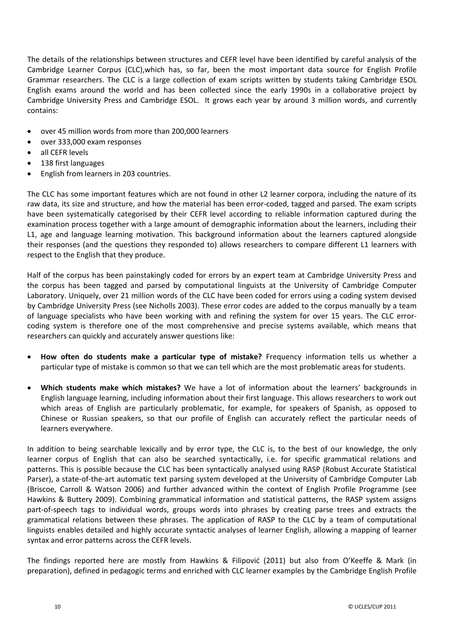The details of the relationships between structures and CEFR level have been identified by careful analysis of the Cambridge Learner Corpus (CLC),which has, so far, been the most important data source for English Profile Grammar researchers. The CLC is a large collection of exam scripts written by students taking Cambridge ESOL English exams around the world and has been collected since the early 1990s in a collaborative project by Cambridge University Press and Cambridge ESOL. It grows each year by around 3 million words, and currently contains:

- over 45 million words from more than 200,000 learners
- x over 333,000 exam responses
- all CEFR levels
- 138 first languages
- English from learners in 203 countries.

The CLC has some important features which are not found in other L2 learner corpora, including the nature of its raw data, its size and structure, and how the material has been error-coded, tagged and parsed. The exam scripts have been systematically categorised by their CEFR level according to reliable information captured during the examination process together with a large amount of demographic information about the learners, including their L1, age and language learning motivation. This background information about the learners captured alongside their responses (and the questions they responded to) allows researchers to compare different L1 learners with respect to the English that they produce.

Half of the corpus has been painstakingly coded for errors by an expert team at Cambridge University Press and the corpus has been tagged and parsed by computational linguists at the University of Cambridge Computer Laboratory. Uniquely, over 21 million words of the CLC have been coded for errors using a coding system devised by Cambridge University Press (see Nicholls 2003). These error codes are added to the corpus manually by a team of language specialists who have been working with and refining the system for over 15 years. The CLC errorcoding system is therefore one of the most comprehensive and precise systems available, which means that researchers can quickly and accurately answer questions like:

- x **How often do students make a particular type of mistake?** Frequency information tells us whether a particular type of mistake is common so that we can tell which are the most problematic areas for students.
- x **Which students make which mistakes?** We have a lot of information about the learners' backgrounds in English language learning, including information about their first language. This allows researchers to work out which areas of English are particularly problematic, for example, for speakers of Spanish, as opposed to Chinese or Russian speakers, so that our profile of English can accurately reflect the particular needs of learners everywhere.

In addition to being searchable lexically and by error type, the CLC is, to the best of our knowledge, the only learner corpus of English that can also be searched syntactically, i.e. for specific grammatical relations and patterns. This is possible because the CLC has been syntactically analysed using RASP (Robust Accurate Statistical Parser), a state-of-the-art automatic text parsing system developed at the University of Cambridge Computer Lab (Briscoe, Carroll & Watson 2006) and further advanced within the context of English Profile Programme (see Hawkins & Buttery 2009). Combining grammatical information and statistical patterns, the RASP system assigns part-of-speech tags to individual words, groups words into phrases by creating parse trees and extracts the grammatical relations between these phrases. The application of RASP to the CLC by a team of computational linguists enables detailed and highly accurate syntactic analyses of learner English, allowing a mapping of learner syntax and error patterns across the CEFR levels.

The findings reported here are mostly from Hawkins & Filipović (2011) but also from O'Keeffe & Mark (in preparation), defined in pedagogic terms and enriched with CLC learner examples by the Cambridge English Profile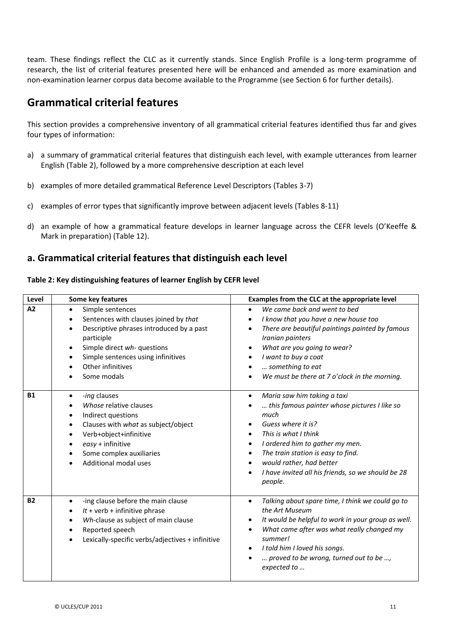team. These findings reflect the CLC as it currently stands. Since English Profile is a long-term programme of research, the list of criterial features presented here will be enhanced and amended as more examination and non-examination learner corpus data become available to the Programme (see Section 6 for further details).

# **Grammatical criterial features**

This section provides a comprehensive inventory of all grammatical criterial features identified thus far and gives four types of information:

- a) a summary of grammatical criterial features that distinguish each level, with example utterances from learner English (Table 2), followed by a more comprehensive description at each level
- b) examples of more detailed grammatical Reference Level Descriptors (Tables 3-7)
- c) examples of error types that significantly improve between adjacent levels (Tables 8-11)
- d) an example of how a grammatical feature develops in learner language across the CEFR levels (O'Keeffe & Mark in preparation) (Table 12).

#### **a. Grammatical criterial features that distinguish each level**

#### **Table 2: Key distinguishing features of learner English by CEFR level**

| Level     | Some key features                                                                                                                                                                                                                                                                                  | Examples from the CLC at the appropriate level                                                                                                                                                                                                                                                                                                   |
|-----------|----------------------------------------------------------------------------------------------------------------------------------------------------------------------------------------------------------------------------------------------------------------------------------------------------|--------------------------------------------------------------------------------------------------------------------------------------------------------------------------------------------------------------------------------------------------------------------------------------------------------------------------------------------------|
| A2        | Simple sentences<br>$\bullet$<br>Sentences with clauses joined by that<br>$\bullet$<br>Descriptive phrases introduced by a past<br>$\bullet$<br>participle<br>Simple direct wh- questions<br>$\bullet$<br>Simple sentences using infinitives<br>Other infinitives<br>Some modals                   | We came back and went to bed<br>$\bullet$<br>I know that you have a new house too<br>٠<br>There are beautiful paintings painted by famous<br>٠<br>Iranian painters<br>What are you going to wear?<br>٠<br>I want to buy a coat<br>something to eat<br>We must be there at 7 o'clock in the morning.                                              |
| <b>B1</b> | -ing clauses<br>$\bullet$<br>Whose relative clauses<br>$\bullet$<br>Indirect questions<br>$\bullet$<br>Clauses with what as subject/object<br>$\bullet$<br>Verb+object+infinitive<br>$\bullet$<br>easy + infinitive<br>$\bullet$<br>Some complex auxiliaries<br>Additional modal uses<br>$\bullet$ | Maria saw him taking a taxi<br>$\bullet$<br>this famous painter whose pictures I like so<br>much<br>Guess where it is?<br>This is what I think<br>$\bullet$<br>I ordered him to gather my men.<br>٠<br>The train station is easy to find.<br>٠<br>would rather, had better<br>٠<br>I have invited all his friends, so we should be 28<br>people. |
| <b>B2</b> | -ing clause before the main clause<br>$\bullet$<br>$lt$ + verb + infinitive phrase<br>$\bullet$<br>Wh-clause as subject of main clause<br>$\bullet$<br>Reported speech<br>$\bullet$<br>Lexically-specific verbs/adjectives + infinitive<br>$\bullet$                                               | Talking about spare time, I think we could go to<br>$\bullet$<br>the Art Museum<br>It would be helpful to work in your group as well.<br>٠<br>What came after was what really changed my<br>$\bullet$<br>summer!<br>I told him I loved his songs.<br>٠<br>proved to be wrong, turned out to be ,<br>expected to                                  |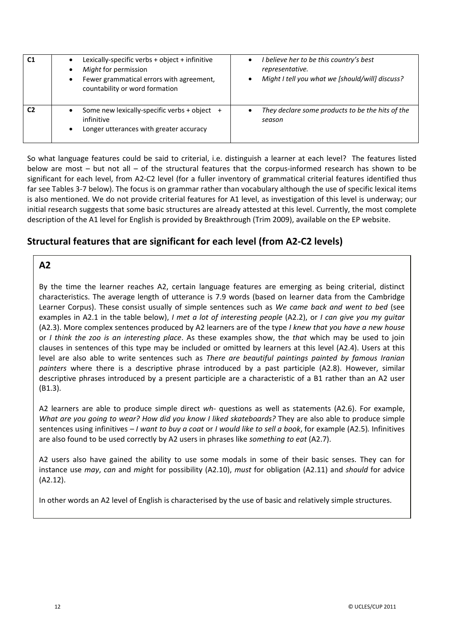| C <sub>1</sub> | Lexically-specific verbs + object + infinitive<br>Might for permission<br>Fewer grammatical errors with agreement,<br>countability or word formation | I believe her to be this country's best<br>representative.<br>Might I tell you what we [should/will] discuss? |
|----------------|------------------------------------------------------------------------------------------------------------------------------------------------------|---------------------------------------------------------------------------------------------------------------|
|                | Some new lexically-specific verbs + object +<br>infinitive<br>Longer utterances with greater accuracy                                                | They declare some products to be the hits of the<br>season                                                    |

So what language features could be said to criterial, i.e. distinguish a learner at each level? The features listed below are most – but not all – of the structural features that the corpus-informed research has shown to be significant for each level, from A2-C2 level (for a fuller inventory of grammatical criterial features identified thus far see Tables 3-7 below). The focus is on grammar rather than vocabulary although the use of specific lexical items is also mentioned. We do not provide criterial features for A1 level, as investigation of this level is underway; our initial research suggests that some basic structures are already attested at this level. Currently, the most complete description of the A1 level for English is provided by Breakthrough (Trim 2009), available on the EP website.

#### **Structural features that are significant for each level (from A2ͲC2 levels)**

#### **A2**

By the time the learner reaches A2, certain language features are emerging as being criterial, distinct characteristics. The average length of utterance is 7.9 words (based on learner data from the Cambridge Learner Corpus). These consist usually of simple sentences such as *We came back and went to bed* (see examples in A2.1 in the table below), *I met a lot of interesting people* (A2.2), or *I can give you my guitar* (A2.3). More complex sentences produced by A2 learners are of the type *I knew that you have a new house* or *I think the zoo is an interesting place*. As these examples show, the *that* which may be used to join clauses in sentences of this type may be included or omitted by learners at this level (A2.4). Users at this level are also able to write sentences such as *There are beautiful paintings painted by famous Iranian painters* where there is a descriptive phrase introduced by a past participle (A2.8). However, similar descriptive phrases introduced by a present participle are a characteristic of a B1 rather than an A2 user (B1.3).

A2 learners are able to produce simple direct *wh*<sup>*-*</sup> questions as well as statements (A2.6). For example, *What are you going to wear? How did you know I liked skateboards?* They are also able to produce simple sentences using infinitives *– I want to buy a coat* or *I would like to sell a book*, for example (A2.5)*.* Infinitives are also found to be used correctly by A2 users in phrases like *something to eat* (A2.7).

A2 users also have gained the ability to use some modals in some of their basic senses. They can for instance use *may*, *can* and *migh*t for possibility (A2.10), *must* for obligation (A2.11) and *should* for advice (A2.12).

In other words an A2 level of English is characterised by the use of basic and relatively simple structures.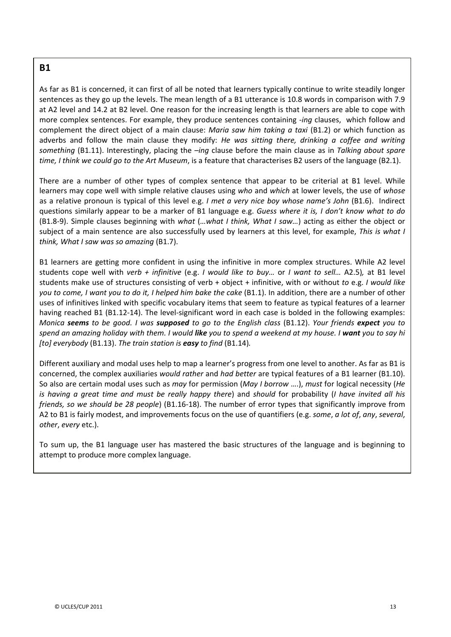#### **B1**

As far as B1 is concerned, it can first of all be noted that learners typically continue to write steadily longer sentences as they go up the levels. The mean length of a B1 utterance is 10.8 words in comparison with 7.9 at A2 level and 14.2 at B2 level. One reason for the increasing length is that learners are able to cope with more complex sentences. For example, they produce sentences containing *-ing* clauses, which follow and complement the direct object of a main clause: *Maria saw him taking a taxi* (B1.2) or which function as adverbs and follow the main clause they modify: *He was sitting there, drinking a coffee and writing something* (B1.11). Interestingly, placing the *–ing* clause before the main clause as in *Talking about spare time, I think we could go to the Art Museum*, is a feature that characterises B2 users of the language (B2.1).

There are a number of other types of complex sentence that appear to be criterial at B1 level. While learners may cope well with simple relative clauses using *who* and *which* at lower levels, the use of *whose* as a relative pronoun is typical of this level e.g. *I met a very nice boy whose name's John* (B1.6).Indirect questions similarly appear to be a marker of B1 language e.g. *Guess where it is, I don't know what to do* (B1.8Ͳ9). Simple clauses beginning with *what* (*…what I think, What I saw…*) acting as either the object or subject of a main sentence are also successfully used by learners at this level, for example, *This is what I think, What I saw was so amazing* (B1.7).

B1 learners are getting more confident in using the infinitive in more complex structures. While A2 level students cope well with *verb + infinitive* (e.g. *I would like to buy…* or *I want to sell…* A2.5)*,* at B1 level students make use of structures consisting of verb + object + infinitive, with or without *to* e.g. *I would like you to come, I want you to do it, I helped him bake the cake* (B1.1). In addition, there are a number of other uses of infinitives linked with specific vocabulary items that seem to feature as typical features of a learner having reached B1 (B1.12-14). The level-significant word in each case is bolded in the following examples: Monica seems to be good. I was supposed to go to the English class (B1.12). Your friends expect you to spend an amazing holiday with them. I would like you to spend a weekend at my house. I want you to say hi *[to] everybody* (B1.13). *The train station is easy to find* (B1.14)*.*

Different auxiliary and modal uses help to map a learner's progress from one level to another. As far as B1 is concerned, the complex auxiliaries *would rather* and *had better* are typical features of a B1 learner (B1.10). So also are certain modal uses such as *may* for permission (*May I borrow* ….), *must* for logical necessity (*He is having a great time and must be really happy there*) and *should* for probability (*I have invited all his friends, so we should be 28 people*) (B1.16-18). The number of error types that significantly improve from A2 to B1 is fairly modest, and improvements focus on the use of quantifiers (e.g. *some*, *a lot of*, *any*, *several*, *other*, *every* etc.).

To sum up, the B1 language user has mastered the basic structures of the language and is beginning to attempt to produce more complex language.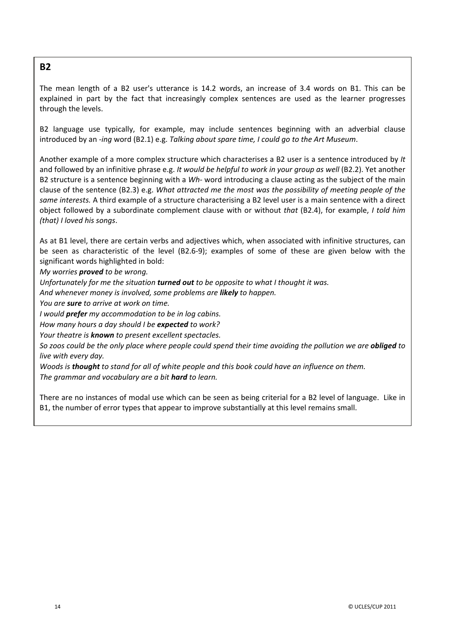#### **B2**

The mean length of a B2 user's utterance is 14.2 words, an increase of 3.4 words on B1. This can be explained in part by the fact that increasingly complex sentences are used as the learner progresses through the levels.

B2 language use typically, for example, may include sentences beginning with an adverbial clause introduced by an *Ͳing* word (B2.1) e.g. *Talking about spare time, I could go to the Art Museum*.

Another example of a more complex structure which characterises a B2 user is a sentence introduced by *It* and followed by an infinitive phrase e.g. *It would be helpful to work in your group as well* (B2.2). Yet another B2 structure is a sentence beginning with a *Wh*- word introducing a clause acting as the subject of the main clause of the sentence (B2.3) e.g. *What attracted me the most was the possibility of meeting people of the same interests.* A third example of a structure characterising a B2 level user is a main sentence with a direct object followed by a subordinate complement clause with or without *that* (B2.4), for example, *I told him (that) I loved his songs*.

As at B1 level, there are certain verbs and adjectives which, when associated with infinitive structures, can be seen as characteristic of the level (B2.6-9); examples of some of these are given below with the significant words highlighted in bold:

#### *My worries proved to be wrong.*

*Unfortunately for me the situation turned out to be opposite to what I thought it was.*

*And whenever money is involved, some problems are likely to happen.*

*You are sure to arrive at work on time.*

*I would prefer my accommodation to be in log cabins.*

*How many hours a day should I be expected to work?*

*Your theatre is known to present excellent spectacles.*

So zoos could be the only place where people could spend their time avoiding the pollution we are **obliged** to *live with every day.*

Woods is thought to stand for all of white people and this book could have an influence on them. *The grammar and vocabulary are a bit hard to learn.*

There are no instances of modal use which can be seen as being criterial for a B2 level of language. Like in B1, the number of error types that appear to improve substantially at this level remains small.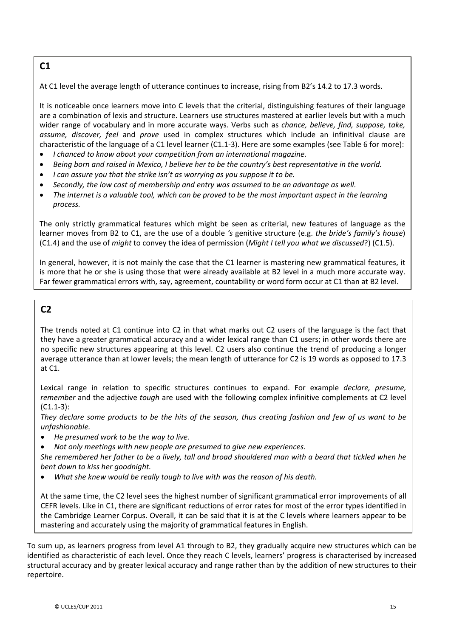## **C1**

At C1 level the average length of utterance continues to increase, rising from B2's 14.2 to 17.3 words.

It is noticeable once learners move into C levels that the criterial, distinguishing features of their language are a combination of lexis and structure. Learners use structures mastered at earlier levels but with a much wider range of vocabulary and in more accurate ways. Verbs such as *chance, believe, find, suppose, take, assume, discover, feel* and *prove* used in complex structures which include an infinitival clause are characteristic of the language of a C1 level learner (C1.1-3). Here are some examples (see Table 6 for more):

- x *I chanced to know about your competition from an international magazine.*
- Being born and raised in Mexico, I believe her to be the country's best representative in the world.
- x *I can assure you that the strike isn't as worrying as you suppose it to be.*
- x *Secondly, the low cost of membership and entry was assumed to be an advantage as well.*
- The internet is a valuable tool, which can be proved to be the most important aspect in the learning *process.*

The only strictly grammatical features which might be seen as criterial, new features of language as the learner moves from B2 to C1, are the use of a double *'s* genitive structure (e.g. *the bride's family's house*) (C1.4) and the use of *might* to convey the idea of permission (*Might I tell you what we discussed*?) (C1.5).

In general, however, it is not mainly the case that the C1 learner is mastering new grammatical features, it is more that he or she is using those that were already available at B2 level in a much more accurate way. Far fewer grammatical errors with, say, agreement, countability or word form occur at C1 than at B2 level.

#### **C2**

The trends noted at C1 continue into C2 in that what marks out C2 users of the language is the fact that they have a greater grammatical accuracy and a wider lexical range than C1 users; in other words there are no specific new structures appearing at this level. C2 users also continue the trend of producing a longer average utterance than at lower levels; the mean length of utterance for C2 is 19 words as opposed to 17.3 at C1.

Lexical range in relation to specific structures continues to expand. For example *declare, presume, remember* and the adjective *tough* are used with the following complex infinitive complements at C2 level  $(C1.1-3):$ 

They declare some products to be the hits of the season, thus creating fashion and few of us want to be *unfashionable.*

- x *He presumed work to be the way to live.*
- x *Not only meetings with new people are presumed to give new experiences.*

She remembered her father to be a lively, tall and broad shouldered man with a beard that tickled when he *bent down to kiss her goodnight.*

x *What she knew would be really tough to live with was the reason of his death.*

At the same time, the C2 level sees the highest number of significant grammatical error improvements of all CEFR levels. Like in C1, there are significant reductions of error rates for most of the error types identified in the Cambridge Learner Corpus. Overall, it can be said that it is at the C levels where learners appear to be mastering and accurately using the majority of grammatical features in English.

To sum up, as learners progress from level A1 through to B2, they gradually acquire new structures which can be identified as characteristic of each level. Once they reach C levels, learners' progress is characterised by increased structural accuracy and by greater lexical accuracy and range rather than by the addition of new structures to their repertoire.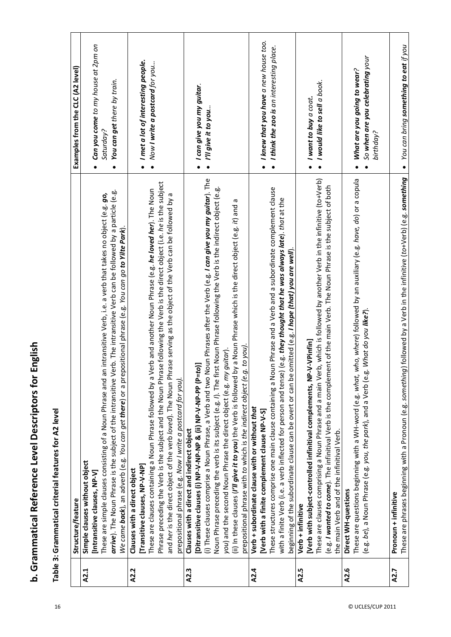| .<br>?<br>:       |  |
|-------------------|--|
| È<br>٦            |  |
| リンリョッ             |  |
| Reterence Le<br>Ξ |  |
| ה<br>הלורה<br>Ξ   |  |
| ĺ                 |  |

| Ď                    |
|----------------------|
|                      |
| ž                    |
| İ                    |
|                      |
|                      |
| $\ddot{\phantom{a}}$ |
|                      |
|                      |
|                      |
|                      |
|                      |
|                      |
|                      |
|                      |
|                      |
|                      |
|                      |
|                      |
|                      |
|                      |
|                      |
|                      |

|              | Structure/feature                                                                                                                                                                                                                                                                                                                                                                                                                                                                                                                                                                                                                                                                                                                                                                                                                                                                                                                                              | Examples from the CLC (A2 level)                                                                                                                                         |
|--------------|----------------------------------------------------------------------------------------------------------------------------------------------------------------------------------------------------------------------------------------------------------------------------------------------------------------------------------------------------------------------------------------------------------------------------------------------------------------------------------------------------------------------------------------------------------------------------------------------------------------------------------------------------------------------------------------------------------------------------------------------------------------------------------------------------------------------------------------------------------------------------------------------------------------------------------------------------------------|--------------------------------------------------------------------------------------------------------------------------------------------------------------------------|
| A2.2<br>A2.1 | Phrase preceding the Verb is the subject and the Noun Phrase following the Verb is the direct object (i.e. he is the subject<br>These are clauses containing a Noun Phrase followed by a Verb and another Noun Phrase (e.g. he loved her). The Noun<br>arrive). The Noun Phrase is the subject of the intransitive Verb. The intransitive Verb can be followed by a particle (e.g.<br>intransitive Verb, i.e. a verb that takes no object (e.g. go,<br>and her is the direct object of the verb loved). The Noun Phrase serving as the object of the Verb can be followed by a<br>We came back), an adverb (e.g. You can get there) or a prepositional phrase (e.g. You can go to Yilte Park).<br>These are simple clauses consisting of a Noun Phrase and an<br>prepositional phrase (e.g. Now I write a postcard for you).<br>Simple clauses without object<br>[Transitive clauses, NP-V-NP]<br>Clauses with a direct object<br>[Intransitive clauses, NP-V] | Can you come to my house at 2pm on<br>I met a lot of interesting people.<br>Now I write a postcard for you<br>You can get there by train.<br>Saturday?<br>$\bullet$<br>٠ |
| A2.3         | (i) These clauses comprise a Noun Phrase, a Verb and two Noun Phrases after the Verb (e.g. I can give you my guitar). The<br>Noun Phrase preceding the verb is its subject (e.g. $\eta$ . The first Noun Phrase following the Verb is the indirect object (e.g.<br>(ii) In these clauses (I'll give it to you) the Verb is followed by a Noun Phrase which is the direct object (e.g. it) and a<br>to you).<br>you) and the second Noun Phrase the direct object (e.g. my guitar).<br>[Ditransitive clauses (i) NP-V-NP-NP & (ii) NP-V-NP-PP (P=to)]<br>prepositional phrase with to which is the indirect object (e.g.<br>Clauses with a direct and indirect object                                                                                                                                                                                                                                                                                           | I can give you my guitar.<br>I'll give it to you<br>$\bullet$                                                                                                            |
| A2.4         | in Phrase and a Verb and a subordinate complement clause<br>(e.g. they thought that he was always late). that at the<br>beginning of the subordinate clause can be overt or can be omitted (e.g. <i>I hope (that) you are well</i> ).<br>These structures comprise one main clause containing a Nou<br>with a finite Verb (i.e. a verb inflected for person and tense)<br>Verb + subordinate clause with or without that<br>[Verb with a finite complement clause NP-V-S]                                                                                                                                                                                                                                                                                                                                                                                                                                                                                      | I knew that you have a new house too.<br>$\bullet$ I think the zoo is an interesting place.<br>$\bullet$                                                                 |
| A2.5         | These are clauses comprising a Noun Phrase and a main Verb, which is followed by another Verb in the infinitive (to+Verb)<br>(e.g. <i>I wanted to come</i> ). The infinitival Verb is the complement of the main Verb. The Noun Phrase is the subject of both<br>[Verb with subject-controlled infinitival complements, NP-V-VPinfin]<br>the main Verb and of the infinitival Verb.<br>Verb + infinitive                                                                                                                                                                                                                                                                                                                                                                                                                                                                                                                                                       | $\bullet$ I would like to sell a book.<br>I want to buy a $coat$<br>$\bullet$                                                                                            |
| A2.6         | These are questions beginning with a WH-word (e.g. what, who, where) followed by an auxiliary (e.g. have, do) or a copula<br>What do you <b>like?</b> )<br>(e.g. be), a Noun Phrase (e.g. you, the park), and a Verb (e.g.<br>Direct WH-questions                                                                                                                                                                                                                                                                                                                                                                                                                                                                                                                                                                                                                                                                                                              | So when are you celebrating your<br>What are you going to wear?<br>birthday?                                                                                             |
| A2.7         | These are phrases beginning with a Pronoun (e.g. something) followed by a Verb in the infinitive (to+Verb) (e.g. something<br>Pronoun + infinitive                                                                                                                                                                                                                                                                                                                                                                                                                                                                                                                                                                                                                                                                                                                                                                                                             | $\bullet$ You can bring something to eat if you                                                                                                                          |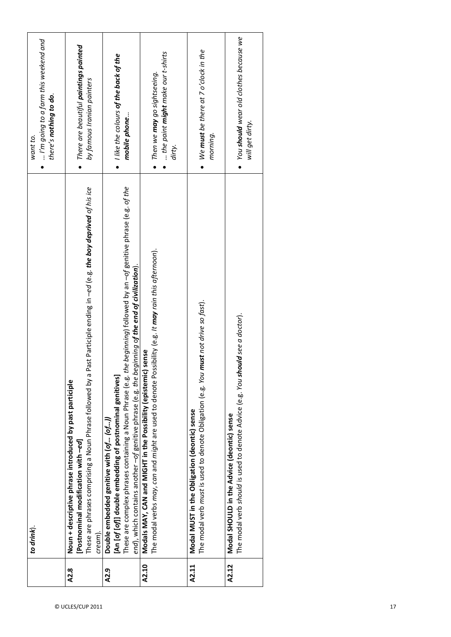|       | to drink).                                                                                                                                                                                                                                                                                                                                      | I'm going to a farm this weekend and<br>there's nothing to do.<br>want to. |
|-------|-------------------------------------------------------------------------------------------------------------------------------------------------------------------------------------------------------------------------------------------------------------------------------------------------------------------------------------------------|----------------------------------------------------------------------------|
| A2.8  | Past Participle ending in -ed (e.g. the boy deprived of his ice<br>These are phrases comprising a Noun Phrase followed by a<br>Noun + descriptive phrase introduced by past participle<br>[Postnominal modification with -ed]<br>cream).                                                                                                        | There are beautiful paintings painted<br>by famous Iranian painters        |
| A2.9  | These are complex phrases containing a Noun Phrase (e.g. the beginning) followed by an -of genitive phrase (e.g. of the<br>end), which contains another $-$ of genitive phrase (e.g. the beginning o <b>f the end of civilization</b> ).<br>[An [of [of]] double embedding of postnominal genitives]<br>Double embedded genitive with (of (of)) | $\bullet$ like the colours of the back of the<br>mobile phone              |
| A2.10 | The modal verbs <i>moy, can</i> and <i>might</i> are used to denote Possibility (e.g. <i>It may rain this ofternoon</i> ).<br>Modals MAY, CAN and MIGHT in the Possibility (epistemic) sense                                                                                                                                                    | the paint might make our t-shirts<br>Then we may go sightseeing.<br>dirty. |
| A2.11 | The modal verb must is used to denote Obligation (e.g. You must not drive so fast).<br>Modal MUST in the Obligation (deontic) sense                                                                                                                                                                                                             | We must be there at 7 o'clock in the<br>morning.                           |
| A2.12 | The modal verb should is used to denote Advice (e.g. You should see a doctor).<br>Modal SHOULD in the Advice (deontic) sense                                                                                                                                                                                                                    | You should wear old clothes because we<br>will get dirty.                  |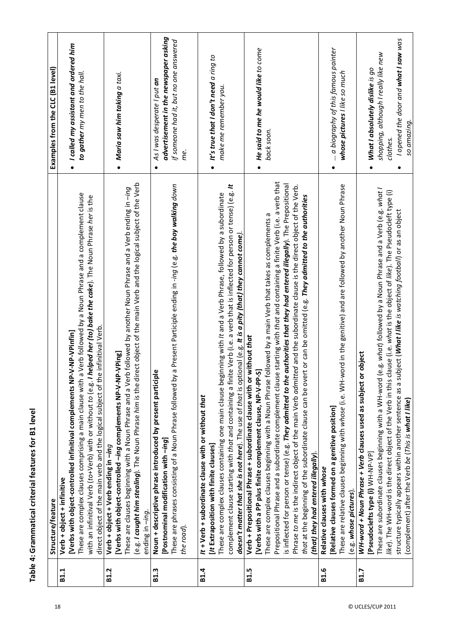|             | Structure/feature                                                                                                              | Examples from the CLC (B1 level)         |
|-------------|--------------------------------------------------------------------------------------------------------------------------------|------------------------------------------|
|             |                                                                                                                                |                                          |
| <b>B1.1</b> | [Verbs with object-controlled infinitival complements NP-V-NP-VPinfin]<br>Verb + object + infinitive                           | • I called my assistant and ordered him  |
|             | These are complex clauses comprising a main clause with a Verb followed by a Noun Phrase and a complement clause               | to gather my men to the hall.            |
|             | with an infinitival Verb (to+Verb) with or without to (e.g. I helped her (to) bake the cake). The Noun Phrase her is the       |                                          |
|             | direct object of the main verb and the logical subject of the infinitival Verb.                                                |                                          |
| <b>B1.2</b> | Verb + object + Verb ending in -ing                                                                                            |                                          |
|             | [Verbs with object-controlled -ing complements NP-V-NP-VPing]                                                                  | Maria saw him taking a taxi.             |
|             | These are clauses beginning with a Noun Phrase and a Verb followed by another Noun Phrase and a Verb ending in -ing            |                                          |
|             | (e.g. I caught him stealing). The Noun Phrase him is the direct object of the main Verb and the logical subject of the Verb    |                                          |
|             | ending in -ing.                                                                                                                |                                          |
| <b>B1.3</b> | $\mathbf{c}$<br>Noun + descriptive phrase introduced by present participl                                                      | As I was desperate I put an<br>$\bullet$ |
|             | [Postnominal modification with -ing]                                                                                           | advertisement in the newspaper asking    |
|             | a Present Participle ending in -ing (e.g. the boy walking down<br>These are phrases consisting of a Noun Phrase followed by    | if someone had it, but no one answered   |
|             | the road).                                                                                                                     | èg.                                      |
|             |                                                                                                                                |                                          |
| <b>B1.4</b> | It + Verb + subordinate clause with or without that                                                                            |                                          |
|             | [It Extraposition with finite clauses]                                                                                         | It's true that I don't need a ring to    |
|             | These are complex clauses containing one main clause beginning with It and a Verb Phrase, followed by a subordinate            | make me remember you.                    |
|             | complement clause starting with that and containing a finite Verb (i.e. a verb that is inflected for person or tense) (e.g. It |                                          |
|             | doesn't matter that she is not here). The use of that is optional (e.g. It is a pity (that) they cannot come).                 |                                          |
| <b>B1.5</b> | without that<br>Verb + Prepositional Phrase + subordinate clause with or                                                       |                                          |
|             | [Verbs with a PP plus finite complement clause, NP-V-PP-S]                                                                     | He said to me he would like to come      |
|             | These are complex clauses beginning with a Noun Phrase followed by a main Verb that takes as complements a                     | back soon.                               |
|             | Prepositional Phrase and a subordinate complement clause starting with that and containing a finite Verb (i.e. a verb that     |                                          |
|             | is inflected for person or tense) (e.g. They admitted to the authorities that they had entered illegally). The Prepositional   |                                          |
|             | Phrase to me is the indirect object of the main Verb admitted and the subordinate clause is the direct object of the Verb.     |                                          |
|             | that at the beginning of the subordinate clause can be overt or can be omitted (e.g. They admitted to the authorities          |                                          |
|             | (that) they had entered illegally)                                                                                             |                                          |
| B1.6        | Relative clauses with whose                                                                                                    |                                          |
|             | [Relative clauses formed on a genitive position]                                                                               | a biography of this famous painter       |
|             | These are relative clauses beginning with whose (i.e. WH-word in the genitive) and are followed by another Noun Phrase         | whose pictures I like so much            |
|             | (e.g. whose pictures).                                                                                                         |                                          |
| <b>B1.7</b> | r object<br>WH-word + Noun Phrase + Verb clauses used as subject or                                                            |                                          |
|             | [Pseudoclefts type (i) WH-NP-VP]                                                                                               | What I absolutely dislike is go          |
|             | e.g. what) followed by a Noun Phrase and a Verb (e.g. what /<br>These are subordinate clauses beginning with a WH-word         | shopping, although I really like new     |
|             | like). The WH-word is the direct object of the Verb in this clause (i.e. what is the object of like). The Pseudocleft type (i) | clothes.                                 |
|             | structure typically appears within another sentence as a subject ( <i>What I like is watching football</i> ) or as an object   | I opened the door and what I saw was     |
|             | (complement) after the Verb be (This is what I like)                                                                           | so amazing.                              |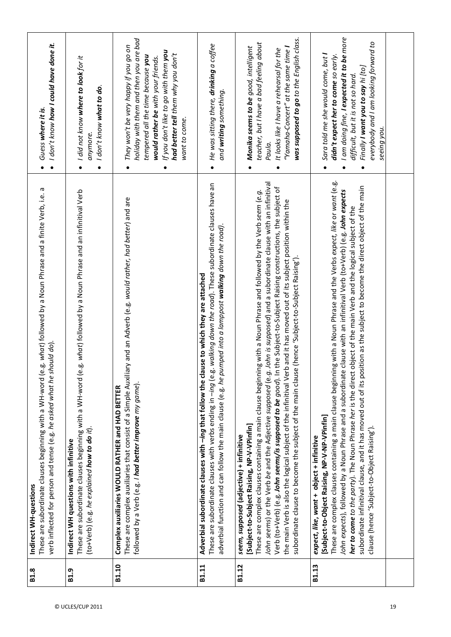| g. what) followed by a Noun Phrase and a finite Verb, i.e. a<br>verb inflected for person and tense (e.g. he asked what he should do).<br>These are subordinate clauses beginning with a WH-word (e.<br>Indirect WH-questions                                                                                                                                                                                                                                                                                                                                                                                                                                                                                       | I don't know how I could have done it.<br>Guess where it is.                                                                                                                                                                                                    |
|---------------------------------------------------------------------------------------------------------------------------------------------------------------------------------------------------------------------------------------------------------------------------------------------------------------------------------------------------------------------------------------------------------------------------------------------------------------------------------------------------------------------------------------------------------------------------------------------------------------------------------------------------------------------------------------------------------------------|-----------------------------------------------------------------------------------------------------------------------------------------------------------------------------------------------------------------------------------------------------------------|
| g. what) followed by a Noun Phrase and an infinitival Verb<br>These are subordinate clauses beginning with a WH-word (e.<br>(to+Verb) (e.g. he explained how to do it).<br>Indirect WH questions with infinitive                                                                                                                                                                                                                                                                                                                                                                                                                                                                                                    | $\bullet$ 1 did not know where to look for it<br>I don't know what to do.<br>anymore.                                                                                                                                                                           |
| ry and an Adverb (e.g. would rather, had better) and are<br>These are complex auxiliaries that consist of a Simple Auxilia<br>followed by a Verb (e.g. I had better improve my game).<br>Complex auxiliaries WOULD RATHER and HAD BETTER                                                                                                                                                                                                                                                                                                                                                                                                                                                                            | holiday with them and then you are bad<br>They won't be very happy if you go on<br>If you don't like to go with them you<br>had better tell them why you don't<br>tempered all the time because you<br>would rather be with your friends.<br>want to come.<br>٠ |
| These are subordinate clauses with verbs ending in -ing (e.g. walking down the road). These subordinate clauses have an<br>adverbial function and can follow the main clause (e.g. he pumped into a lamppost walking down the road).<br>Adverbial subordinate clauses with -ing that follow the clause to which they are attached                                                                                                                                                                                                                                                                                                                                                                                   | He was sitting there, <b>drinking</b> a coffee<br>and <b>writing</b> something.                                                                                                                                                                                 |
| John is supposed) and a subordinate clause with an infinitival<br>the Subject-to-Subject Raising constructions, the subject of<br>ng with a Noun Phrase and followed by the Verb seem (e.g.<br>the main Verb is also the logical subject of the infinitival Verb and it has moved out of its subject position within the<br>subordinate clause to become the subject of the main clause (hence 'Subject-to-Subject Raising').<br>These are complex clauses containing a main clause beginnin<br>Verb (to+Verb) (e.g. John seems/is supposed to be good). In<br>John seems) or the Verb be and the Adjective supposed (e.g.<br>[Subject-to-Subject Raising, NP-V-VPinfin]<br>seem, supposed (adjective) + infinitive | was supposed to go to the English class.<br>teacher, but I have a bad feeling about<br>Monika seems to be good, intelligent<br>"Yamaha-Concert" at the same time I<br>It looks like I have a rehearsal for the<br>Paula.                                        |
| These are complex clauses containing a main clause beginning with a Noun Phrase and the Verbs expect, like or wont (e.g.<br>subordinate infinitival clause, and it has moved out of its position as the subject to become the direct object of the main<br>clause with an infinitival Verb (to+Verb) (e.g. John expects<br>object of the main Verb and the logical subject of the<br>John expects), followed by a Noun Phrase and a subordinate<br>her to come to the party). The Noun Phrase her is the direct<br>[Subject-to-Object Raising, NP-V-NP-VPinfin]<br>clause (hence 'Subject-to-Object Raising').<br>expect, like, want + object + infinitive                                                          | I am doing fine, I expected it to be more<br>everybody and I am looking forward to<br>Sara told me she would come, but I<br>didn't expect her to come so early.<br>Finally I want you to say hi [to]<br>difficult, but it is not so hard.<br>seeing you.        |
|                                                                                                                                                                                                                                                                                                                                                                                                                                                                                                                                                                                                                                                                                                                     |                                                                                                                                                                                                                                                                 |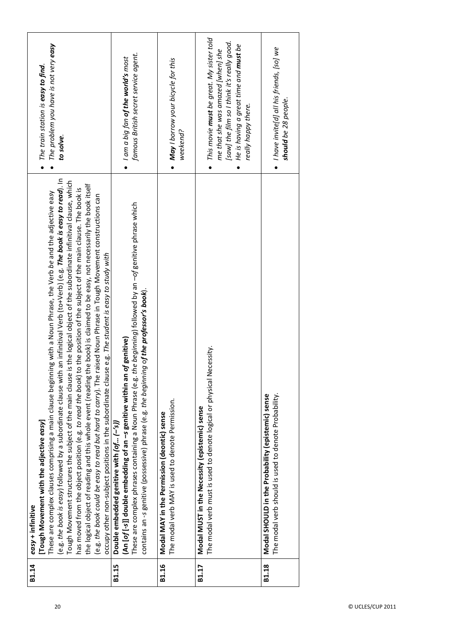| B1.14 | an infinitival Verb (to+Verb) (e.g. The book is easy to read). In<br>is the logical object of the subordinate infinitival clause, which<br>the logical object of reading and this whole event (reading the book) is claimed to be easy, not necessarily the book itself<br>has moved from the object position (e.g. to read the book) to the position of the subject of the main clause. The book is<br>These are complex clauses comprising a main clause beginning with a Noun Phrase, the Verb be and the adjective easy<br>(e.g. the book could be easy to read but hard to carry). The raised Noun Phrase in Tough Movement constructions can<br>occupy other non-subject positions in the subordinate clause e.g. The student is easy to study with<br>(e.g. the book is easy) followed by a subordinate clause with<br>Tough Movement structures the subject of the main clause<br>[Tough Movement with the adjective easy]<br>easy + infinitive | The problem you have is not very easy<br>The train station is easy to find.<br>to solve.                                                                                                                              |
|-------|---------------------------------------------------------------------------------------------------------------------------------------------------------------------------------------------------------------------------------------------------------------------------------------------------------------------------------------------------------------------------------------------------------------------------------------------------------------------------------------------------------------------------------------------------------------------------------------------------------------------------------------------------------------------------------------------------------------------------------------------------------------------------------------------------------------------------------------------------------------------------------------------------------------------------------------------------------|-----------------------------------------------------------------------------------------------------------------------------------------------------------------------------------------------------------------------|
| B1.15 | These are complex phrases containing a Noun Phrase (e.g. the beginning) followed by an $-$ of genitive phrase which<br>contains an -s genitive (possessive) phrase (e.g. the beginning of the professor's book).<br>(An [of [-s]] double embedding of an -s genitive within an of genitive)<br>Double embedded genitive with $[of[-s/]$                                                                                                                                                                                                                                                                                                                                                                                                                                                                                                                                                                                                                 | famous British secret service agent.<br>$\bullet$ 1 am a big fan <b>of the world's</b> most                                                                                                                           |
| B1.16 | The modal verb MAY is used to denote Permission.<br>Modal MAY in the Permission (deontic) sense                                                                                                                                                                                                                                                                                                                                                                                                                                                                                                                                                                                                                                                                                                                                                                                                                                                         | • May I borrow your bicycle for this<br>weekend?                                                                                                                                                                      |
| B1.17 | The modal verb must is used to denote logical or physical Necessity.<br>Modal MUST in the Necessity (epistemic) sense                                                                                                                                                                                                                                                                                                                                                                                                                                                                                                                                                                                                                                                                                                                                                                                                                                   | $\bullet~$ This movie <b>must</b> be great. My sister told<br>[saw] the film so I think it's really good.<br>He is having a great time and <b>must</b> be<br>me that she was amazed [when] she<br>really happy there. |
| B1.18 | The modal verb should is used to denote Probability.<br>Modal SHOULD in the Probability (epistemic) sense                                                                                                                                                                                                                                                                                                                                                                                                                                                                                                                                                                                                                                                                                                                                                                                                                                               | $\bullet$ I have invite[d] all his friends, [so] we<br>should be 28 people.                                                                                                                                           |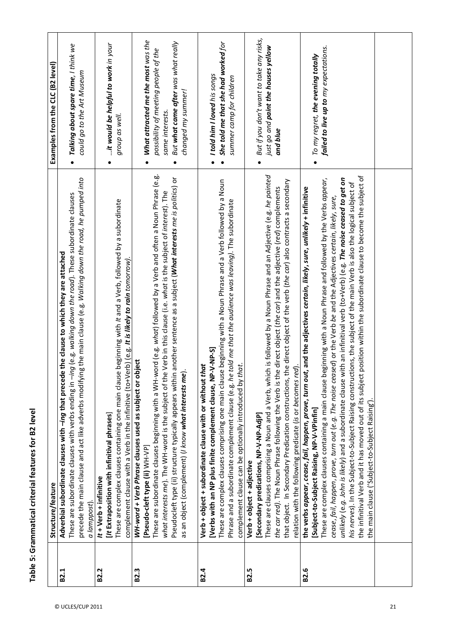|                   | Structure/feature                                                                                                                     | Examples from the CLC (B2 level)                      |
|-------------------|---------------------------------------------------------------------------------------------------------------------------------------|-------------------------------------------------------|
| B <sub>2.1</sub>  | Adverbial subordinate clauses with -ing that precede the clause to which they are attached                                            |                                                       |
|                   | These are subordinate clauses with verbs ending in -ing (e.g. walking down the road). These subordinate clauses                       | Talking about spare time, I think we<br>$\bullet$     |
|                   | precede the main clause and act like adverbs modifying the main clause (e.g. Walking down the road, he pumped into                    | could go to the Art Museum                            |
|                   | a lamppost)                                                                                                                           |                                                       |
| <b>B2.2</b>       | $1t +$ Verb + infinitive                                                                                                              |                                                       |
|                   | [It Extraposition with infinitival phrases]                                                                                           | it would be helpful to work in your                   |
|                   | These are complex clauses containing one main clause beginning with It and a Verb, followed by a subordinate                          | group as well.                                        |
|                   | complement clause with a Verb in the infinitive (to+Verb) (e.g. It is likely to rain tomorrow).                                       |                                                       |
| B2.3              | WH-word + Verb Phrase clauses used as subject or object                                                                               |                                                       |
|                   | [Pseudo-cleft type (ii) WH-VP]                                                                                                        | • What attracted me the most was the                  |
|                   | These are subordinate clauses beginning with a WH-word (e.g. whot) followed by a Verb and often a Noun Phrase (e.g.                   | possibility of meeting people of the                  |
|                   | what interests me). The WH-word is the subject of the Verb in this clause (i.e. what is the subject of interest). The                 | same interests.                                       |
|                   | Pseudocleft type (ii) structure typically appears within another sentence as a subject ( <i>What interests me is politics</i> ) or    | But what came after was what really                   |
|                   | as an object (complement) (I know what interests me).                                                                                 | changed my summer!                                    |
| B <sub>2.4</sub>  | Verb + object + subordinate clause with or without that                                                                               |                                                       |
|                   | [Verbs with an NP plus finite complement clause, NP-V-NP-S]                                                                           | I told him I loved his songs<br>$\bullet$             |
|                   | These are complex clauses comprising one main clause beginning with a Noun Phrase and a Verb followed by a Noun                       | She told me that she had worked for                   |
|                   | Phrase and a subordinate complement clause (e.g. he told me that the audience was leaving). The subordinate                           | summer camp for children                              |
|                   | complement clause can be optionally introduced by that.                                                                               |                                                       |
| B <sub>2.5</sub>  | Verb + object + adjective                                                                                                             |                                                       |
|                   | [Secondary predications, NP-V-NP-AdjP]                                                                                                | But if you don't want to take any risks,<br>$\bullet$ |
|                   | These are clauses comprising a Noun and a Verb, which is followed by a Noun Phrase and an Adjective (e.g. he painted                  | just go and paint the houses yellow                   |
|                   | the car red). The Noun Phrase following the Verb is the direct object (the car) and the adjective (red) complements                   | and blue                                              |
|                   | that object. In Secondary Predication constructions, the direct object of the verb (the car) also contracts a secondary               |                                                       |
|                   | relation with the following predicate (is or becomes red).                                                                            |                                                       |
| B <sub>2</sub> .6 | the verbs <i>appear, cease, fail, happen, prove, turn out,</i> and the adjectives <i>certain, likely, sure, unlikely +</i> infinitive |                                                       |
|                   | [Subject-to-Subject Raising, NP-V-VPinfin]                                                                                            | To my regret, the evening totally                     |
|                   | These are complex clauses containing a main clause beginning with a Noun Phrase and followed by the Verbs appear,                     | failed to live up to my expectations.                 |
|                   | cease, fail, happen, prove, turn out (e.g. The noise ceased) or the Verb be and the Adjectives certain, likely, sure,                 |                                                       |
|                   | unlikely (e.g. John is likely) and a subordinate clause with an infinitival verb (to+Verb) (e.g. The noise ceased to get on           |                                                       |
|                   | his nerves). In the Subject-to-Subject Raising constructions, the subject of the main Verb is also the logical subject of             |                                                       |
|                   | the infinitival Verb and it has moved out of its subject position within the subordinate clause to become the subject of              |                                                       |
|                   | the main clause ('Subject-to-Subject Raising')                                                                                        |                                                       |
|                   |                                                                                                                                       |                                                       |
|                   |                                                                                                                                       |                                                       |
|                   |                                                                                                                                       |                                                       |
|                   |                                                                                                                                       |                                                       |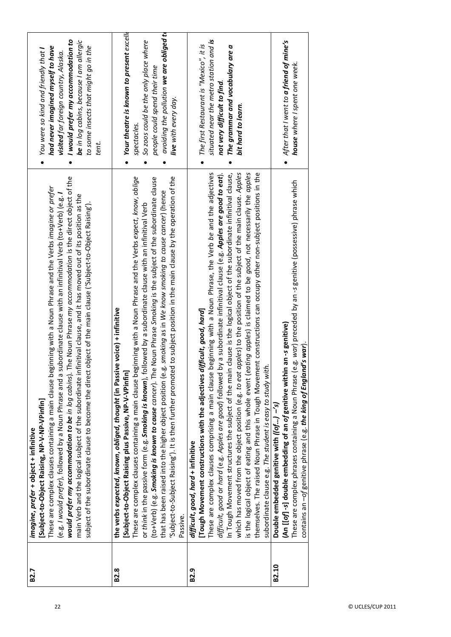| B2.7              | would prefer my accommodation to be in log cabins). The Noun Phrase my accommodation is the direct object of the<br>These are complex clauses containing a main clause beginning with a Noun Phrase and the Verbs <i>imagine or prefer</i><br>(e.g. / would prefer), followed by a Noun Phrase and a subordinate clause with an infinitival Verb (to+Verb) (e.g. /<br>main Verb and the logical subject of the subordinate infinitival clause, and it has moved out of its position as the<br>subject of the subordinate clause to become the direct object of the main clause ('Subject-to-Object Raising').<br>[Subject-to-Object Raising, NP-V-NP-VPinfin]<br>imagine, prefer + object + infinitive                                                                                                                                                                                                                                       | I would prefer my accommodation to<br>be in log cabins, because I am allergic<br>had never imagined myself to have<br>to some insects that might go in the<br>You were so kind and friendly that I<br><b>visited</b> far foreign country, Alaska.<br>tent. |
|-------------------|----------------------------------------------------------------------------------------------------------------------------------------------------------------------------------------------------------------------------------------------------------------------------------------------------------------------------------------------------------------------------------------------------------------------------------------------------------------------------------------------------------------------------------------------------------------------------------------------------------------------------------------------------------------------------------------------------------------------------------------------------------------------------------------------------------------------------------------------------------------------------------------------------------------------------------------------|------------------------------------------------------------------------------------------------------------------------------------------------------------------------------------------------------------------------------------------------------------|
| B <sub>2</sub> .8 | 'Subject-to-Subject Raising'). It is then further promoted to subject position in the main clause by the operation of the<br>hese are complex clauses containing a main clause beginning with a Noun Phrase and the Verbs expect, know, oblige<br>Noun Phrase Smoking is the subject of the subordinate clause<br>that has been raised into the higher object position (e.g. smoking as in We know smoking to cause cancer) (hence<br>or think in the passive form (e.g. Smoking is known), followed by a subordinate clause with an infinitival Verb<br>e voice) + infinitive<br>the verbs <i>expected, known, obliged, thought</i> (in Passiv<br>[Subject-to-Object Raising plus Passive, NP-V-VPinfin]<br>(to+Verb) (e.g. Smoking is known to cause cancer). The<br>Passive                                                                                                                                                               | Your theatre is known to present excell<br>avoiding the pollution we are obliged to<br>So zoos could be the only place where<br>people could spend their time<br>live with every day.<br>spectacles.                                                       |
| B2.9              | by a subordinate infinitival clause (e.g. Apples are good to eat).<br>clause is the logical object of the subordinate infinitival clause,<br>which has moved from the object position (e.g. to eat apples) to the position of the subject of the main clause. Apples<br>beginning with a Noun Phrase, the Verb be and the adjectives<br>is the logical object of eating and this whole event (eating apples) is claimed to be good, not necessarily the apples<br>themselves. The raised Noun Phrase in Tough Movement constructions can occupy other non-subject positions in the<br>[Tough Movement constructions with the adjectives difficult, good, hard]<br>subordinate clause e.g. The student is easy to study with<br>In Tough Movement structures the subject of the main<br>difficult, good or hard (e.g. Apples are good) followed l<br>These are complex clauses comprising a main clause<br>difficult, good, hard + infinitive | situated near the metro station and is<br>The first Restaurant is "Mexico", it is<br>The grammar and vocabulary are a<br>not very difficult to find<br>bit hard to learn.                                                                                  |
| B2.10             | These are complex phrases containing a Noun Phrase (e.g. war) preceded by an -s genitive (possessive) phrase which<br>an-s genitive)<br>contains an -of genitive phrase (e.g. the king of England's war)<br>(An [[of] -s] double embedding of an of genitive within<br>Double embedded genitive with ((of) -'s)                                                                                                                                                                                                                                                                                                                                                                                                                                                                                                                                                                                                                              | After that I went to a friend of mine's<br>house where I spent one week.                                                                                                                                                                                   |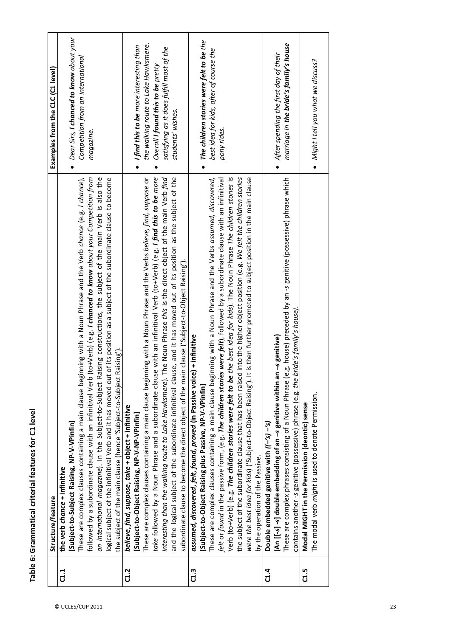|                | Structure/feature                                                                                                                                                                                                                                                                                                                                                                                                                                                                                                                                                                                                                                                                                                                                                                                                                                       | Examples from the CLC (C1 level)                                                                                                                                                                    |
|----------------|---------------------------------------------------------------------------------------------------------------------------------------------------------------------------------------------------------------------------------------------------------------------------------------------------------------------------------------------------------------------------------------------------------------------------------------------------------------------------------------------------------------------------------------------------------------------------------------------------------------------------------------------------------------------------------------------------------------------------------------------------------------------------------------------------------------------------------------------------------|-----------------------------------------------------------------------------------------------------------------------------------------------------------------------------------------------------|
| $\frac{1}{1}$  | logical subject of the infinitival Verb and it has moved out of its position as a subject of the subordinate clause to become<br>These are complex clauses containing a main clause beginning with a Noun Phrase and the Verb chance (e.g. I chance),<br>followed by a subordinate clause with an infinitival Verb (to+Verb) (e.g. <i>I chanced to know about your Competition from</i><br>an international magazine). In the Subject-to-Subject Raising constructions, the subject of the main Verb is also the<br>the subject of the main clause (hence 'Subject-to-Subject Raising')<br>[Subject-to-Subject Raising, NP-V-VPinfin]<br>the verb chance + infinitive                                                                                                                                                                                   | Dear Sirs, I chanced to know about your<br>Competition from an international<br>magazine.                                                                                                           |
| C1.2           | take followed by a Noun Phrase and a subordinate clause with an infinitival Verb (to+Verb) (e.g. I find this to be more<br>These are complex clauses containing a main clause beginning with a Noun Phrase and the Verbs believe, find, suppose or<br>interesting than the walking route to Lake Hawksmere). The Noun Phrase this is the direct object of the main Verb find<br>and the logical subject of the subordinate infinitival clause, and it has moved out of its position as the subject of the<br>n clause ('Subject-to-Object Raising').<br>subordinate clause to become the direct object of the main<br>believe, find, suppose, take + object + infinitive<br>[Subject-to-Object Raising, NP-V-NP-VPinfin]                                                                                                                                | the walking route to Lake Hawksmere.<br>I find this to be more interesting than<br>satisfying as it does fulfill most of the<br>Overall I found this to be pretty<br>students' wishes.<br>$\bullet$ |
| C1.3           | Verb (to+Verb) (e.g. <b>The <i>children stories were felt to be the best idea for kids</i>). The Noun Phrase <i>The children stories</i> is</b><br>the subject of the subordinate clause that has been raised into the higher object position (e.g. We felt the children stories<br>These are complex clauses containing a main clause beginning with a Noun Phrase and the Verbs assumed, discovered,<br>felt or found in the passive form, (e.g. The children stories were felt), followed by a subordinate clause with an infinitival<br>is then further promoted to subject position in the main clause<br>assumed, discovered, felt, found, proved (in Passive voice) + infinitive<br>were the best idea for kids) ('Subject-to-Object Raising'). It<br>[Subject-to-Object Raising plus Passive, NP-V-VPinfin]<br>by the operation of the Passive. | The children stories were felt to be the<br>best idea for kids, after of course the<br>pony rides.                                                                                                  |
| $\frac{4}{11}$ | g. house) preceded by an -s genitive (possessive) phrase which<br>contains another -s genitive (possessive) phrase (e.g. the bride's family's house).<br>-s genitive)<br>(An [[-s] -s] double embedding of an -s genitive within an<br>These are complex phrases consisting of a Noun Phrase (e.<br>Double embedded genitive with $((-/s) - 's)$                                                                                                                                                                                                                                                                                                                                                                                                                                                                                                        | marriage in the bride's family's house<br>$\bullet$ After spending the first day of their                                                                                                           |
| C1.5           | The modal verb might is used to denote Permission.<br>Modal MIGHT in the Permission (deontic) sense                                                                                                                                                                                                                                                                                                                                                                                                                                                                                                                                                                                                                                                                                                                                                     | $\bullet$ Might I tell you what we discuss?                                                                                                                                                         |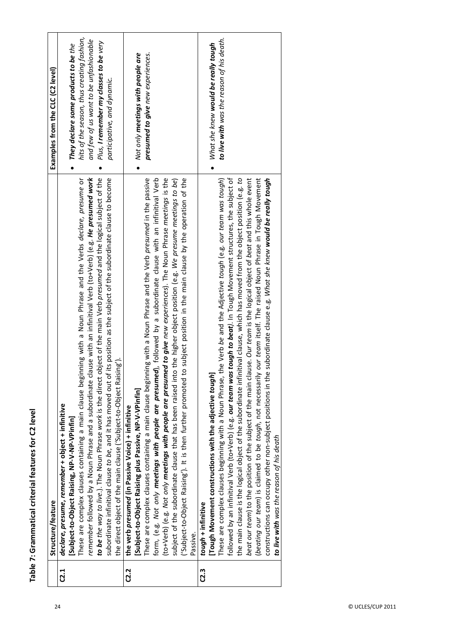|      | Structure/feature                                                                                                                 | Examples from the CLC (C2 level)           |
|------|-----------------------------------------------------------------------------------------------------------------------------------|--------------------------------------------|
| C2.1 | declare, presume, remember + object + infinitive                                                                                  |                                            |
|      | [Subject-to-Object Raising, NP-V-NP-VPinfin]                                                                                      | They declare some products to be the       |
|      | These are complex clauses containing a main clause beginning with a Noun Phrase and the Verbs declare, presume or                 | hits of the season, thus creating fashion, |
|      | remember followed by a Noun Phrase and a subordinate clause with an infinitival Verb (to+Verb) (e.g. He presumed work             | and few of us want to be unfashionable     |
|      | to be the way to live.). The Noun Phrase work is the direct object of the main Verb presumed and the logical subject of the       | Plus, I remember my classes to be very     |
|      | subordinate infinitival clause to be, and it has moved out of its position as the subject of the subordinate clause to become     | participative, and dynamic.                |
|      | the direct object of the main clause ('Subject-to-Object Raising').                                                               |                                            |
| C2.2 | the verb presumed (in Passive Voice) + infinitive                                                                                 |                                            |
|      | [Subject-to-Object Raising plus Passive, NP-V-VPinfin]                                                                            | Not only meetings with people are          |
|      | These are complex clauses containing a main clause beginning with a Noun Phrase and the Verb presumed in the passive              | presumed to give new experiences.          |
|      | form, (e.g. Not only meetings with people are presumed), followed by a subordinate clause with an infinitival Verb                |                                            |
|      | (to+Verb) (e.g. Not only <b>meetings with people are presumed to give</b> new experiences). The Noun Phrase meetings is the       |                                            |
|      | subject of the subordinate clause that has been raised into the higher object position (e.g. We presume meetings to be)           |                                            |
|      | ('Subject-to-Object Raising'). It is then further promoted to subject position in the main clause by the operation of the         |                                            |
|      | Passive.                                                                                                                          |                                            |
| C2.3 | tough + infinitive                                                                                                                |                                            |
|      | [Tough Movement constructions with the adjective tough]                                                                           | What she knew would be really tough        |
|      | the Verb be and the Adjective tough (e.g. our team was tough)<br>These are complex clauses beginning with a Noun Phrase,          | to live with was the reason of his death.  |
|      | followed by an infinitival Verb (to+Verb) (e.g. our team was tough to beat). In Tough Movement structures, the subject of         |                                            |
|      | the main clause is the logical object of the subordinate infinitival clause, which has moved from the object position (e.g. to    |                                            |
|      | use. Our team is the logical object of beat and this whole event<br>beat our team) to the position of the subject of the main cla |                                            |
|      | our team itself. The raised Noun Phrase in Tough Movement<br>(beating our team) is claimed to be tough, not necessarily           |                                            |
|      | subordinate clause e.g. What she knew would be really tough<br>constructions can occupy other non-subject positions in the        |                                            |
|      | <b>to live with</b> was the reason of his death                                                                                   |                                            |
|      |                                                                                                                                   |                                            |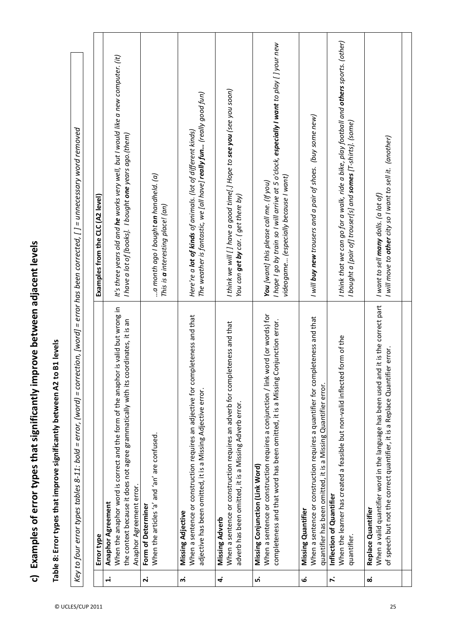c) Examples of error types that significantly improve between adjacent levels **c) Examples of error types that significantly improve between adjacent levels**

Table 8: Error types that improve significantly between A2 to B1 levels **Table 8: Error types that improve significantly between A2 to B1 levels**

Key to four error types tables 8-11: bold = error, (word) = correction, [word] = error has been corrected, [] = unnecessary word removed Key to four error types tables 8-11: bold = error, (word) = correction, [word] = error has been corrected, [ ] = unnecessary word removed

|                    | Error type                                                                            | Examples from the CLC (A2 level)                                                                 |
|--------------------|---------------------------------------------------------------------------------------|--------------------------------------------------------------------------------------------------|
| $\ddot{ }$         | <b>Anaphor Agreement</b>                                                              |                                                                                                  |
|                    | When the anaphor word is correct and the form of the anaphor is valid but wrong in    | It's three years old and <b>he</b> works very well, but I would like a new computer. (it)        |
|                    | the context because it does not agree grammatically with its coordinates, it is an    | I have a lot of [books]. I bought <b>one</b> years ago.(them)                                    |
|                    | Anaphor Agreement error.                                                              |                                                                                                  |
| $\dot{\mathbf{r}}$ | Form of Determiner                                                                    |                                                                                                  |
|                    | When the articles 'a' and 'an' are confused.                                          | a month ago I bought <b>an</b> handheld. (a)                                                     |
|                    |                                                                                       | This is $\bm{a}$ interesting place! (an)                                                         |
| ຕໍ່                | Missing Adjective                                                                     |                                                                                                  |
|                    | When a sentence or construction requires an adjective for completeness and that       | Here're a <b>lot of kinds</b> of animals. (lot of different kinds)                               |
|                    | adjective has been omitted, it is a Missing Adjective error.                          | The weather is fantastic, we [all have] <b>really fun</b> (really good fun)                      |
| 4                  | Missing Adverb                                                                        |                                                                                                  |
|                    | eteness and that<br>When a sentence or construction requires an adverb for compl      | I think we will [] have a good time[.] Hope to see you (see you soon)                            |
|                    | adverb has been omitted, it is a Missing Adverb error.                                | You can <b>get by</b> car. ( get there by)                                                       |
| ம்                 | Missing Conjunction (Link Word)                                                       |                                                                                                  |
|                    | When a sentence or construction requires a conjunction / link word (or words) for     | <b>You</b> [want] this please call me. (If you)                                                  |
|                    | completeness and that word has been omitted, it is a Missing Conjunction error.       | I hope I go by train so I will arrive at 5 o'clock, <b>especially I want</b> to play [] your new |
|                    |                                                                                       | videogame (especially because I want)                                                            |
| ق                  | Missing Quantifier                                                                    |                                                                                                  |
|                    | pleteness and that<br>When a sentence or construction requires a quantifier for comp  | I will <b>buy new</b> trousers and a pair of shoes. (buy some new)                               |
|                    | quantifier has been omitted, it is a Missing Quantifier error.                        |                                                                                                  |
| $\ddot{\sim}$      | Inflection of Quantifier                                                              |                                                                                                  |
|                    | form of the<br>When the learner has created a feasible but non-valid inflected        | I think that we can go for a walk, ride a bike, play football and <b>others</b> sports. (other)  |
|                    | quantifier.                                                                           | l bought a [pair of] trouser[s] and <b>somes</b> [T-shirts]. (some)                              |
| ထံ                 | Replace Quantifier                                                                    |                                                                                                  |
|                    | When a valid quantifier word in the language has been used and it is the correct part | I want to sell <b>many</b> dolls. (a lot of)                                                     |
|                    | of speech but not the correct quantifier, it is a Replace Quantifier error.           | I will move to <b>other</b> city so I want to sell it. (another)                                 |
|                    |                                                                                       |                                                                                                  |
|                    |                                                                                       |                                                                                                  |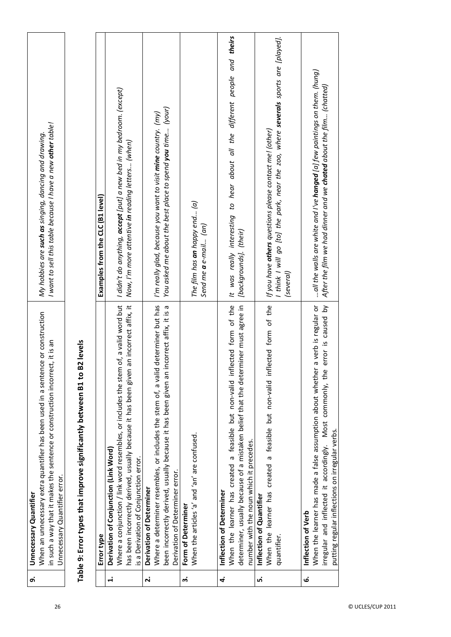| ெ்                 | When an unnecessary extra quantifier has been used in a sentence or construction<br>in such a way that it makes the sentence or construction incorrect, it is an<br>Unnecessary Quantifier error.<br><b>Unnecessary Quantifier</b> | I want to sell this table because I have a new <b>other</b> table!<br>My hobbies are <b>such as</b> singing, dancing and drawing.                                        |
|--------------------|------------------------------------------------------------------------------------------------------------------------------------------------------------------------------------------------------------------------------------|--------------------------------------------------------------------------------------------------------------------------------------------------------------------------|
|                    | Table 9: Error types that improve significantly between B1 to B2 levels                                                                                                                                                            |                                                                                                                                                                          |
|                    | Error type                                                                                                                                                                                                                         | Examples from the CLC (B1 level)                                                                                                                                         |
| $\ddot{ }$         | of, a valid word but<br>Where a conjunction / link word resembles, or includes the stem<br>Derivation of Conjunction (Link Word)                                                                                                   | I didn't do anything, <b>accept</b> [put] a new bed in my bedroom. (except)                                                                                              |
|                    | an incorrect affix, it<br>has been incorrectly derived, usually because it has been given<br>is a Derivation of Conjunction error.                                                                                                 | Now, I'm more attentive <b>in</b> reading letters (when)                                                                                                                 |
| $\dot{\mathbf{r}}$ | Derivation of Determiner                                                                                                                                                                                                           |                                                                                                                                                                          |
|                    | determiner but has<br>incorrect affix, it is a<br>Where a determiner resembles, or includes the stem of, a valid<br>been incorrectly derived, usually because it has been given an i<br>Derivation of Determiner error.            | You asked me about the best place to spend <b>you</b> time (your)<br>I'm really glad, because you want to visit <b>mine</b> country. (my)                                |
| က                  | Form of Determiner                                                                                                                                                                                                                 |                                                                                                                                                                          |
|                    | When the articles 'a' and 'an' are confused.                                                                                                                                                                                       | The film has <b>an</b> happy end (a)<br>Send me <b>a</b> e-mail (an)                                                                                                     |
| 4.                 | Inflection of Determiner                                                                                                                                                                                                           |                                                                                                                                                                          |
|                    | When the learner has created a feasible but non-valid inflected form of the<br>determiner, usually because of a mistaken belief that the determiner must agree in<br>number with the noun which it precedes.                       | It was really interesting to hear about all the different people and theirs<br>[backgrounds]. (their)                                                                    |
| ம்                 | Inflection of Quantifier                                                                                                                                                                                                           |                                                                                                                                                                          |
|                    | When the learner has created a feasible but non-valid inflected form of the<br>quantifier.                                                                                                                                         | I think I will go [to] the park, near the zoo, where <b>severals</b> sports are [played].<br>If you have <b>others</b> questions please contact me! (other)<br>(several) |
| ق                  | Inflection of Verb                                                                                                                                                                                                                 |                                                                                                                                                                          |
|                    | a verb is regular or<br>error is caused by<br>When the learner has made a false assumption about whether<br>irregular and inflected it accordingly. Most commonly, the<br>putting regular inflections on irregular verbs.          | all the walls are white and I've <b>hanged</b> [a] few paintings on them. (hung)<br>After the film we had dinner and we <b>chated</b> about the film (chatted)           |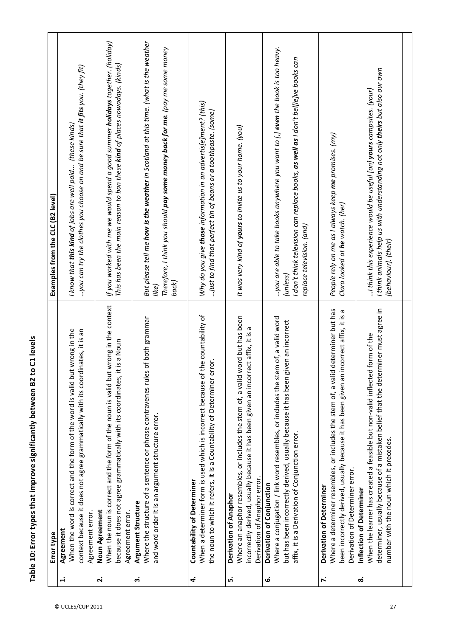Table 10: Error types that improve significantly between B2 to C1 levels **Table 10: Error types that improve significantly between B2 to C1 levels**

|                    | Error type                                                                                 | Examples from the CLC (B2 level)                                                              |
|--------------------|--------------------------------------------------------------------------------------------|-----------------------------------------------------------------------------------------------|
| $\ddot{ }$         | Agreement                                                                                  |                                                                                               |
|                    | ad in the<br>When the word is correct and the form of the word is valid bu                 | I know that <b>this kind</b> of jobs are well paid (these kinds)                              |
|                    | context because it does not agree grammatically with its coordinates, it is an             | you can try the clothes you choose on and be sure that <b>it fits</b> you. (they fit)         |
|                    | Agreement error.                                                                           |                                                                                               |
| $\dot{\mathbf{r}}$ | Noun Agreement                                                                             |                                                                                               |
|                    | When the noun is correct and the form of the noun is valid but wrong in the context        | If you worked with me we would spend a good summer <b>holidays</b> together. (holiday)        |
|                    | it is a Noun<br>because it does not agree grammatically with its coordinates,              | This has been the main reason to ban these <b>kind</b> of places nowadays. (kinds)            |
|                    | Agreement error.                                                                           |                                                                                               |
| ຕໍ່                | Argument Structure                                                                         |                                                                                               |
|                    | Where the structure of a sentence or phrase contravenes rules of both grammar              | But please tell me <b>how is the weather</b> in Scotland at this time. (what is the weather   |
|                    | and word order it is an argument structure error.                                          | like)                                                                                         |
|                    |                                                                                            | Therefore, I think you should <b>pay some money back for me</b> . (pay me some money<br>back) |
|                    |                                                                                            |                                                                                               |
| 4                  | Countability of Determiner                                                                 |                                                                                               |
|                    | When a determiner form is used which is incorrect because of the countability of           | Why do you give <b>those</b> information in an advertis[e]ment? (this)                        |
|                    | the noun to which it refers, it is a Countability of Determiner error.                     | just to find that perfect tin of beans or a toothpaste. (some)                                |
|                    |                                                                                            |                                                                                               |
| ம்                 | Derivation of Anaphor                                                                      |                                                                                               |
|                    | word but has been<br>Where an anaphor resembles, or includes the stem of, a valid          | It was very kind of yours to invite us to your home. (you)                                    |
|                    | incorrectly derived, usually because it has been given an incorrect affix, it is a         |                                                                                               |
|                    | Derivation of Anaphor error.                                                               |                                                                                               |
| ق                  | Derivation of Conjunction                                                                  |                                                                                               |
|                    | Where a conjugation / link word resembles, or includes the stem of, a valid word           | you are able to take books anywhere you want to $L$ ] even the book is too heavy.             |
|                    | but has been incorrectly derived, usually because it has been given an incorrect           | (unless)                                                                                      |
|                    | affix, it is a Derivation of Conjunction error.                                            | I don't think television can replace books, as well as I don't bel[ie]ve books can            |
|                    |                                                                                            | replace television. (and)                                                                     |
| <sup>2</sup>       | Derivation of Determiner                                                                   |                                                                                               |
|                    | Where a determiner resembles, or includes the stem of, a valid determiner but has          | People rely on me as I always keep me promises. (my)                                          |
|                    | incorrect affix, it is a<br>been incorrectly derived, usually because it has been given an | Clara looked at he watch. (her)                                                               |
|                    | Derivation of Determiner error.                                                            |                                                                                               |
| ထံ                 | Inflection of Determiner                                                                   |                                                                                               |
|                    | When the learner has created a feasible but non-valid inflected form of the                | I think this experience would be useful [on] yours campsites. (your)                          |
|                    | determiner, usually because of a mistaken belief that the determiner must agree in         | I think animals help us with understanding not only <b>theirs</b> but also our own            |
|                    | number with the noun which it precedes.                                                    | [behaviour]. (their)                                                                          |
|                    |                                                                                            |                                                                                               |
|                    |                                                                                            |                                                                                               |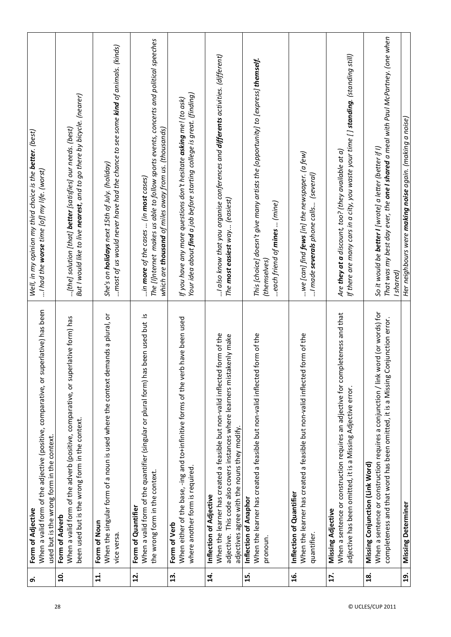| ெ்                                  | When a valid form of the adjective (positive, comparative, or superlative) has been<br>used but is the wrong form in the context.<br>Form of Adjective                                                                                  | Well, in my opinion my third choice is the <b>better</b> . (best)<br>$$ I had the <b>worse</b> time [of] my life. (worst)                                                                                                                |
|-------------------------------------|-----------------------------------------------------------------------------------------------------------------------------------------------------------------------------------------------------------------------------------------|------------------------------------------------------------------------------------------------------------------------------------------------------------------------------------------------------------------------------------------|
| $\overline{a}$                      | erlative form) has<br>When a valid form of the adverb (positive, comparative, or sup<br>been used but is the wrong form in the context.<br>Form of Adverb                                                                               | But I would like to live nearest, and to go there by bicycle. (nearer)<br>[the] solution [that] <b>better</b> [satisfies] our needs. (best)                                                                                              |
| $\mathbf{1}$                        | When the singular form of a noun is used where the context demands a plural, or<br>Form of Noun<br>vice versa.                                                                                                                          | most of us would never have had the chance to see some <b>kind</b> of animals. (kinds)<br>She's on <b>holidays</b> next 15th of July. (holiday)                                                                                          |
| $\mathbf{r}$                        | When a valid form of the quantifier (singular or plural form) has been used but is<br>the wrong form in the context.<br>Form of Quantifier                                                                                              | The [i]nternet makes us able to follow sports events, concerts and political speeches<br>which are <b>thousand</b> of miles away from us. (thousands)<br>in more of the cases  (in most cases)                                           |
| 13.                                 | When either of the base, -ing and to-infinitive forms of the verb have been used<br>where another form is required.<br>Form of Verb                                                                                                     | Your idea about <b>find</b> a job before starting college is great. (finding)<br>If you have any more questions don't hesitate <b>asking</b> me! (to ask)                                                                                |
| 14.                                 | When the learner has created a feasible but non-valid inflected form of the<br>adjective. This code also covers instances where learners mistakenly make<br>adjectives agree with the nouns they modify.<br>Inflection of Adjective     | I also know that you organise conferences and <b>differents</b> activities. (different)<br>The most easiest way (easiest)                                                                                                                |
| $\ddot{1}$                          | When the learner has created a feasible but non-valid inflected form of the<br>Inflection of Anaphor<br>pronoun.                                                                                                                        | This [choice] doesn't give many artists the [opportunity] to [express] <b>themself.</b><br>each friend of <b>mines</b> (mine)<br>(themselves)                                                                                            |
| $\frac{6}{1}$                       | When the learner has created a feasible but non-valid inflected form of the<br>Inflection of Quantifier<br>quantifier.                                                                                                                  | we [can] find <b>fews</b> [in] the newspaper. (a few)<br>I made <b>severals</b> phone calls (several)                                                                                                                                    |
| 17.                                 | When a sentence or construction requires an adjective for completeness and that<br>adjective has been omitted, it is a Missing Adjective error.<br>Missing Adjective                                                                    | If there are many cars in a city, you waste your time [ ] <b>standing</b> . (standing still)<br>Are <b>they at a</b> discount, too? (they available at a)                                                                                |
| $\overline{19}$ .<br>$\frac{8}{16}$ | word (or words) for<br>completeness and that word has been omitted, it is a Missing Conjunction error.<br>When a sentence or construction requires a conjunction / link<br>Missing Conjunction (Link Word)<br><b>Missing Determiner</b> | That was my best day ever, the <b>one I shared</b> a meal with Paul McPartney. (one when<br>Her neighbours were <b>making noise</b> again. (making a noise)<br>So it would be <b>better I</b> [wrote] a letter (better if I)<br>Ishared) |
|                                     |                                                                                                                                                                                                                                         |                                                                                                                                                                                                                                          |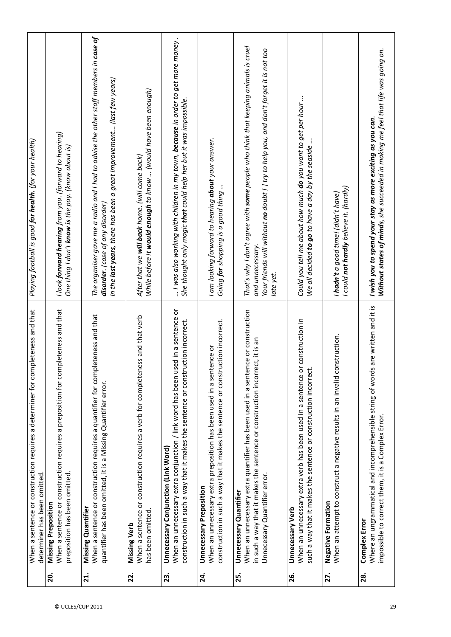|     | When a sentence or construction requires a determiner for completeness and that<br>determiner has been omitted.                                                                                                                   | Playing football is good <b>for health.</b> (for your health)                                                                                                                                                             |
|-----|-----------------------------------------------------------------------------------------------------------------------------------------------------------------------------------------------------------------------------------|---------------------------------------------------------------------------------------------------------------------------------------------------------------------------------------------------------------------------|
| 20. | When a sentence or construction requires a preposition for completeness and that<br>preposition has been omitted.<br><b>Missing Preposition</b>                                                                                   | l look <b>forward hearing</b> from you. (forward to hearing)<br>One thing I don't <b>know is</b> the pay. (know about is)                                                                                                 |
| 21. | When a sentence or construction requires a quantifier for completeness and that<br>quantifier has been omitted, it is a Missing Quantifier error.<br><b>Missing Quantifier</b>                                                    | The organiser gave me a radio and I had to advise the other staff members in $\emph{case of}$<br>In the <b>last years</b> , there has been a great improvement (last few years)<br>disorder. (case of any disorder)       |
| 22. | When a sentence or construction requires a verb for completeness and that verb<br>has been omitted<br><b>Missing Verb</b>                                                                                                         | While before it <b>would enough</b> to know  (would have been enough)<br>After that we will back home. (will come back)                                                                                                   |
| 23. | used in a sentence or<br>construction in such a way that it makes the sentence or construction incorrect.<br>When an unnecessary extra conjunction / link word has been<br>Unnecessary Conjunction (Link Word)                    | I was also working with children in my town, <b>because</b> in order to get more money.<br>She thought only magic <b>that</b> could help her but it was impossible.                                                       |
| 24. | construction in such a way that it makes the sentence or construction incorrect.<br>When an unnecessary extra preposition has been used in a sentence or<br><b>Unnecessary Preposition</b>                                        | I am looking forward to hearing <b>about</b> your answer.<br>Going <b>for</b> shopping is a good thing                                                                                                                    |
| 25. | When an unnecessary extra quantifier has been used in a sentence or construction<br>in such a way that it makes the sentence or construction incorrect, it is an<br>Unnecessary Quantifier error<br><b>Unnecessary Quantifier</b> | That's why I don't agree with <b>some</b> people who think that keeping animals is cruel<br>Your friends will without <b>no</b> doubt [] try to help you, and don't forget it is not too<br>and unnecessary.<br>late yet. |
| 26. | or construction in<br>such a way that it makes the sentence or construction incorrect.<br>When an unnecessary extra verb has been used in a sentence<br><b>Unnecessary Verb</b>                                                   | Could you tell me about how much <b>do</b> you want to get per hour<br>We all decided <b>to go</b> to have a day by the seaside                                                                                           |
| 27. | When an attempt to construct a negative results in an invalid construction.<br>Negative Formation                                                                                                                                 | I could <b>not hardly</b> believe it. (hardly)<br>I hadn't a good time! (didn't have)                                                                                                                                     |
| 28. | Where an ungrammatical and incomprehensible string of words are written and it is<br>impossible to correct them, it is a Complex Error.<br><b>Complex Error</b>                                                                   | Without states of minds, she succeeded in making me feel that life was going on.<br>I wish you to spend your stay as more exciting as you can.                                                                            |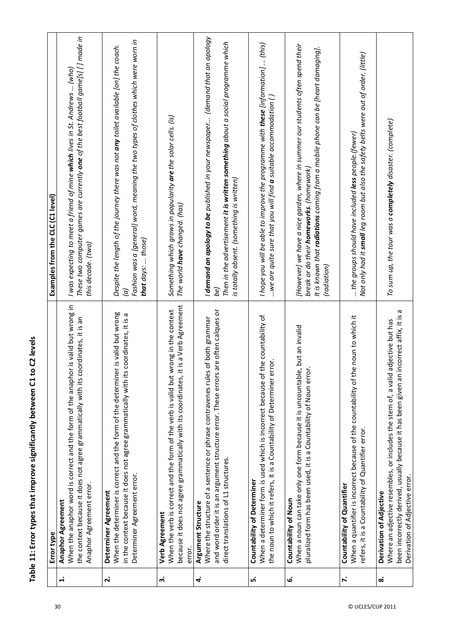| <br> }<br> }<br> ; |
|--------------------|
|                    |
|                    |
|                    |
|                    |
|                    |
|                    |
|                    |
|                    |
|                    |
|                    |
|                    |
|                    |
|                    |
|                    |
|                    |
|                    |
|                    |
|                    |
|                    |
|                    |
|                    |
|                    |
|                    |
|                    |
| .<br>'             |
|                    |
|                    |
| ;<br>;<br>;        |
|                    |
|                    |
|                    |
|                    |
|                    |
| Table 11: L        |
|                    |
|                    |
|                    |

|              | Error type                                                                                                                                                                                                                                          | Examples from the CLC (C1 level)                                                                                                                                                                                                            |
|--------------|-----------------------------------------------------------------------------------------------------------------------------------------------------------------------------------------------------------------------------------------------------|---------------------------------------------------------------------------------------------------------------------------------------------------------------------------------------------------------------------------------------------|
| $\ddot{ }$   | When the anaphor word is correct and the form of the anaphor is valid but wrong in<br>the context because it does not agree grammatically with its coordinates, it is an<br>Anaphor Agreement error.<br><b>Anaphor Agreement</b>                    | These two computer games are currently <b>one</b> of the best football game[s] [] made in<br>I was expecting to meet a friend of mine <b>which</b> lives in St. Andrews  (who)<br>this decade. (two)                                        |
| 2.           | When the determiner is correct and the form of the determiner is valid but wrong<br>coordinates, it is a<br>in the context because it does not agree grammatically with its<br>Determiner Agreement error.<br>Determiner Agreement                  | Fashion was a [general] word, meaning the two types of clothes which were worn in<br>Despite the length of the journey there was not any toilet available [on] the coach.<br>that days:  those)<br>$\overline{c}$                           |
| ന്           | because it does not agree grammatically with its coordinates, it is a Verb Agreement<br>When the verb is correct and the form of the verb is valid but wrong in the context<br>Verb Agreement<br>error.                                             | Something which grows in popularity are the solar cells. (is)<br>The world <b>have</b> changed. (has)                                                                                                                                       |
| 4            | are often calques or<br>of both grammar<br>Where the structure of a sentence or phrase contravenes rules<br>and word order it is an argument structure error. These errors<br>direct translations of L1 structures.<br>Argument Structure           | I demand an apology to be published in your newspaper (demand that an apology<br>Then in the advertisement i <b>t is written something</b> about a social programme which<br>is totally absent. (something is written)                      |
| ம்           | When a determiner form is used which is incorrect because of the countability of<br>the noun to which it refers, it is a Countability of Determiner error.<br><b>Countability of Determiner</b>                                                     | I hope you will be able to improve the programme with <b>these</b> [information]  (this)<br>we are quite sure that you will find <b>a</b> suitable accommodation ( )                                                                        |
| نى           | When a noun can take only one form because it is uncountable, but an invalid<br>pluralized form has been used, it is a Countability of Noun error<br>Countability of Noun                                                                           | [However] we have a nice garden, where in summer our students often spend their<br>It is known that <b>radiations</b> coming from a mobile phone can be [heart damaging].<br>break or do their <b>homeworks</b> . (homework)<br>(radiation) |
| <sup>N</sup> | When a quantifier is incorrect because of the countability of the noun to which it<br>refers, it is a Countability of Quantifier error.<br>Countability of Quantifier                                                                               | Not only had it <b>small</b> leg room but also the safety belts were out of order. (little)<br>the groups should have included less people. (fewer)                                                                                         |
| ထံ           | ω<br>incorrect affix, it is<br>adjective but has<br>been incorrectly derived, usually because it has been given an i<br>Where an adjective resembles, or includes the stem of, a valid<br>Derivation of Adjective error.<br>Derivation of Adjective | To sum up, the tour was a <b>completely</b> disaster. (complete)                                                                                                                                                                            |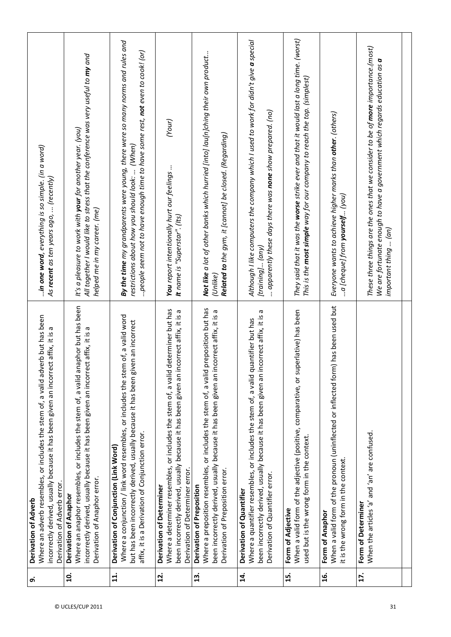| o,             | Where an adverb resembles, or includes the stem of, a valid adverb but has been<br>incorrectly derived, usually because it has been given an incorrect affix, it is a<br>Derivation of Adverb error.<br>Derivation of Adverb                                     | in one word, everything is so simple. (in a word)<br>As recent as ten years ago,  (recently)                                                                                                                              |
|----------------|------------------------------------------------------------------------------------------------------------------------------------------------------------------------------------------------------------------------------------------------------------------|---------------------------------------------------------------------------------------------------------------------------------------------------------------------------------------------------------------------------|
| <u>g</u>       | Where an anaphor resembles, or includes the stem of, a valid anaphor but has been<br>incorrectly derived, usually because it has been given an incorrect affix, it is a<br>Derivation of Anaphor error.<br>Derivation of Anaphor                                 | All together I would like to stress that the conference was very useful to my and<br>It's a pleasure to work with <b>your</b> for another year. (you)<br>helped me in my career. (me)                                     |
| 11.            | Where a conjunction / link word resembles, or includes the stem of, a valid word<br>but has been incorrectly derived, usually because it has been given an incorrect<br>affix, it is a Derivation of Conjunction error.<br>Derivation of Conjunction (Link Word) | By the time my grandparents were young, there were so many norms and rules and<br>people seem not to have enough time to have some rest, <b>not</b> even to cook! (or)<br>restrictions about how you should look:  (When) |
| 12.            | Where a determiner resembles, or includes the stem of, a valid determiner but has<br>incorrect affix, it is a<br>been incorrectly derived, usually because it has been given an<br>Derivation of Determiner error.<br>Derivation of Determiner                   | (Your)<br>You report intentionally hurt our feelings<br>It name is "Superstar". (Its)                                                                                                                                     |
| $\frac{3}{2}$  | Where a preposition resembles, or includes the stem of, a valid preposition but has<br>incorrect affix, it is a<br>been incorrectly derived, usually because it has been given an<br>Derivation of Preposition error.<br>Derivation of Preposition               | Not like a lot of other banks which hurried [into] lau[n]ching their own product<br><b>Related to</b> the gym, it [cannot] be closed. (Regarding)<br>(Unlike)                                                             |
| 14.            | incorrect affix, it is a<br>Where a quantifier resembles, or includes the stem of, a valid quantifier but has<br>been incorrectly derived, usually because it has been given an<br>Derivation of Quantifier error.<br>Derivation of Quantifier                   | Although I like computers the company which I used to work for didn't give <b>a</b> special<br>apparently these days there was <b>none</b> show prepared. (no)<br>(training] (any)                                        |
| 15.            | When a valid form of the adjective (positive, comparative, or superlative) has been<br>used but is the wrong form in the context.<br>Form of Adjective                                                                                                           | They said that it was the worse strike ever and that it would last a long time. (worst)<br>This is the <b>most simple</b> way for our company to reach the top. (simplest)                                                |
| $\frac{16}{1}$ | When a valid form of the pronoun (uninflected or inflected form) has been used but<br>it is the wrong form in the context.<br>Form of Anaphor                                                                                                                    | Everyone wants to achieve higher marks than <b>other.</b> (others)<br>a [cheque] from $\bm{p} \bm{o}$ urself (you)                                                                                                        |
| 17.            | When the articles 'a' and 'an' are confused.<br>Form of Determiner                                                                                                                                                                                               | These three things are the ones that we consider to be of <b>more</b> importance.(most)<br>We are fortunate enough to have a government which regards education as $\bm{a}$<br>important thing  (an)                      |
|                |                                                                                                                                                                                                                                                                  |                                                                                                                                                                                                                           |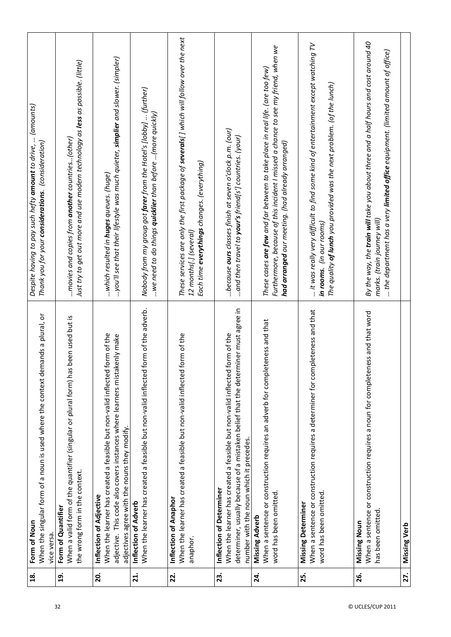| $\frac{8}{1}$     | When the singular form of a noun is used where the context demands a plural, or<br>Form of Noun<br>vice versa.                                                                                                                              | Despite having to pay such hefty <b>amount</b> to drive,  (amounts)<br>Thank you for your <b>considerations</b> . (consideration)                                                                                                      |
|-------------------|---------------------------------------------------------------------------------------------------------------------------------------------------------------------------------------------------------------------------------------------|----------------------------------------------------------------------------------------------------------------------------------------------------------------------------------------------------------------------------------------|
| $\overline{19}$ . | When a valid form of the quantifier (singular or plural form) has been used but is<br>the wrong form in the context.<br>Form of Quantifier                                                                                                  | Just try to get out more and use modern technology as <b>less</b> as possible. (little)<br>$$ movies and copies from <b>another</b> countries(other)                                                                                   |
| 20.               | form of the<br>ikenly make<br>When the learner has created a feasible but non-valid inflected<br>adjective. This code also covers instances where learners mista<br>adjectives agree with the nouns they modify.<br>Inflection of Adjective | you'll see that their lifestyle was much quieter, <b>simplier</b> and slower. (simpler)<br>which resulted in <b>huges</b> queues. (huge)                                                                                               |
| <b>zi</b> .       | When the learner has created a feasible but non-valid inflected form of the adverb.<br>Inflection of Adverb                                                                                                                                 | Nobody from my group got <b>farer</b> from the Hotel's [lobby]  (further)<br>$$ we need to do things <b>quicklier</b> than before $($ more quickly)                                                                                    |
| 22.               | form of the<br>When the learner has created a feasible but non-valid inflected<br>Inflection of Anaphor<br>anaphor.                                                                                                                         | These services are only the first package of severals[] which will follow over the next<br>Each time <b>everythings</b> changes. (everything)<br>12 months[.] (several)                                                                |
| 23.               | determiner, usually because of a mistaken belief that the determiner must agree in<br>form of the<br>When the learner has created a feasible but non-valid inflected<br>number with the noun which it precedes.<br>Inflection of Determiner | because ours classes finish at seven o'clock p.m. (our)<br>and then travel to <b>your's</b> friend[s'] countries. (your)                                                                                                               |
| 24.               | When a sentence or construction requires an adverb for completeness and that<br>word has been omitted<br>Missing Adverb                                                                                                                     | Furthermore, because of this incident I missed a chance to see my friend, when we<br>These cases $\emph{are few}$ and far between to take place in real life. (are too few)<br><b>had arranged</b> our meeting. (had already arranged) |
| 25.               | When a sentence or construction requires a determiner for completeness and that<br>word has been omitted<br><b>Missing Determiner</b>                                                                                                       | it was really very difficult to find some kind of entertainment except watching TV.<br>The quality <b>of lunch</b> you provided was the next problem. (of the lunch)<br>in rooms. (in our rooms)                                       |
| 26.               | When a sentence or construction requires a noun for completeness and that word<br>has been omitted<br>Missing Noun                                                                                                                          | By the way, the <b>train will t</b> ake you about three and a half hours and cost around 40<br>the department has a very <b>limited office</b> equipment. (limited amount of office)<br>marks. (train journey will)                    |
| 27.               | <b>Missing Verb</b>                                                                                                                                                                                                                         |                                                                                                                                                                                                                                        |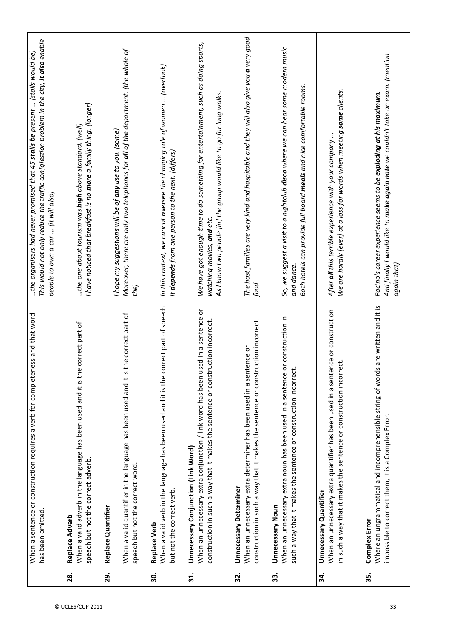|             | When a sentence or construction requires a verb for completeness and that word<br>has been omitted.                                                                                                             | This would not only reduce the traffic con[g]estion problem in the city, <b>it also</b> enable<br>the organisers had never promised that 45 $st$ alls be present  (stalls would be)<br>people to own a car  (it will also) |
|-------------|-----------------------------------------------------------------------------------------------------------------------------------------------------------------------------------------------------------------|----------------------------------------------------------------------------------------------------------------------------------------------------------------------------------------------------------------------------|
| 28.         | When a valid adverb in the language has been used and it is the correct part of<br>speech but not the correct adverb.<br>Replace Adverb                                                                         | I have noticed that breakfast is no <b>more</b> a family thing. (longer)<br>the one about tourism was <b>high</b> above standard. (well)                                                                                   |
| 29.         | the correct part of<br>When a valid quantifier in the language has been used and it is<br>speech but not the correct word.<br>Replace Quantifier                                                                | Moreover, there are only two telephones for <b>all of the</b> department. (the whole of<br>I hope my suggestions will be of any use to you. (some)<br>the)                                                                 |
| 30.         | When a valid verb in the language has been used and it is the correct part of speech<br>but not the correct verb.<br>Replace Verb                                                                               | In this context, we cannot <b>oversee</b> the changing role of women  (overlook)<br>It depends from one person to the next. (differs)                                                                                      |
| $\vec{a}$ . | When an unnecessary extra conjunction / link word has been used in a sentence or<br>ruction incorrect.<br>construction in such a way that it makes the sentence or const<br>Unnecessary Conjunction (Link Word) | We have got enough time to do something for entertainment, such as doing sports,<br><b>As</b> I know two people [in] the group would like to go for long walks.<br>watching movies, and etc.                               |
| 32.         | construction in such a way that it makes the sentence or construction incorrect.<br>When an unnecessary extra determiner has been used in a sentence or<br><b>Unnecessary Determiner</b>                        | The host families are very kind and hospitable and they will also give you <b>a</b> very good<br>food.                                                                                                                     |
| 33.         | When an unnecessary extra noun has been used in a sentence or construction in<br>such a way that it makes the sentence or construction incorrect.<br><b>Unnecessary Noun</b>                                    | So, we suggest a visit to a nightclub <b>disco</b> where we can hear some modern music<br>Both hotels can provide full board meals and nice comfortable rooms.<br>and dance.                                               |
| 34.         | When an unnecessary extra quantifier has been used in a sentence or construction<br>in such a way that it makes the sentence or construction incorrect.<br><b>Unnecessary Quantifier</b>                        | We are hardly [ever] at a loss for words when meeting some clients.<br>After all this terrible experience with your company                                                                                                |
| 35.         | Is are written and it is<br>Where an ungrammatical and incomprehensible string of word<br>impossible to correct them, it is a Complex Error.<br>Complex Error                                                   | And finally I would like to <b>make again note</b> we couldn't take an exam. (mention<br>Pacino's career experience seems to be exploding at his maximum.<br>again that)                                                   |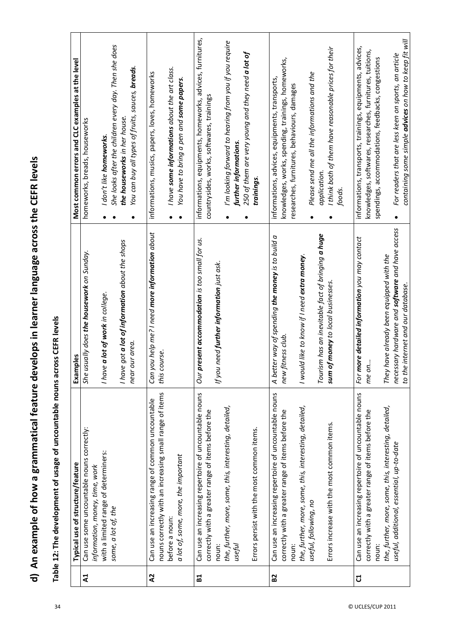d) An example of how a grammatical feature develops in learner language across the CEFR levels **d) An example of how a grammatical feature develops in learner language across the CEFR levels**

| $\frac{1}{2}$<br>;<br>;<br>;                                  |
|---------------------------------------------------------------|
| $\bf{e}$<br>i                                                 |
| :<br>;<br>;                                                   |
| $\frac{1}{1}$<br>:                                            |
| $\sim$ and $\sim$ and $\sim$ the sum to $\sim$<br>)<br>)<br>) |
| ļ<br>l                                                        |
|                                                               |
|                                                               |
| )<br>:<br>:<br>:<br>:                                         |
|                                                               |

|                | Typical use of structure/feature                        |                                                          | Most common errors and CLC examples at the level                  |
|----------------|---------------------------------------------------------|----------------------------------------------------------|-------------------------------------------------------------------|
|                |                                                         | Examples                                                 |                                                                   |
| $\mathbf{z}$   | Can use some uncountable nouns correctly:               | She usually does the housework on Sunday.                | homeworks, breads, houseworks                                     |
|                | information, money, time, work                          |                                                          |                                                                   |
|                | with a limited range of determiners:                    | re a lot of work in college.<br>I hav                    | I don't like homeworks.                                           |
|                | some, a lot of, the                                     |                                                          | She looks after the children every day. Then she does             |
|                |                                                         | I have got <b>a lot of information</b> about the shops   | the houseworks in her house.                                      |
|                |                                                         | our area.<br>near                                        | You can buy all types of fruits, sauces, <b>breads</b> .          |
| $\lambda$      | Can use an increasing range of common uncountable       | you help me? I need <b>more information</b> about<br>Can | informations, musics, papers, loves, homeworks                    |
|                | nouns correctly with an increasing small range of items | this course.                                             |                                                                   |
|                | before a noun:                                          |                                                          | I have some informations about the art class.                     |
|                | a lot of, some, more, the important                     |                                                          | You have to bring a pen and some papers.                          |
| $\overline{a}$ | Can use an increasing repertoire of uncountable nouns   | Our present accommodation is too small for us.           | informations, equipments, homeworks, advices, furnitures,         |
|                | correctly with a greater range of items before the      |                                                          | countrysides, works, softwares, trainings                         |
|                | noun:                                                   | If you need <b>further information</b> just ask.         |                                                                   |
|                | the, further, more, some, this, interesting, detailed,  |                                                          | I'm looking forward to hearing from you if you require            |
|                | useful                                                  |                                                          | further informations.                                             |
|                |                                                         |                                                          | 250 of them are very young and they need a lot of                 |
|                | Errors persist with the most common items.              |                                                          | trainings.                                                        |
| B <sub>2</sub> | Can use an increasing repertoire of uncountable nouns   | A better way of spending the money is to build a         | informations, advices, equipments, transports,                    |
|                | correctly with a greater range of items before the      | new fitness club.                                        | knowledges, works, spending, trainings, homeworks,                |
|                | noun:                                                   |                                                          | researches, furnitures, behaviours, damages                       |
|                | the, further, more, some, this, interesting, detailed,  | I would like to know if I need extra money.              |                                                                   |
|                | useful, following, no                                   |                                                          | Please send me all the informations and the                       |
|                |                                                         | Tourism has an inevitable fact of bringing a huge        | application.                                                      |
|                | Errors increase with the most common items.             | sum of money to local businesses.                        | I think both of them have reasonable prices for their             |
|                |                                                         |                                                          | foods.                                                            |
| ರ              | Can use an increasing repertoire of uncountable nouns   | For more detailed information you may contact            | informations, transports, trainings, equipments, advices,         |
|                | correctly with a greater range of items before the      | me on                                                    | knowledges, softwares, researches, furnitures, tuitions,          |
|                | noun:                                                   |                                                          | spendings, accommodations, feedbacks, congestions                 |
|                | the, further, more, some, this, interesting, detailed,  | They have already been equipped with the                 |                                                                   |
|                | useful, additional, essential, up-to-date               | necessary hardware and software and have access          | For readers that are less keen on sports, an article<br>$\bullet$ |
|                |                                                         | to the internet and our database                         | containing some simple <b>advices</b> on how to keep fit will     |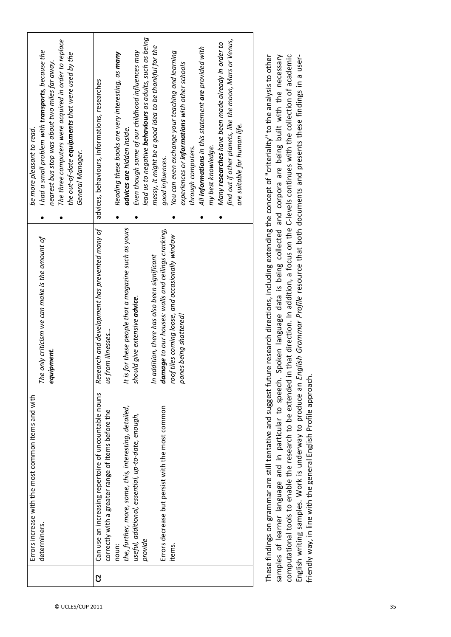| are suitable for human life.<br>advices are hidden inside.<br>my best knowledge.<br>through computers.<br>General Manager.<br>good influences.<br>It is for these people that a magazine such as yours<br>Research and development has prevented many of<br>damage to our houses: walls and ceilings cracking,<br>roof tiles coming loose, and occasionally window<br>In addition, there has also been significant<br>should give extensive advice.<br>panes being shattered!<br>us from illnesses<br>equipment.<br>Can use an increasing repertoire of uncountable nouns<br>Errors decrease but persist with the most common<br>the, further, more, some, this, interesting, detailed,<br>correctly with a greater range of items before the<br>useful, additional, essential, up-to-date, enough, | Errors increase with the most common items and with<br>determiners. | The only criticism we can make is the amount of | I had a small problem with <b>transports</b> , because the<br>be more pleasant to read.                                 |
|-----------------------------------------------------------------------------------------------------------------------------------------------------------------------------------------------------------------------------------------------------------------------------------------------------------------------------------------------------------------------------------------------------------------------------------------------------------------------------------------------------------------------------------------------------------------------------------------------------------------------------------------------------------------------------------------------------------------------------------------------------------------------------------------------------|---------------------------------------------------------------------|-------------------------------------------------|-------------------------------------------------------------------------------------------------------------------------|
|                                                                                                                                                                                                                                                                                                                                                                                                                                                                                                                                                                                                                                                                                                                                                                                                     |                                                                     |                                                 | The three computers were acquired in order to replace<br>nearest bus stop was about two miles far away.                 |
|                                                                                                                                                                                                                                                                                                                                                                                                                                                                                                                                                                                                                                                                                                                                                                                                     |                                                                     |                                                 | the out-of-date <b>equipments</b> that were used by the                                                                 |
|                                                                                                                                                                                                                                                                                                                                                                                                                                                                                                                                                                                                                                                                                                                                                                                                     |                                                                     |                                                 | advices, behaviours, informations, researches                                                                           |
|                                                                                                                                                                                                                                                                                                                                                                                                                                                                                                                                                                                                                                                                                                                                                                                                     |                                                                     |                                                 | Reading these books are very interesting, as many                                                                       |
|                                                                                                                                                                                                                                                                                                                                                                                                                                                                                                                                                                                                                                                                                                                                                                                                     |                                                                     |                                                 |                                                                                                                         |
|                                                                                                                                                                                                                                                                                                                                                                                                                                                                                                                                                                                                                                                                                                                                                                                                     |                                                                     |                                                 | Even though some of our childhood influences may                                                                        |
|                                                                                                                                                                                                                                                                                                                                                                                                                                                                                                                                                                                                                                                                                                                                                                                                     |                                                                     |                                                 | lead us to negative <b>behaviours</b> as adults, such as being<br>messy, it might be a good idea to be thankful for the |
|                                                                                                                                                                                                                                                                                                                                                                                                                                                                                                                                                                                                                                                                                                                                                                                                     |                                                                     |                                                 |                                                                                                                         |
|                                                                                                                                                                                                                                                                                                                                                                                                                                                                                                                                                                                                                                                                                                                                                                                                     |                                                                     |                                                 | You can even exchange your teaching and learning                                                                        |
|                                                                                                                                                                                                                                                                                                                                                                                                                                                                                                                                                                                                                                                                                                                                                                                                     |                                                                     |                                                 | experiences or informations with other schools                                                                          |
|                                                                                                                                                                                                                                                                                                                                                                                                                                                                                                                                                                                                                                                                                                                                                                                                     |                                                                     |                                                 |                                                                                                                         |
|                                                                                                                                                                                                                                                                                                                                                                                                                                                                                                                                                                                                                                                                                                                                                                                                     |                                                                     |                                                 | All informations in this statement are provided with                                                                    |
|                                                                                                                                                                                                                                                                                                                                                                                                                                                                                                                                                                                                                                                                                                                                                                                                     |                                                                     |                                                 |                                                                                                                         |
|                                                                                                                                                                                                                                                                                                                                                                                                                                                                                                                                                                                                                                                                                                                                                                                                     |                                                                     |                                                 | Many researches have been made already in order to                                                                      |
|                                                                                                                                                                                                                                                                                                                                                                                                                                                                                                                                                                                                                                                                                                                                                                                                     |                                                                     |                                                 | find out if other planets, like the moon, Mars or Venus,                                                                |
|                                                                                                                                                                                                                                                                                                                                                                                                                                                                                                                                                                                                                                                                                                                                                                                                     |                                                                     |                                                 |                                                                                                                         |

computational tools to enable the research to be extended in that direction. In addition, a focus on the C-levels continues with the collection of academic These findings on grammar are still tentative and suggest future research directions, including extending the concept of "criteriality" to the analysis to other samples of learner language and in particular to speech. Spoken language data is being collected and corpora are being built with the necessary English writing samples. Work is underway to produce an English Grammar Profile resource that both documents and presents these findings in a user-These findings on grammar are still tentative and suggest future research directions, including extending the concept of "criteriality" to the analysis to other samples of learner language and in particular to speech. Spoken language data is being collected and corpora are being built with the necessary computational tools to enable the research to be extended in that direction. In addition, a focus on the C-levels continues with the collection of academic English writing samples. Work is underway to produce an *English Grammar Profile* resource that both documents and presents these findings in a userͲ friendly way, in line with the general English Profile approach. friendly way, in line with the general English Profile approach.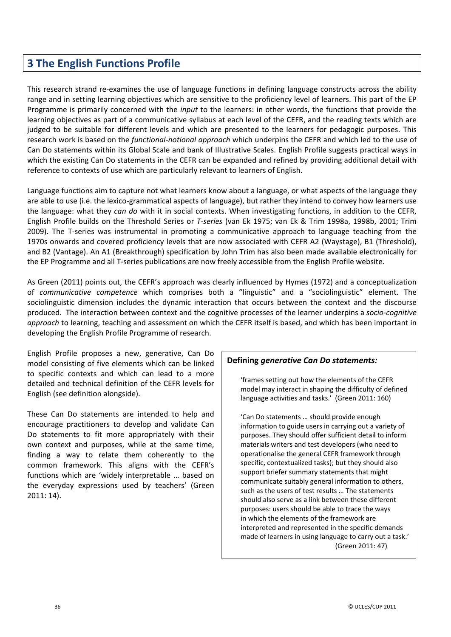# **3 The English Functions Profile**

This research strand re-examines the use of language functions in defining language constructs across the ability range and in setting learning objectives which are sensitive to the proficiency level of learners. This part of the EP Programme is primarily concerned with the *input* to the learners: in other words, the functions that provide the learning objectives as part of a communicative syllabus at each level of the CEFR, and the reading texts which are judged to be suitable for different levels and which are presented to the learners for pedagogic purposes. This research work is based on the *functionalͲnotional approach* which underpins the CEFR and which led to the use of Can Do statements within its Global Scale and bank of Illustrative Scales. English Profile suggests practical ways in which the existing Can Do statements in the CEFR can be expanded and refined by providing additional detail with reference to contexts of use which are particularly relevant to learners of English.

Language functions aim to capture not what learners know about a language, or what aspects of the language they are able to use (i.e. the lexico-grammatical aspects of language), but rather they intend to convey how learners use the language: what they *can do* with it in social contexts. When investigating functions, in addition to the CEFR, English Profile builds on the Threshold Series or *TͲseries* (van Ek 1975; van Ek & Trim 1998a, 1998b, 2001; Trim 2009). The T-series was instrumental in promoting a communicative approach to language teaching from the 1970s onwards and covered proficiency levels that are now associated with CEFR A2 (Waystage), B1 (Threshold), and B2 (Vantage). An A1 (Breakthrough) specification by John Trim has also been made available electronically for the EP Programme and all T-series publications are now freely accessible from the English Profile website.

As Green (2011) points out, the CEFR's approach was clearly influenced by Hymes (1972) and a conceptualization of *communicative competence* which comprises both a "linguistic" and a "sociolinguistic" element. The sociolinguistic dimension includes the dynamic interaction that occurs between the context and the discourse produced. The interaction between context and the cognitive processes of the learner underpins a *socio-cognitive approach* to learning, teaching and assessment on which the CEFR itself is based, and which has been important in developing the English Profile Programme of research.

English Profile proposes a new, generative, Can Do model consisting of five elements which can be linked to specific contexts and which can lead to a more detailed and technical definition of the CEFR levels for English (see definition alongside).

These Can Do statements are intended to help and encourage practitioners to develop and validate Can Do statements to fit more appropriately with their own context and purposes, while at the same time, finding a way to relate them coherently to the common framework. This aligns with the CEFR's functions which are 'widely interpretable … based on the everyday expressions used by teachers' (Green 2011: 14).

#### **Defining** *generative Can Do statements:*

'frames setting out how the elements of the CEFR model may interact in shaping the difficulty of defined language activities and tasks.' (Green 2011: 160)

'Can Do statements … should provide enough information to guide users in carrying out a variety of purposes. They should offer sufficient detail to inform materials writers and test developers (who need to operationalise the general CEFR framework through specific, contextualized tasks); but they should also support briefer summary statements that might communicate suitably general information to others, such as the users of test results … The statements should also serve as a link between these different purposes: users should be able to trace the ways in which the elements of the framework are interpreted and represented in the specific demands made of learners in using language to carry out a task.' (Green 2011: 47)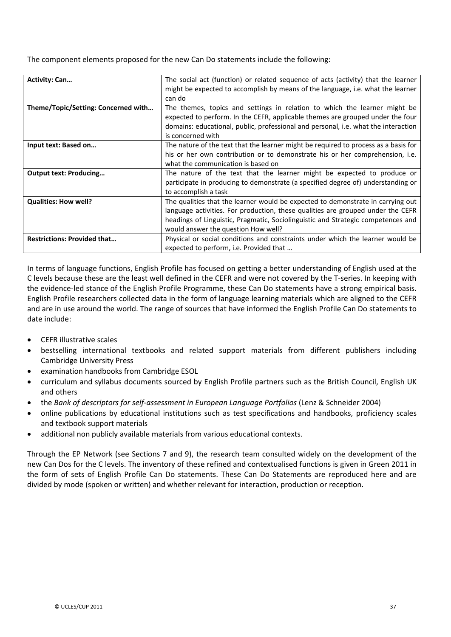The component elements proposed for the new Can Do statements include the following:

| <b>Activity: Can</b>                | The social act (function) or related sequence of acts (activity) that the learner<br>might be expected to accomplish by means of the language, i.e. what the learner<br>can do                                                                                                                |
|-------------------------------------|-----------------------------------------------------------------------------------------------------------------------------------------------------------------------------------------------------------------------------------------------------------------------------------------------|
| Theme/Topic/Setting: Concerned with | The themes, topics and settings in relation to which the learner might be<br>expected to perform. In the CEFR, applicable themes are grouped under the four<br>domains: educational, public, professional and personal, i.e. what the interaction<br>is concerned with                        |
| Input text: Based on                | The nature of the text that the learner might be required to process as a basis for<br>his or her own contribution or to demonstrate his or her comprehension, i.e.<br>what the communication is based on                                                                                     |
| <b>Output text: Producing</b>       | The nature of the text that the learner might be expected to produce or<br>participate in producing to demonstrate (a specified degree of) understanding or<br>to accomplish a task                                                                                                           |
| <b>Qualities: How well?</b>         | The qualities that the learner would be expected to demonstrate in carrying out<br>language activities. For production, these qualities are grouped under the CEFR<br>headings of Linguistic, Pragmatic, Sociolinguistic and Strategic competences and<br>would answer the question How well? |
| <b>Restrictions: Provided that</b>  | Physical or social conditions and constraints under which the learner would be<br>expected to perform, i.e. Provided that                                                                                                                                                                     |

In terms of language functions, English Profile has focused on getting a better understanding of English used at the C levels because these are the least well defined in the CEFR and were not covered by the T-series. In keeping with the evidence-led stance of the English Profile Programme, these Can Do statements have a strong empirical basis. English Profile researchers collected data in the form of language learning materials which are aligned to the CEFR and are in use around the world. The range of sources that have informed the English Profile Can Do statements to date include:

- x CEFR illustrative scales
- bestselling international textbooks and related support materials from different publishers including Cambridge University Press
- x examination handbooks from Cambridge ESOL
- curriculum and syllabus documents sourced by English Profile partners such as the British Council, English UK and others
- x the *Bank of descriptors for selfͲassessment in European Language Portfolios* (Lenz & Schneider 2004)
- x online publications by educational institutions such as test specifications and handbooks, proficiency scales and textbook support materials
- additional non publicly available materials from various educational contexts.

Through the EP Network (see Sections 7 and 9), the research team consulted widely on the development of the new Can Dos for the C levels. The inventory of these refined and contextualised functions is given in Green 2011 in the form of sets of English Profile Can Do statements. These Can Do Statements are reproduced here and are divided by mode (spoken or written) and whether relevant for interaction, production or reception.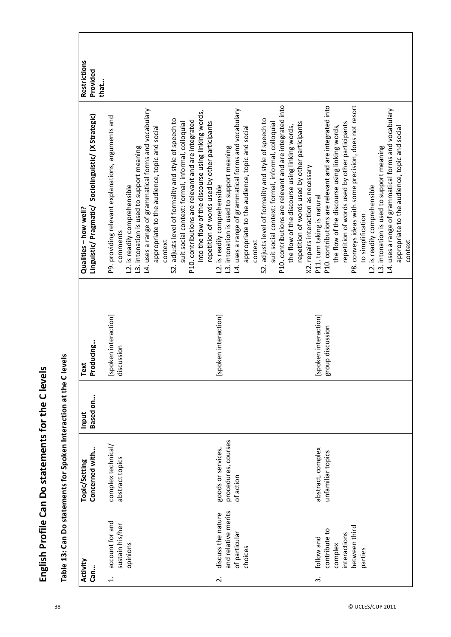|                         |                                                                                    | Table 13: Can Do statements for Spoken Interaction at the C levels |                   |                                          |                                                                                                                                                                                                                                                                                                                                                                                                                                                                                                                                               |                                  |  |
|-------------------------|------------------------------------------------------------------------------------|--------------------------------------------------------------------|-------------------|------------------------------------------|-----------------------------------------------------------------------------------------------------------------------------------------------------------------------------------------------------------------------------------------------------------------------------------------------------------------------------------------------------------------------------------------------------------------------------------------------------------------------------------------------------------------------------------------------|----------------------------------|--|
|                         | Activity<br>Can                                                                    | Concerned with<br>Topic/Setting                                    | Based on<br>Input | Text<br>Producing                        | Linguistic/Pragmatic/Sociolinguistic/(XStrategic)<br>Qualities - how well?                                                                                                                                                                                                                                                                                                                                                                                                                                                                    | Restrictions<br>Provided<br>that |  |
| $\div$                  | account for and<br>sustain his/her<br>opinions                                     | complex technical/<br>abstract topics                              |                   | [spoken interaction]<br>discussion       | L4. uses a range of grammatical forms and vocabulary<br>into the flow of the discourse using linking words,<br>P9. providing relevant explanations, arguments and<br>S2. adjusts level of formality and style of speech to<br>P10. contributions are relevant and are integrated<br>repetition of words used by other participants<br>suit social context: formal, informal, colloquial<br>appropriate to the audience, topic and social<br>L3. intonation is used to support meaning<br>L2. is readily comprehensible<br>comments<br>context |                                  |  |
| $\overline{\mathbf{r}}$ | and relative merits<br>discuss the nature<br>of particular<br>choices              | procedures, courses<br>goods or services,<br>of action             |                   | [spoken interaction]                     | P10. contributions are relevant and are integrated into<br>L4. uses a range of grammatical forms and vocabulary<br>S2. adjusts level of formality and style of speech to<br>repetition of words used by other participants<br>suit social context: formal, informal, colloquial<br>the flow of the discourse using linking words,<br>appropriate to the audience, topic and social<br>L3. intonation is used to support meaning<br>X2. repairs interaction as necessary<br>L2. is readily comprehensible<br>context                           |                                  |  |
| $\overline{m}$          | between third<br>contribute to<br>interactions<br>follow and<br>complex<br>parties | abstract, complex<br>unfamiliar topics                             |                   | [spoken interaction]<br>group discussion | P10. contributions are relevant and are integrated into<br>P8. conveys ideas with some precision, does not resort<br>L4. uses a range of grammatical forms and vocabulary<br>repetition of words used by other participants<br>the flow of the discourse using linking words,<br>appropriate to the audience, topic and social<br>L3. intonation is used to support meaning<br>L2. is readily comprehensible<br>P11. turn taking is natural<br>to simplification<br>context                                                                   |                                  |  |

English Profile Can Do statements for the C levels **English Profile Can Do statements for the C levels**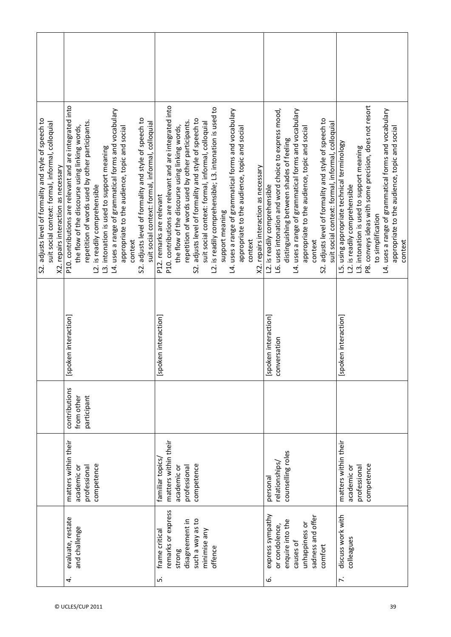| S2. adjusts level of formality and style of speech to<br>suit social context: formal, informal, colloquial<br>X2. repairs interaction as necessary | P10. contributions are relevant and are integrated into<br>L4. uses a range of grammatical forms and vocabulary<br>S2. adjusts level of formality and style of speech to<br>repetition of words used by other participants.<br>suit social context: formal, informal, colloquial<br>the flow of the discourse using linking words,<br>appropriate to the audience, topic and socia<br>L3. intonation is used to support meaning<br>L2. is readily comprehensible<br>context | P10. contributions are relevant and are integrated into<br>L2. is readily comprehensible; L3. intonation is used to<br>L4. uses a range of grammatical forms and vocabulary<br>S2. adjusts level of formality and style of speech to<br>repetition of words used by other participants.<br>suit social context: formal, informal, colloquial<br>the flow of the discourse using linking words,<br>appropriate to the audience, topic and social<br>X2. repairs interaction as necessary<br>P12. remarks are relevant<br>support meaning<br>context | L6. uses intonation and word choice to express mood,<br>L4. uses a range of grammatical forms and vocabulary<br>adjusts level of formality and style of speech to<br>suit social context: formal, informal, colloquial<br>appropriate to the audience, topic and social<br>distinguishing between shades of feeling<br>L2. is readily comprehensible<br>context<br>S2. | P8. conveys ideas with some precision, does not resort<br>L4. uses a range of grammatical forms and vocabulary<br>appropriate to the audience, topic and social<br>L5. using appropriate technical terminology<br>L3. intonation is used to support meaning<br>L2. is readily comprehensible<br>to simplification<br>context |
|----------------------------------------------------------------------------------------------------------------------------------------------------|-----------------------------------------------------------------------------------------------------------------------------------------------------------------------------------------------------------------------------------------------------------------------------------------------------------------------------------------------------------------------------------------------------------------------------------------------------------------------------|----------------------------------------------------------------------------------------------------------------------------------------------------------------------------------------------------------------------------------------------------------------------------------------------------------------------------------------------------------------------------------------------------------------------------------------------------------------------------------------------------------------------------------------------------|------------------------------------------------------------------------------------------------------------------------------------------------------------------------------------------------------------------------------------------------------------------------------------------------------------------------------------------------------------------------|------------------------------------------------------------------------------------------------------------------------------------------------------------------------------------------------------------------------------------------------------------------------------------------------------------------------------|
|                                                                                                                                                    | [spoken interaction]                                                                                                                                                                                                                                                                                                                                                                                                                                                        | [spoken interaction]                                                                                                                                                                                                                                                                                                                                                                                                                                                                                                                               | [spoken interaction]<br>conversation                                                                                                                                                                                                                                                                                                                                   | [spoken interaction]                                                                                                                                                                                                                                                                                                         |
|                                                                                                                                                    | contributions<br>from other<br>participant                                                                                                                                                                                                                                                                                                                                                                                                                                  |                                                                                                                                                                                                                                                                                                                                                                                                                                                                                                                                                    |                                                                                                                                                                                                                                                                                                                                                                        |                                                                                                                                                                                                                                                                                                                              |
|                                                                                                                                                    | matters within their<br>competence<br>professional<br>academic or                                                                                                                                                                                                                                                                                                                                                                                                           | matters within their<br>familiar topics<br>competence<br>professional<br>academic or                                                                                                                                                                                                                                                                                                                                                                                                                                                               | counselling roles<br>relationships/<br>personal                                                                                                                                                                                                                                                                                                                        | matters within their<br>competence<br>professional<br>academic or                                                                                                                                                                                                                                                            |
|                                                                                                                                                    | evaluate, restate<br>and challenge<br>4.                                                                                                                                                                                                                                                                                                                                                                                                                                    | remarks or express<br>ot se Vew e qons<br>disagreement in<br>minimise any<br>frame critical<br>offence<br>strong<br>ιń                                                                                                                                                                                                                                                                                                                                                                                                                             | express sympathy<br>sadness and offer<br>enquire into the<br>unhappiness or<br>or condolence,<br>causes of<br>comfort<br>نی                                                                                                                                                                                                                                            | discuss work with<br>colleagues<br><sup>1</sup>                                                                                                                                                                                                                                                                              |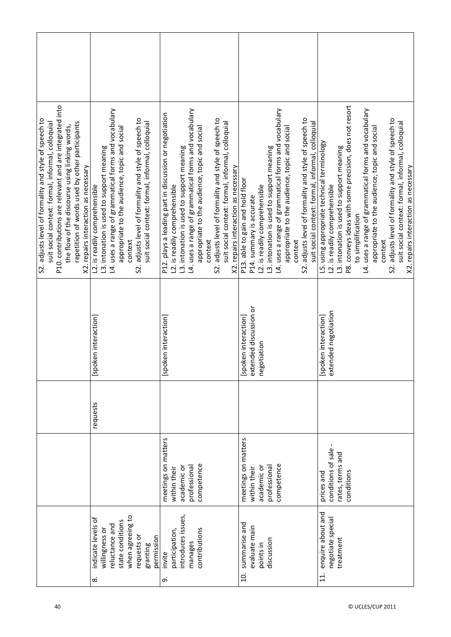| P10. contributions are relevant and are integrated into<br>S2. adjusts level of formality and style of speech to<br>suit social context: formal, informal, colloquial<br>repetition of words used by other participants<br>the flow of the discourse using linking words,<br>X2. repairs interaction as necessary | L4. uses a range of grammatical forms and vocabulary<br>adjusts level of formality and style of speech to<br>suit social context: formal, informal, colloquial<br>appropriate to the audience, topic and social<br>L3. intonation is used to support meaning<br>L2. is readily comprehensible<br>context<br>S2. | L4. uses a range of grammatical forms and vocabulary<br>P12. plays a leading part in discussion or negotiation<br>S2. adjusts level of formality and style of speech to<br>suit social context: formal, informal, colloquial<br>appropriate to the audience, topic and social<br>L3. intonation is used to support meaning<br>X2. repairs interaction as necessary<br>L2. is readily comprehensible<br>context | L4. uses a range of grammatical forms and vocabulary<br>adjusts level of formality and style of speech to<br>suit social context: formal, informal, colloquial<br>appropriate to the audience, topic and social<br>L3. intonation is used to support meaning<br>P13. able to gain and hold floor<br>L2. is readily comprehensible<br>P14. summary is accurate<br>context<br>S2. | P8. conveys ideas with some precision, does not resort<br>L4. uses a range of grammatical forms and vocabulary<br>S2. adjusts level of formality and style of speech to<br>suit social context: formal, informal, colloquial<br>appropriate to the audience, topic and social<br>using appropriate technical terminology<br>L3. intonation is used to support meaning<br>X2. repairs interaction as necessary<br>L2. is readily comprehensible<br>to simplification<br>context<br>த் |
|-------------------------------------------------------------------------------------------------------------------------------------------------------------------------------------------------------------------------------------------------------------------------------------------------------------------|-----------------------------------------------------------------------------------------------------------------------------------------------------------------------------------------------------------------------------------------------------------------------------------------------------------------|----------------------------------------------------------------------------------------------------------------------------------------------------------------------------------------------------------------------------------------------------------------------------------------------------------------------------------------------------------------------------------------------------------------|---------------------------------------------------------------------------------------------------------------------------------------------------------------------------------------------------------------------------------------------------------------------------------------------------------------------------------------------------------------------------------|--------------------------------------------------------------------------------------------------------------------------------------------------------------------------------------------------------------------------------------------------------------------------------------------------------------------------------------------------------------------------------------------------------------------------------------------------------------------------------------|
|                                                                                                                                                                                                                                                                                                                   | [spoken interaction]                                                                                                                                                                                                                                                                                            | [spoken interaction]                                                                                                                                                                                                                                                                                                                                                                                           | extended discussion or<br>[spoken interaction]<br>negotiation                                                                                                                                                                                                                                                                                                                   | extended negotiation<br>[spoken interaction]                                                                                                                                                                                                                                                                                                                                                                                                                                         |
|                                                                                                                                                                                                                                                                                                                   | requests                                                                                                                                                                                                                                                                                                        |                                                                                                                                                                                                                                                                                                                                                                                                                |                                                                                                                                                                                                                                                                                                                                                                                 |                                                                                                                                                                                                                                                                                                                                                                                                                                                                                      |
|                                                                                                                                                                                                                                                                                                                   |                                                                                                                                                                                                                                                                                                                 | meetings on matters<br>competence<br>academic or<br>professional<br>within their                                                                                                                                                                                                                                                                                                                               | meetings on matters<br>competence<br>academic or<br>professional<br>within their                                                                                                                                                                                                                                                                                                | conditions of sale<br>rates, terms and<br>conditions<br>prices and                                                                                                                                                                                                                                                                                                                                                                                                                   |
|                                                                                                                                                                                                                                                                                                                   | when agreeing to<br>indicate levels of<br>state conditions<br>reluctance and<br>willingness or<br>requests or<br>permission<br>granting<br>$\infty$                                                                                                                                                             | introduces issues,<br>contributions<br>participation,<br>manages<br>invite<br>ത്                                                                                                                                                                                                                                                                                                                               | summarise and<br>evaluate main<br>discussion<br>points in<br>$\overline{a}$                                                                                                                                                                                                                                                                                                     | enquire about and<br>negotiate special<br>treatment<br>$\overline{11}$ .                                                                                                                                                                                                                                                                                                                                                                                                             |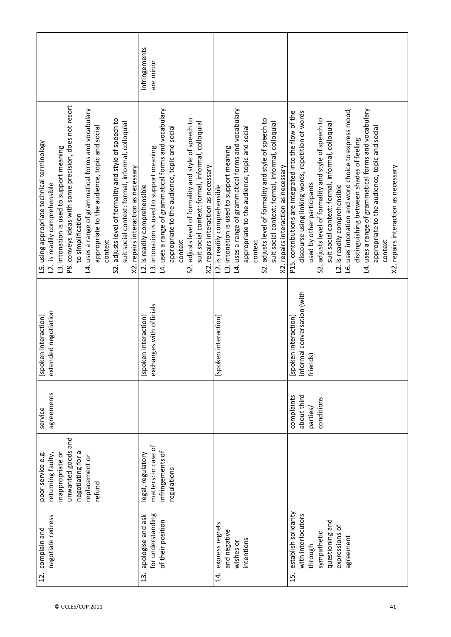|                                                                                                                                                                                                                                                                                                                                                                                                                                                                                    | infringements<br>are minor                                                                                                                                                                                                                                                                                                                           |                                                                                                                                                                                                                                                                                                                                                      |                                                                                                                                                                                                                                                                                                                                                                                                                                                                                                                                                           |
|------------------------------------------------------------------------------------------------------------------------------------------------------------------------------------------------------------------------------------------------------------------------------------------------------------------------------------------------------------------------------------------------------------------------------------------------------------------------------------|------------------------------------------------------------------------------------------------------------------------------------------------------------------------------------------------------------------------------------------------------------------------------------------------------------------------------------------------------|------------------------------------------------------------------------------------------------------------------------------------------------------------------------------------------------------------------------------------------------------------------------------------------------------------------------------------------------------|-----------------------------------------------------------------------------------------------------------------------------------------------------------------------------------------------------------------------------------------------------------------------------------------------------------------------------------------------------------------------------------------------------------------------------------------------------------------------------------------------------------------------------------------------------------|
| P8. conveys ideas with some precision, does not resort<br>L4. uses a range of grammatical forms and vocabulary<br>S2. adjusts level of formality and style of speech to<br>suit social context: formal, informal, colloquial<br>appropriate to the audience, topic and social<br>L5. using appropriate technical terminology<br>L3. intonation is used to support meaning<br>X2. repairs interaction as necessary<br>L2. is readily comprehensible<br>to simplification<br>context | L4. uses a range of grammatical forms and vocabulary<br>S2. adjusts level of formality and style of speech to<br>suit social context: formal, informal, colloquial<br>appropriate to the audience, topic and social<br>L3. intonation is used to support meaning<br>X2. repairs interaction as necessary<br>L2. is readily comprehensible<br>context | L4. uses a range of grammatical forms and vocabulary<br>S2. adjusts level of formality and style of speech to<br>suit social context: formal, informal, colloquial<br>appropriate to the audience, topic and social<br>L3. intonation is used to support meaning<br>X2. repairs interaction as necessary<br>L2. is readily comprehensible<br>context | L6. uses intonation and word choice to express mood,<br>L4. uses a range of grammatical forms and vocabulary<br>P15. contributions are integrated into the flow of the<br>discourse using linking words, repetition of words<br>S2. adjusts level of formality and style of speech to<br>suit social context: formal, informal, colloquial<br>appropriate to the audience, topic and social<br>distinguishing between shades of feeling<br>X2. repairs interaction as necessary<br>used by other participants<br>L2. is readily comprehensible<br>context |
| extended negotiation<br>[spoken interaction]                                                                                                                                                                                                                                                                                                                                                                                                                                       | exchanges with officials<br>poken interaction]<br>ݺ                                                                                                                                                                                                                                                                                                  | [spoken interaction]                                                                                                                                                                                                                                                                                                                                 | informal conversation (with<br>friends)<br>[spoken interaction]<br>iends)                                                                                                                                                                                                                                                                                                                                                                                                                                                                                 |
| agreements<br>service                                                                                                                                                                                                                                                                                                                                                                                                                                                              |                                                                                                                                                                                                                                                                                                                                                      |                                                                                                                                                                                                                                                                                                                                                      | about third<br>complaints<br>conditions<br>parties/                                                                                                                                                                                                                                                                                                                                                                                                                                                                                                       |
| unwanted goods and<br>negotiating for a<br>inappropriate or<br>returning faulty,<br>poor service e.g<br>replacement or<br>refund                                                                                                                                                                                                                                                                                                                                                   | matters: in case of<br>infringements of<br>legal, regulatory<br>regulations                                                                                                                                                                                                                                                                          |                                                                                                                                                                                                                                                                                                                                                      |                                                                                                                                                                                                                                                                                                                                                                                                                                                                                                                                                           |
| negotiate redress<br>complain and<br>12.                                                                                                                                                                                                                                                                                                                                                                                                                                           | for understanding<br>apologise and ask<br>of their position<br>$\ddot{1}$                                                                                                                                                                                                                                                                            | express regrets<br>and negative<br>intentions<br>wishes or<br>$\vec{a}$                                                                                                                                                                                                                                                                              | establish solidarity<br>with interlocutors<br>questioning and<br>expressions of<br>sympathetic<br>agreement<br>through<br>15.                                                                                                                                                                                                                                                                                                                                                                                                                             |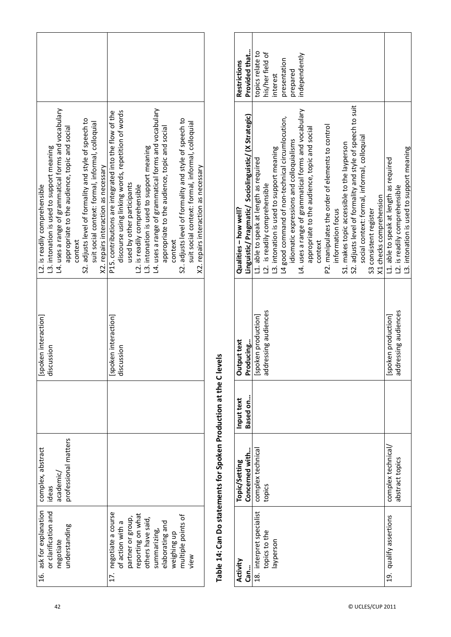| L4. uses a range of grammatical forms and vocabulary<br>S2. adjusts level of formality and style of speech to<br>suit social context: formal, informal, colloquial<br>appropriate to the audience, topic and social<br>13. intonation is used to support meaning<br>X2. repairs interaction as necessary<br>L2. is readily comprehensible<br>context | L4. uses a range of grammatical forms and vocabulary<br>P15. contributions are integrated into the flow of the<br>discourse using linking words, repetition of words<br>S2. adjusts level of formality and style of speech to<br>suit social context: formal, informal, colloquial<br>appropriate to the audience, topic and social<br>13. intonation is used to support meaning<br>X2. repairs interaction as necessary<br>used by other participants<br>L2. is readily comprehensible<br>context |
|------------------------------------------------------------------------------------------------------------------------------------------------------------------------------------------------------------------------------------------------------------------------------------------------------------------------------------------------------|----------------------------------------------------------------------------------------------------------------------------------------------------------------------------------------------------------------------------------------------------------------------------------------------------------------------------------------------------------------------------------------------------------------------------------------------------------------------------------------------------|
| [spoken interaction]<br>discussion                                                                                                                                                                                                                                                                                                                   | [spoken interaction]<br>iscussion<br>$\ddot{\sigma}$                                                                                                                                                                                                                                                                                                                                                                                                                                               |
|                                                                                                                                                                                                                                                                                                                                                      |                                                                                                                                                                                                                                                                                                                                                                                                                                                                                                    |
| professional matters<br>complex, abstract<br>academic/<br>ideas                                                                                                                                                                                                                                                                                      |                                                                                                                                                                                                                                                                                                                                                                                                                                                                                                    |
| 16. ask for explanation<br>or clarification and<br>understanding<br>negotiate                                                                                                                                                                                                                                                                        | 17. negotiate a course<br>eporting on what<br>multiple points of<br>partner or group,<br>others have said,<br>of action with a<br>elaborating and<br>summarizing,<br>weighing up<br>view                                                                                                                                                                                                                                                                                                           |

# Table 14: Can Do statements for Spoken Production at the C levels **Table 14: Can Do statements for Spoken Production at the C levels**

| Activity                 | Topic/Setting      | Input text | Output text              | Qualities - how well?                                      | <b>Restrictions</b> |
|--------------------------|--------------------|------------|--------------------------|------------------------------------------------------------|---------------------|
| Can                      | Concerned with     | Based on   | Producing                | Linguistic/Pragmatic/Sociolinguistic/(X Strategic)         | Provided that       |
| 18. interpret specialist | complex technical  |            | [spoken production]      | L1. able to speak at length as required                    | topics relate to    |
| topics to the            | topics             |            | ddressing audiences<br>ō | L2. is readily comprehensible                              | his/her field of    |
| layperson                |                    |            |                          | L3. intonation is used to support meaning                  | interest            |
|                          |                    |            |                          | L4 good command of non-technical circumlocution,           | presentation        |
|                          |                    |            |                          | idiomatic expressions and colloquialisms                   | prepared            |
|                          |                    |            |                          | L4. uses a range of grammatical forms and vocabulary       | independently       |
|                          |                    |            |                          | appropriate to the audience, topic and social              |                     |
|                          |                    |            |                          | context                                                    |                     |
|                          |                    |            |                          | P2. manipulates the order of elements to control           |                     |
|                          |                    |            |                          | information focus                                          |                     |
|                          |                    |            |                          | S1. makes topic accessible to the layperson                |                     |
|                          |                    |            |                          | S2. adjusts level of formality and style of speech to suit |                     |
|                          |                    |            |                          | social context: formal, informal, colloquial               |                     |
|                          |                    |            |                          | S3 consistent register                                     |                     |
|                          |                    |            |                          | X1 checks comprehension                                    |                     |
| 19. qualify assertions   | complex technical/ |            | [spoken production]      | L1. able to speak at length as required                    |                     |
|                          | abstract topics    |            | addressing audiences     | L2. is readily comprehensible                              |                     |
|                          |                    |            |                          | L3. intonation is used to support meaning                  |                     |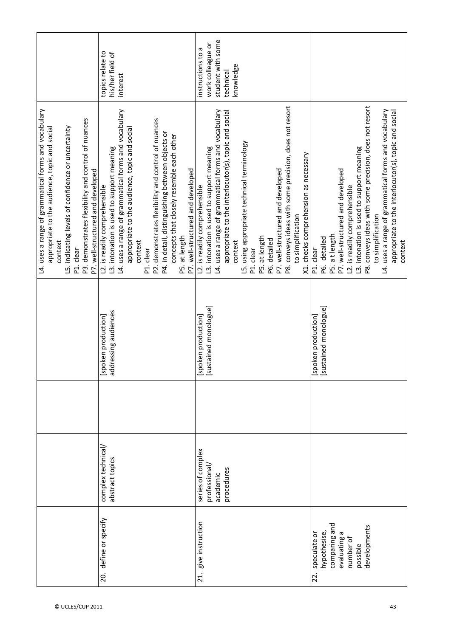|                                                                                                                                                                                                                                                                                 | topics relate to<br>his/her field of<br>interest                                                                                                                                                                                                                                                                                                                                                                          | student with some<br>work colleague or<br>instructions to a<br>knowledge<br>technical                                                                                                                                                                                                                                                                                                                                                                           |                                                                                                                                                                                                                                                                                                                                                                          |
|---------------------------------------------------------------------------------------------------------------------------------------------------------------------------------------------------------------------------------------------------------------------------------|---------------------------------------------------------------------------------------------------------------------------------------------------------------------------------------------------------------------------------------------------------------------------------------------------------------------------------------------------------------------------------------------------------------------------|-----------------------------------------------------------------------------------------------------------------------------------------------------------------------------------------------------------------------------------------------------------------------------------------------------------------------------------------------------------------------------------------------------------------------------------------------------------------|--------------------------------------------------------------------------------------------------------------------------------------------------------------------------------------------------------------------------------------------------------------------------------------------------------------------------------------------------------------------------|
| L4. uses a range of grammatical forms and vocabulary<br>P3. demonstrates flexibility and control of nuances<br>L5. indicating levels of confidence or uncertainty<br>appropriate to the audience, topic and social<br>P7. well-structured and developed<br>context<br>P1. clear | L4. uses a range of grammatical forms and vocabulary<br>P2. demonstrates flexibility and control of nuances<br>appropriate to the audience, topic and social<br>P4. in detail, distinguishing between objects or<br>concepts that closely resemble each other<br>L3. intonation is used to support meaning<br>P7. well-structured and developed<br>L2. is readily comprehensible<br>P5. at length<br>context<br>P1. clear | P8. conveys ideas with some precision, does not resort<br>L4. uses a range of grammatical forms and vocabulary<br>appropriate to the interlocutor(s), topic and social<br>L5. using appropriate technical terminology<br>L3. intonation is used to support meaning<br>X1. checks comprehension as necessary<br>P7. well-structured and developed<br>L2. is readily comprehensible<br>to simplification<br>P5. at length<br>P6. detailed<br>context<br>P1. clear | P8. conveys ideas with some precision, does not resort<br>L4. uses a range of grammatical forms and vocabulary<br>appropriate to the interlocutor(s), topic and social<br>L3. intonation is used to support meaning<br>P7. well-structured and developed<br>L2. is readily comprehensible<br>to simplification<br>P5. a t length<br>P6. detailed<br>context<br>P1. clear |
|                                                                                                                                                                                                                                                                                 | [spoken production]<br>addressing audiences                                                                                                                                                                                                                                                                                                                                                                               | [spoken production]<br>[sustained monologue]                                                                                                                                                                                                                                                                                                                                                                                                                    | [spoken production]<br>[sustained monologue]                                                                                                                                                                                                                                                                                                                             |
|                                                                                                                                                                                                                                                                                 | complex technical/<br>abstract topics                                                                                                                                                                                                                                                                                                                                                                                     | series of complex<br>professional,<br>procedures<br>academic                                                                                                                                                                                                                                                                                                                                                                                                    |                                                                                                                                                                                                                                                                                                                                                                          |
|                                                                                                                                                                                                                                                                                 | 20. define or specify                                                                                                                                                                                                                                                                                                                                                                                                     | give instruction<br>$\overline{21}$ .                                                                                                                                                                                                                                                                                                                                                                                                                           | comparing and<br>developments<br>hypothesise,<br>evaluating a<br>speculate or<br>number of<br>possible<br>22.                                                                                                                                                                                                                                                            |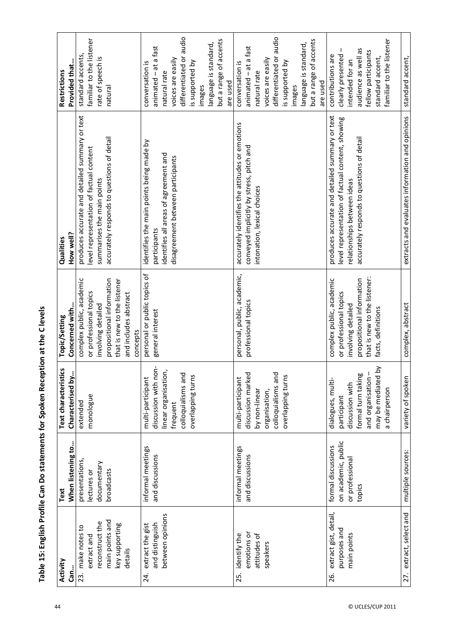| ֧֧֧֧ׅ֧֧֧֧֧֧֧֧֧֧֧֧֦֧֧֧֧֪֛֛֧֪֛֧֪֛֛֛֛֛֛֛֛֛֛֛֛֛֪֛֛֛֛֚֚֚֚֚֚֚֚֚֚֚֚֚֚֚֚֚֚֚֚֚֚֚֚֚֚֚֚֚֚֚֚֝֝֓֜֜֓֜֓֜֜֜֜֜֜֜֜֜֜֜֜֜֜֝֜֜֜֜֜֜ |
|---------------------------------------------------------------------------------------------------------------|
| $\frac{1}{2}$                                                                                                 |
| $\ddot{\phantom{a}}$                                                                                          |
|                                                                                                               |
|                                                                                                               |
| i<br>$\sum_{i=1}^{n}$                                                                                         |
|                                                                                                               |
|                                                                                                               |
|                                                                                                               |
|                                                                                                               |
| ;<br>;<br>;                                                                                                   |
| j                                                                                                             |

| Activity                     | Text                | Text characteristics | Topic/Setting                     | Qualities                                       | Restrictions             |
|------------------------------|---------------------|----------------------|-----------------------------------|-------------------------------------------------|--------------------------|
| Can.                         | When listening to   | Characterised by     | Concerned with                    | How well?                                       | Provided that            |
| 23. make notes to            | presentations,      | extended             | complex public, academic          | produces accurate and detailed summary or text  | standard accents,        |
| extract and                  | lectures or         | monologue            | or professional topics            | evel representation of factual content          | familiar to the listener |
| reconstruct the              | documentary         |                      | involving detailed                | summarises the main points                      | rate of speech is        |
| main points and              | broadcasts          |                      | propositional information         | accurately responds to questions of detail      | natural                  |
| key supporting               |                     |                      | that is new to the listener       |                                                 |                          |
| details                      |                     |                      | and includes abstract<br>concepts |                                                 |                          |
| extract the gist<br>24.      | informal meetings   | multi-participant    | personal or public topics of      | identifies the main points being made by        | conversation is          |
| and distinguish              | and discussions     | discussion with non  | general interest                  | participants                                    | animated - at a fast     |
| between opinions             |                     | linear organisation, |                                   | identifies all areas of agreement and           | natural rate             |
|                              |                     | frequent             |                                   | disagreement between participants               | voices are easily        |
|                              |                     | colloquialisms and   |                                   |                                                 | differentiated or audio  |
|                              |                     | overlapping turns    |                                   |                                                 | is supported by          |
|                              |                     |                      |                                   |                                                 | images                   |
|                              |                     |                      |                                   |                                                 | language is standard,    |
|                              |                     |                      |                                   |                                                 | but a range of accents   |
|                              |                     |                      |                                   |                                                 | are used                 |
| 25. identify the             | informal meetings   | multi-participant    | personal, public, academic,       | accurately identifies the attitudes or emotions | conversation is          |
| emotions or                  | and discussions     | discussion marked    | professional topics               | conveyed implicitly by stress, pitch and        | animated - at a fast     |
| attitudes of                 |                     | by non-linear        |                                   | intonation, lexical choices                     | natural rate             |
| speakers                     |                     | organisation,        |                                   |                                                 | voices are easily        |
|                              |                     | colloquialisms and   |                                   |                                                 | differentiated or audio  |
|                              |                     | overlapping turns    |                                   |                                                 | is supported by          |
|                              |                     |                      |                                   |                                                 | images                   |
|                              |                     |                      |                                   |                                                 | language is standard,    |
|                              |                     |                      |                                   |                                                 | but a range of accents   |
|                              |                     |                      |                                   |                                                 | are used                 |
| extract gist, detail,<br>26. | formal discussions  | dialogues, multi-    | complex public, academic          | produces accurate and detailed summary or text  | contributions are        |
| purposes and                 | on academic, public | participant          | or professional topics            | evel representation of factual content, showing | ı<br>clearly presented   |
| main points                  | or professional     | discussion with      | involving detailed                | relationships between ideas                     | intended for an          |
|                              | topics              | formal turn taking   | propositional information         | accurately responds to questions of detail      | audience as well as      |
|                              |                     | and organisation     | that is new to the listener:      |                                                 | fellow participants      |
|                              |                     | may be mediated by   | facts, definitions                |                                                 | standard accent,         |
|                              |                     | a chairperson        |                                   |                                                 | familiar to the listener |
| 27. extract, select and      | multiple sources:   | variety of spoken    | complex, abstract                 | extracts and evaluates information and opinions | standard accent,         |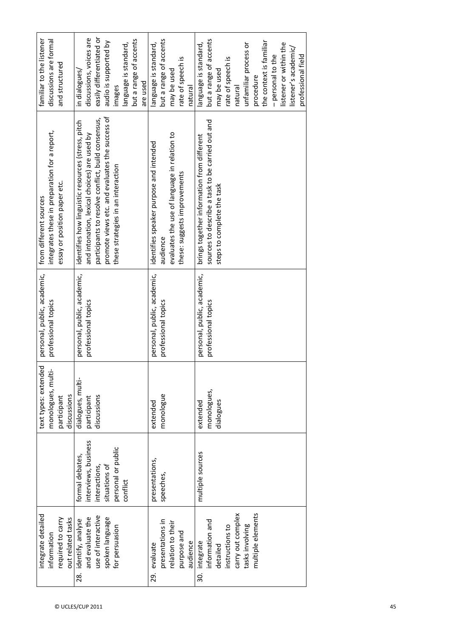| integrate detailed                                                                                                           |                                                                                                             | $\overline{\mathbf{C}}$<br>text types: extende  | personal, public, academic,                        | from different sources                                                                                                                                                                                                                            | familiar to the listener                                                                                                                                                                                                                                     |
|------------------------------------------------------------------------------------------------------------------------------|-------------------------------------------------------------------------------------------------------------|-------------------------------------------------|----------------------------------------------------|---------------------------------------------------------------------------------------------------------------------------------------------------------------------------------------------------------------------------------------------------|--------------------------------------------------------------------------------------------------------------------------------------------------------------------------------------------------------------------------------------------------------------|
| information                                                                                                                  |                                                                                                             | monologues, multi-                              | professional topics                                | integrates these in preparation for a report,                                                                                                                                                                                                     | discussions are formal                                                                                                                                                                                                                                       |
| out related tasks<br>required to carry                                                                                       |                                                                                                             | discussions<br>participant                      |                                                    | essay or position paper etc.                                                                                                                                                                                                                      | and structured                                                                                                                                                                                                                                               |
| use of interactive<br>and evaluate the<br>spoken language<br>identify, analyse<br>for persuasion<br>28.                      | interviews, business<br>personal or public<br>formal debates,<br>interactions,<br>situations of<br>conflict | dialogues, multi-<br>discussions<br>participant | personal, public, academic,<br>professional topics | promote views etc. and evaluates the success of<br>participants to resolve conflict, build consensus,<br>identifies how linguistic resources (stress, pitch<br>and intonation, lexical choices) are used by<br>these strategies in an interaction | easily differentiated or<br>discussions, voices are<br>but a range of accents<br>audio is supported by<br>language is standard,<br>in dialogues/<br>are used<br>images                                                                                       |
| presentations in<br>relation to their<br>purpose and<br>audience<br>evaluate<br>29.                                          | presentations,<br>speeches,                                                                                 | monologue<br>extended                           | personal, public, academic,<br>professional topics | evaluates the use of language in relation to<br>identifies speaker purpose and intended<br>these: suggests improvements<br>audience                                                                                                               | but a range of accents<br>language is standard,<br>rate of speech is<br>may be used<br>natural                                                                                                                                                               |
| multiple elements<br>carry out complex<br>information and<br>tasks involving<br>instructions to<br>30. integrate<br>detailed | multiple sources                                                                                            | monologues,<br>dialogues<br>extended            | personal, public, academic,<br>professional topics | sources to describe a task to be carried out and<br>brings together information from different<br>steps to complete the task                                                                                                                      | but a range of accents<br>the context is familiar<br>unfamiliar process or<br>language is standard,<br>listener or within the<br>listener's academic/<br>professional field<br>- personal to the<br>rate of speech is<br>may be used<br>procedure<br>natural |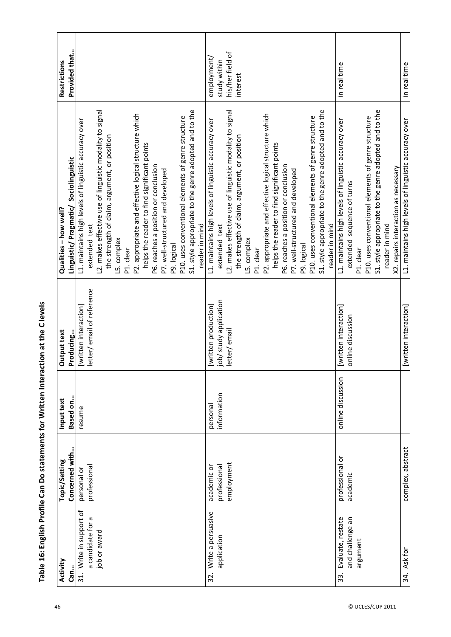| Activity                          | Topic/Setting     | Input text        | Output text               | Qualities - how well?                                                                                    | <b>Restrictions</b> |
|-----------------------------------|-------------------|-------------------|---------------------------|----------------------------------------------------------------------------------------------------------|---------------------|
| Can.                              | Concerned with    | Based on          | Producing                 | Linguistic/Pragmatic/Sociolinguistic                                                                     | Provided that       |
| Write in support of<br>$\ddot{3}$ | personal or       | resume            | [written interaction]     | L1. maintains high levels of linguistic accuracy over                                                    |                     |
| a candidate for a<br>job or award | professional      |                   | letter/email of reference | extended text                                                                                            |                     |
|                                   |                   |                   |                           | L2. makes effective use of linguistic modality to signal<br>the strength of claim, argument, or position |                     |
|                                   |                   |                   |                           | L5. complex                                                                                              |                     |
|                                   |                   |                   |                           | P1. clear                                                                                                |                     |
|                                   |                   |                   |                           | P2. appropriate and effective logical structure which                                                    |                     |
|                                   |                   |                   |                           | helps the reader to find significant points                                                              |                     |
|                                   |                   |                   |                           | P6. reaches a position or conclusion                                                                     |                     |
|                                   |                   |                   |                           | P7. well-structured and developed                                                                        |                     |
|                                   |                   |                   |                           | P9. logical                                                                                              |                     |
|                                   |                   |                   |                           | P10. uses conventional elements of genre structure                                                       |                     |
|                                   |                   |                   |                           | S1. style appropriate to the genre adopted and to the                                                    |                     |
|                                   |                   |                   |                           | reader in mind                                                                                           |                     |
| Write a persuasive<br>32.         | academic or       | personal          | [written production]      | L1. maintains high levels of linguistic accuracy over                                                    | employment,         |
| application                       | professional      | information       | job/study application     | extended text                                                                                            | study within        |
|                                   | employment        |                   | letter/email              | L2. makes effective use of linguistic modality to signal                                                 | his/her field of    |
|                                   |                   |                   |                           | the strength of claim, argument, or position                                                             | interest            |
|                                   |                   |                   |                           | L5. complex                                                                                              |                     |
|                                   |                   |                   |                           | P1. clear                                                                                                |                     |
|                                   |                   |                   |                           | P2. appropriate and effective logical structure which                                                    |                     |
|                                   |                   |                   |                           | helps the reader to find significant points                                                              |                     |
|                                   |                   |                   |                           | P6. reaches a position or conclusion                                                                     |                     |
|                                   |                   |                   |                           | P7. well-structured and developed                                                                        |                     |
|                                   |                   |                   |                           | P9. logical                                                                                              |                     |
|                                   |                   |                   |                           | P10. uses conventional elements of genre structure                                                       |                     |
|                                   |                   |                   |                           | S1. style appropriate to the genre adopted and to the                                                    |                     |
|                                   |                   |                   |                           | reader in mind                                                                                           |                     |
| Evaluate, restate<br>33.          | professional or   | online discussion | [written interaction]     | L1. maintains high levels of linguistic accuracy over                                                    | in real time        |
| and challenge an                  | academic          |                   | online discussion         | extended sequence of turns                                                                               |                     |
| argument                          |                   |                   |                           | P1. clear                                                                                                |                     |
|                                   |                   |                   |                           | P10. uses conventional elements of genre structure                                                       |                     |
|                                   |                   |                   |                           | S1. style appropriate to the genre adopted and to the                                                    |                     |
|                                   |                   |                   |                           | reader in mind                                                                                           |                     |
|                                   |                   |                   |                           | X2. repairs interaction as necessary                                                                     |                     |
| 34. Ask for                       | complex, abstract |                   | [written interaction]     | L1. maintains high levels of linguistic accuracy over                                                    | in real time        |

Table 16: English Profile Can Do statements for Written Interaction at the C levels **Table 16: English Profile Can Do statements for Written Interaction at the C levels**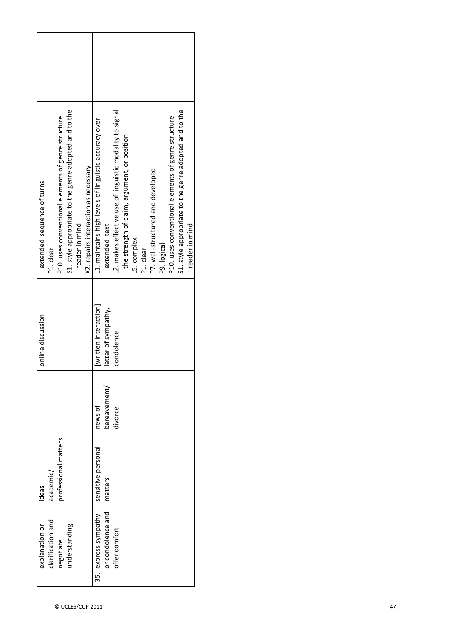|                            |                   | P10. uses conventional elements of genre structure | S1. style appropriate to the genre adopted and to the |                | X2. repairs interaction as necessary | L1. maintains high levels of linguistic accuracy over |                     | L2. makes effective use of linguistic modality to signal | the strength of claim, argument, or position |             |           | P7. well-structured and developed |             | P10. uses conventional elements of genre structure | S1. style appropriate to the genre adopted and to the |                |
|----------------------------|-------------------|----------------------------------------------------|-------------------------------------------------------|----------------|--------------------------------------|-------------------------------------------------------|---------------------|----------------------------------------------------------|----------------------------------------------|-------------|-----------|-----------------------------------|-------------|----------------------------------------------------|-------------------------------------------------------|----------------|
| extended sequence of turns | P1. clear         |                                                    |                                                       | reader in mind |                                      |                                                       | extended text       |                                                          |                                              | L5. complex | P1. clear |                                   | P9. logical |                                                    |                                                       | reader in mind |
| online discussion          |                   |                                                    |                                                       |                |                                      | [written interaction]                                 | letter of sympathy, | condolence                                               |                                              |             |           |                                   |             |                                                    |                                                       |                |
|                            |                   |                                                    |                                                       |                |                                      | news of                                               | bereavement/        | divorce                                                  |                                              |             |           |                                   |             |                                                    |                                                       |                |
| ideas                      | academic/         | professional matters                               |                                                       |                |                                      | sensitive personal                                    | matters             |                                                          |                                              |             |           |                                   |             |                                                    |                                                       |                |
| explanation or             | clarification and | negotiate                                          | understanding                                         |                |                                      | express sympathy<br>າ<br>ມີ                           | or condolence and   | offer comfort                                            |                                              |             |           |                                   |             |                                                    |                                                       |                |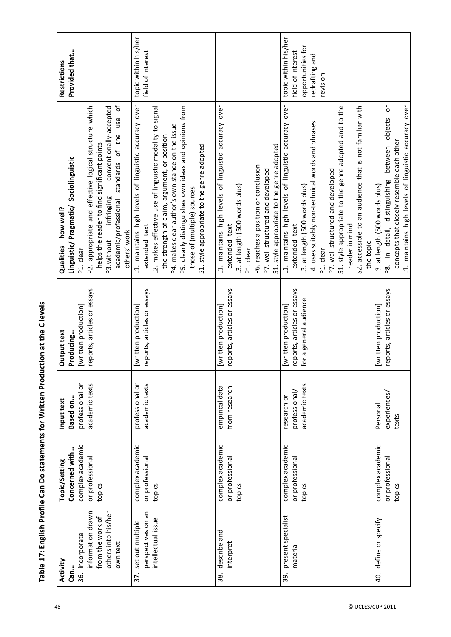| )<br>;<br>;<br>;<br>$\frac{1}{2}$ |  |
|-----------------------------------|--|
| j                                 |  |
| ً<br>ا                            |  |
|                                   |  |
|                                   |  |

| Activity                  | Topic/Setting    | Input text      | Output text                 | Qualities - how well?                                           | <b>Restrictions</b>  |
|---------------------------|------------------|-----------------|-----------------------------|-----------------------------------------------------------------|----------------------|
| Can                       | Concerned with   | Based on        | Producing                   | Linguistic/Pragmatic/Sociolinguistic                            | Provided that        |
| 36. incorporate           | complex academic | professional or | [written production]        | P1. clear                                                       |                      |
| information drawn         | or professional  | academic texts  | reports, articles or essays | P2. appropriate and effective logical structure which           |                      |
| from the work of          | topics           |                 |                             | helps the reader to find significant points                     |                      |
| others into his/her       |                  |                 |                             | conventionally-accepted<br>infringing<br>P3.without             |                      |
| own text                  |                  |                 |                             | ð<br>academic/professional standards of the use<br>others' work |                      |
| set out multiple<br>37.   | complex academic | professional or | [written production]        | L1. maintains high levels of linguistic accuracy over           | topic within his/her |
| perspectives on an        | or professional  | academic texts  | reports, articles or essays | extended text                                                   | field of interest    |
| intellectual issue        | topics           |                 |                             | L2. makes effective use of linguistic modality to signal        |                      |
|                           |                  |                 |                             | the strength of claim, argument, or position                    |                      |
|                           |                  |                 |                             | P4. makes clear author's own stance on the issue                |                      |
|                           |                  |                 |                             | P5. clearly distinguishes own ideas and opinions from           |                      |
|                           |                  |                 |                             | those of (multiple) sources                                     |                      |
|                           |                  |                 |                             | S1. style appropriate to the genre adopted                      |                      |
| describe and<br>38.       | complex academic | empirical data  | [written production]        | L1. maintains high levels of linguistic accuracy over           |                      |
| interpret                 | or professional  | from research   | reports, articles or essays | extended text                                                   |                      |
|                           | topics           |                 |                             | L3. at length (500 words plus)                                  |                      |
|                           |                  |                 |                             | P1. clear                                                       |                      |
|                           |                  |                 |                             | P6. reaches a position or conclusion                            |                      |
|                           |                  |                 |                             | P7. well-structured and developed                               |                      |
|                           |                  |                 |                             | S1. style appropriate to the genre adopted                      |                      |
| present specialist<br>39. | complex academic | research or     | [written production]        | L1. maintains high levels of linguistic accuracy over           | topic within his/her |
| materia                   | or professiona   | professional/   | reports, articles or essays | extended text                                                   | field of interest    |
|                           | topics           | academic texts  | for a general audience      | L3. at length (500 words plus)                                  | opportunities for    |
|                           |                  |                 |                             | L4. uses suitably non-technical words and phrases               | redrafting and       |
|                           |                  |                 |                             | P1. clear                                                       | revision             |
|                           |                  |                 |                             | P7. well-structured and developed                               |                      |
|                           |                  |                 |                             | S1. style appropriate to the genre adopted and to the           |                      |
|                           |                  |                 |                             | reader in mind                                                  |                      |
|                           |                  |                 |                             | S2. accessible to an audience that is not familiar with         |                      |
|                           |                  |                 |                             | the topic                                                       |                      |
| 40. define or specify     | complex academic | Personal        | [written production]        | L3. at length (500 words plus)                                  |                      |
|                           | or professional  | experiences/    | reports, articles or essays | ŏ<br>between objects<br>P8. in detail, distinguishing           |                      |
|                           | topics           | texts           |                             | concepts that closely resemble each other                       |                      |
|                           |                  |                 |                             | L1. maintains high levels of linguistic accuracy over           |                      |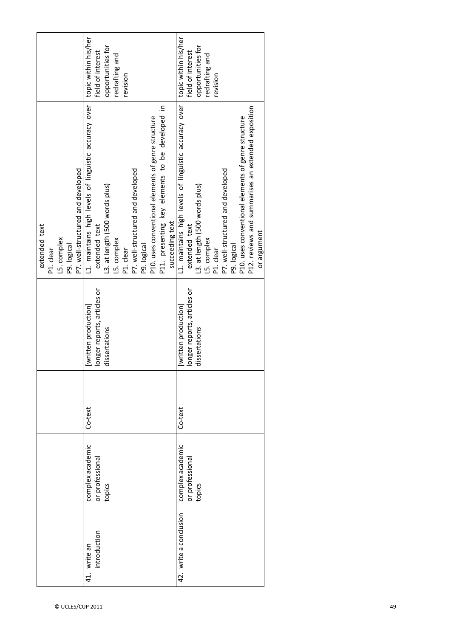|                                                                                               | topic within his/her<br>opportunities for<br>field of interest<br>redrafting and<br>revision                                                                                                                                                                                                                         | topic within his/her<br>opportunities for<br>field of interest<br>redrafting and<br>revision                                                                                                                                                                                                                        |
|-----------------------------------------------------------------------------------------------|----------------------------------------------------------------------------------------------------------------------------------------------------------------------------------------------------------------------------------------------------------------------------------------------------------------------|---------------------------------------------------------------------------------------------------------------------------------------------------------------------------------------------------------------------------------------------------------------------------------------------------------------------|
| P7. well-structured and developed<br>extended text<br>L5. complex<br>P9. logical<br>P1. clear | L1. maintains high levels of linguistic accuracy over<br>P11. presenting key elements to be developed in<br>P10. uses conventional elements of genre structure<br>P7. well-structured and developed<br>L3. at length (500 words plus)<br>succeeding text<br>extended text<br>L5. complex<br>P9. logical<br>P1. clear | L1. maintains high levels of linguistic accuracy over<br>P12. reviews and summarises an extended exposition<br>P10. uses conventional elements of genre structure<br>P7. well-structured and developed<br>L3. at length (500 words plus)<br>extended text<br>or argument<br>L5. complex<br>P9. logical<br>P1. clear |
|                                                                                               | longer reports, articles or<br>[written production]<br>dissertations                                                                                                                                                                                                                                                 | longer reports, articles or<br>[written production]<br>dissertations                                                                                                                                                                                                                                                |
|                                                                                               | Co-text                                                                                                                                                                                                                                                                                                              | Co-text                                                                                                                                                                                                                                                                                                             |
|                                                                                               | complex academic<br>or professional<br>topics                                                                                                                                                                                                                                                                        | complex academic<br>or professional<br>topics                                                                                                                                                                                                                                                                       |
|                                                                                               | introduction<br>write an<br>41.                                                                                                                                                                                                                                                                                      | 42. write a conclusion                                                                                                                                                                                                                                                                                              |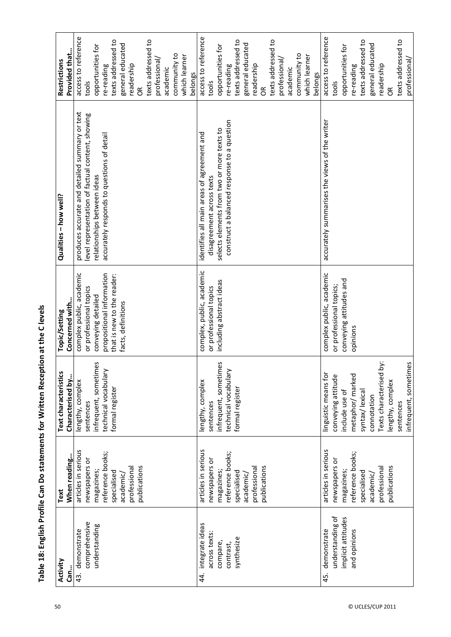| Activity<br>Can        | When reading<br>Text | Text characteristics<br>Characterised by | Concerned with<br>Topic/Setting | Qualities - how well?                            | Provided that<br>Restrictions |
|------------------------|----------------------|------------------------------------------|---------------------------------|--------------------------------------------------|-------------------------------|
| demonstrate<br>43.     | articles in serious  | lengthy, complex                         | complex public, academic        | produces accurate and detailed summary or text   | access to reference           |
| comprehensive          | newspapers or        | sentences                                | or professional topics          | level representation of factual content, showing | tools                         |
| understanding          | magazines;           | δĐ<br>infrequent, sometim                | conveying detailed              | relationships between ideas                      | opportunities for             |
|                        | reference books;     | technical vocabulary                     | propositional information       | accurately responds to questions of detail       | re-reading                    |
|                        | specialised          | formal register                          | that is new to the reader:      |                                                  | texts addressed to            |
|                        | academic/            |                                          | facts, definitions              |                                                  | general educated              |
|                        | professional         |                                          |                                 |                                                  | readership                    |
|                        | publications         |                                          |                                 |                                                  | $\epsilon$                    |
|                        |                      |                                          |                                 |                                                  | texts addressed to            |
|                        |                      |                                          |                                 |                                                  | professional                  |
|                        |                      |                                          |                                 |                                                  | academic                      |
|                        |                      |                                          |                                 |                                                  | community to                  |
|                        |                      |                                          |                                 |                                                  | which learner                 |
|                        |                      |                                          |                                 |                                                  | belongs                       |
| integrate ideas<br>44. | articles in serious  | lengthy, complex                         | complex, public, academic       | identifies all main areas of agreement and       | access to reference           |
| across texts           | newspapers or        | sentences                                | or professional topics          | disagreement across texts                        | tools                         |
| compare,               | magazines;           | infrequent, sometimes                    | including abstract ideas        | selects elements from two or more texts to       | opportunities for             |
| contrast,              | reference books;     | technical vocabulary                     |                                 | construct a balanced response to a question      | re-reading                    |
| synthesize             | specialised          | formal register                          |                                 |                                                  | texts addressed to            |
|                        | academic/            |                                          |                                 |                                                  | general educated              |
|                        | professional         |                                          |                                 |                                                  | readership                    |
|                        | publications         |                                          |                                 |                                                  | $\infty$                      |
|                        |                      |                                          |                                 |                                                  | texts addressed to            |
|                        |                      |                                          |                                 |                                                  | professional                  |
|                        |                      |                                          |                                 |                                                  | academic                      |
|                        |                      |                                          |                                 |                                                  |                               |
|                        |                      |                                          |                                 |                                                  | community to<br>which learner |
|                        |                      |                                          |                                 |                                                  | belongs                       |
| demonstrate<br>45.     | articles in serious  | linguistic means for                     | complex public, academic        | accurately summarises the views of the writer    | access to reference           |
| understanding of       | newspapers or        | conveying attitude                       | or professional topics;         |                                                  | tools                         |
| implicit attitudes     |                      | include use of                           |                                 |                                                  | opportunities for             |
|                        | magazines;           |                                          | conveying attitudes and         |                                                  |                               |
| and opinions           | reference books;     | metaphor/ marked                         | opinions                        |                                                  | re-reading                    |
|                        | specialised          | syntax/lexical                           |                                 |                                                  | texts addressed to            |
|                        | academic/            | connotation                              |                                 |                                                  | general educated              |
|                        | professional         | ä<br>Texts characterised                 |                                 |                                                  | readership                    |
|                        | publications         | lengthy, complex                         |                                 |                                                  | $\epsilon$                    |
|                        |                      | sentences                                |                                 |                                                  | texts addressed to            |
|                        |                      | infrequent, sometimes                    |                                 |                                                  | professional                  |

Table 18: English Profile Can Do statements for Written Reception at the C levels **Table 18: English Profile Can Do statements for Written Reception at the C levels**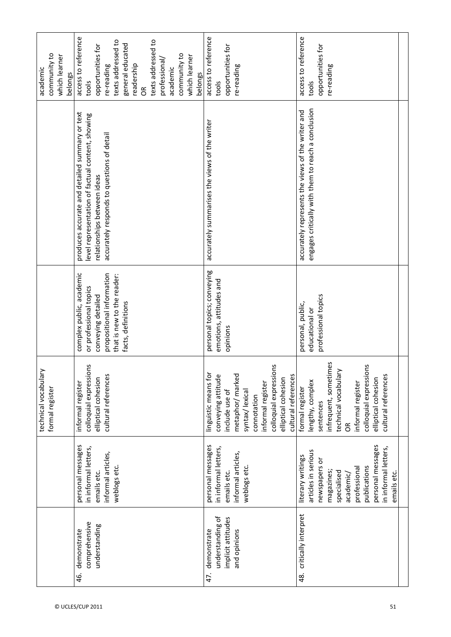| community to<br>which learner<br>belongs | access to reference<br>texts addressed to<br>texts addressed to<br>general educated<br>opportunities for<br>community to<br>which learner<br>professional/<br>readership<br>re-reading<br>academic<br>belongs<br>tools<br>$\frac{R}{C}$ | access to reference<br>opportunities for<br>re-reading<br>tools                                                                                                                                              | access to reference<br>opportunities for<br>re-reading<br>tools                                                                                                                                                   |
|------------------------------------------|-----------------------------------------------------------------------------------------------------------------------------------------------------------------------------------------------------------------------------------------|--------------------------------------------------------------------------------------------------------------------------------------------------------------------------------------------------------------|-------------------------------------------------------------------------------------------------------------------------------------------------------------------------------------------------------------------|
|                                          | produces accurate and detailed summary or text<br>level representation of factual content, showing<br>accurately responds to questions of detail<br>relationships between ideas                                                         | accurately summarises the views of the writer                                                                                                                                                                | engages critically with them to reach a conclusion<br>accurately represents the views of the writer and                                                                                                           |
|                                          | complex public, academic<br>propositional information<br>that is new to the reader:<br>or professional topics<br>conveying detailed<br>facts, definitions                                                                               | personal topics; conveying<br>emotions, attitudes and<br>opinions                                                                                                                                            | professional topics<br>personal, public,<br>educational or                                                                                                                                                        |
| technical vocabulary<br>formal register  | colloquial expressions<br>cultural references<br>elliptical cohesion<br>informal register                                                                                                                                               | colloquial expressions<br>linguistic means for<br>metaphor/marked<br>cultural references<br>conveying attitude<br>elliptical cohesion<br>informal register<br>include use of<br>syntax/lexica<br>connotation | infrequent, sometimes<br>ە<br>technical vocabulary<br>colloquial expression<br>cultural references<br>elliptical cohesion<br>lengthy, complex<br>informal register<br>formal register<br>sentences<br>$\tilde{6}$ |
|                                          | personal messages<br>in informal letters,<br>informal articles,<br>weblogs etc.<br>emails etc.                                                                                                                                          | personal messages<br>in informal letters,<br>informal articles,<br>weblogs etc<br>emails etc.                                                                                                                | personal messages<br>in informal letters,<br>articles in serious<br>literary writings<br>newspapers or<br>publications<br>professional<br>specialised<br>magazines<br>emails etc.<br>academic/                    |
|                                          | comprehensive<br>understanding<br>demonstrate<br>46.                                                                                                                                                                                    | understanding of<br>implicit attitudes<br>demonstrate<br>and opinions<br>47.                                                                                                                                 | critically interpret<br>48.                                                                                                                                                                                       |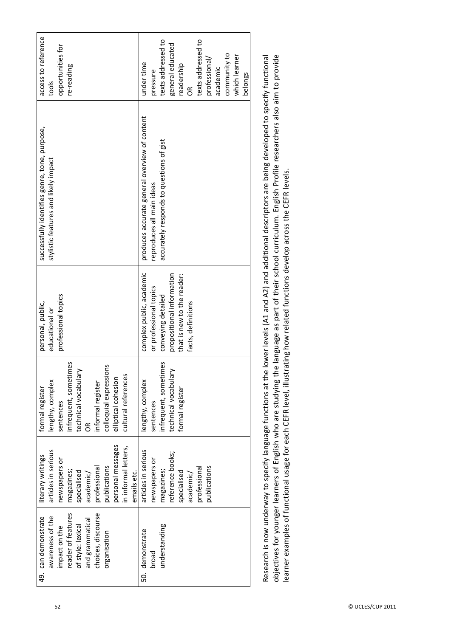| opportunities for<br>re-reading<br>tools                                                                                                                                                                     | texts addressed to<br>texts addressed to<br>general educated<br>community to<br>which learner<br>professional/<br>under time<br>readership<br>academic<br>pressure<br>belongs<br>$\tilde{6}$ |
|--------------------------------------------------------------------------------------------------------------------------------------------------------------------------------------------------------------|----------------------------------------------------------------------------------------------------------------------------------------------------------------------------------------------|
| successfully identifies genre, tone, purpose,<br>stylistic features and likely impact                                                                                                                        | produces accurate general overview of content<br>accurately responds to questions of gist<br>reproduces all main ideas                                                                       |
| professional topics<br>personal, public,<br>educational or                                                                                                                                                   | complex public, academic<br>propositional information<br>that is new to the reader:<br>or professional topics<br>conveying detailed<br>facts, definitions                                    |
| βĐ<br>2C<br>infrequent, sometim<br>technical vocabulary<br>colloquial expression<br>cultural references<br>elliptical cohesion<br>lengthy, complex<br>informal register<br>formal register<br>sentences<br>ő | δə<br>infrequent, sometim<br>technical vocabulary<br>lengthy, complex<br>formal register<br>sentences                                                                                        |
| personal messages<br>in informal letters,<br>articles in serious<br>literary writings<br>newspapers or<br>publications<br>professional<br>emails etc.<br>magazines;<br>specialised<br>academic/              | articles in serious<br>reference books;<br>newspapers or<br>publications<br>professional<br>magazines;<br>specialised<br>academic/                                                           |
| reader of features<br>choices, discourse<br>49. can demonstrate<br>awareness of the<br>and grammatical<br>of style: lexical<br>impact on the<br>organisation                                                 | understanding<br>50. demonstrate<br>broad                                                                                                                                                    |

objectives for younger learners of English who are studying the language as part of their school curriculum. English Profile researchers also aim to provide Research is now underway to specify language functions at the lower levels (A1 and A2) and additional descriptors are being developed to specify functional Research is now underway to specify language functions at the lower levels (A1 and A2) and additional descriptors are being developed to specify functional objectives for younger learners of English who are studying the language as part of their school curriculum. English Profile researchers also aim to provide learner examples of functional usage for each CEFR level, illustrating how related functions develop across the CEFR levels. learner examples of functional usage for each CEFR level, illustrating how related functions develop across the CEFR levels.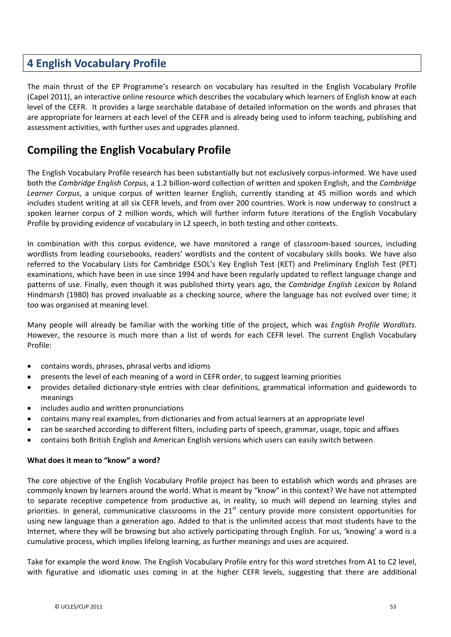# **4 English Vocabulary Profile**

The main thrust of the EP Programme's research on vocabulary has resulted in the English Vocabulary Profile (Capel 2011), an interactive online resource which describes the vocabulary which learners of English know at each level of the CEFR. It provides a large searchable database of detailed information on the words and phrases that are appropriate for learners at each level of the CEFR and is already being used to inform teaching, publishing and assessment activities, with further uses and upgrades planned.

# **Compiling the English Vocabulary Profile**

The English Vocabulary Profile research has been substantially but not exclusively corpus-informed. We have used both the *Cambridge English Corpus*, a 1.2 billion-word collection of written and spoken English, and the *Cambridge Learner Corpus*, a unique corpus of written learner English, currently standing at 45 million words and which includes student writing at all six CEFR levels, and from over 200 countries. Work is now underway to construct a spoken learner corpus of 2 million words, which will further inform future iterations of the English Vocabulary Profile by providing evidence of vocabulary in L2 speech, in both testing and other contexts.

In combination with this corpus evidence, we have monitored a range of classroom-based sources, including wordlists from leading coursebooks, readers' wordlists and the content of vocabulary skills books. We have also referred to the Vocabulary Lists for Cambridge ESOL's Key English Test (KET) and Preliminary English Test (PET) examinations, which have been in use since 1994 and have been regularly updated to reflect language change and patterns of use. Finally, even though it was published thirty years ago, the *Cambridge English Lexicon* by Roland Hindmarsh (1980) has proved invaluable as a checking source, where the language has not evolved over time; it too was organised at meaning level.

Many people will already be familiar with the working title of the project, which was *English Profile Wordlists*. However, the resource is much more than a list of words for each CEFR level. The current English Vocabulary Profile:

- contains words, phrases, phrasal verbs and idioms
- presents the level of each meaning of a word in CEFR order, to suggest learning priorities
- provides detailed dictionary-style entries with clear definitions, grammatical information and guidewords to meanings
- includes audio and written pronunciations
- contains many real examples, from dictionaries and from actual learners at an appropriate level
- can be searched according to different filters, including parts of speech, grammar, usage, topic and affixes
- contains both British English and American English versions which users can easily switch between.

#### **What does it mean to "know" a word?**

The core objective of the English Vocabulary Profile project has been to establish which words and phrases are commonly known by learners around the world. What is meant by "know" in this context? We have not attempted to separate receptive competence from productive as, in reality, so much will depend on learning styles and priorities. In general, communicative classrooms in the 21<sup>st</sup> century provide more consistent opportunities for using new language than a generation ago. Added to that is the unlimited access that most students have to the Internet, where they will be browsing but also actively participating through English. For us, 'knowing' a word is a cumulative process, which implies lifelong learning, as further meanings and uses are acquired.

Take for example the word *know.* The English Vocabulary Profile entry for this word stretches from A1 to C2 level, with figurative and idiomatic uses coming in at the higher CEFR levels, suggesting that there are additional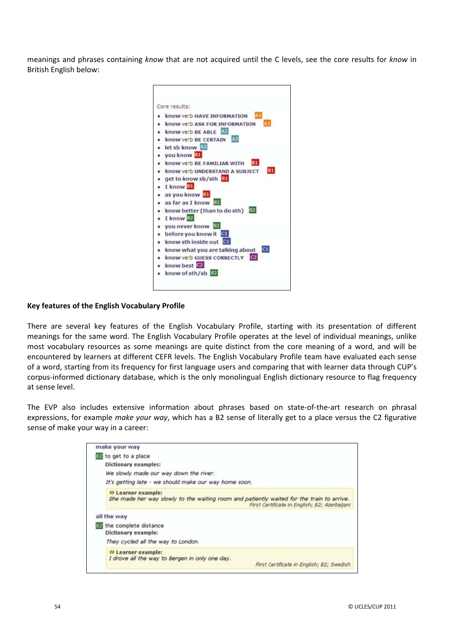meanings and phrases containing *know* that are not acquired until the C levels, see the core results for *know* in British English below:



#### **Key features of the English Vocabulary Profile**

There are several key features of the English Vocabulary Profile, starting with its presentation of different meanings for the same word. The English Vocabulary Profile operates at the level of individual meanings, unlike most vocabulary resources as some meanings are quite distinct from the core meaning of a word, and will be encountered by learners at different CEFR levels. The English Vocabulary Profile team have evaluated each sense of a word, starting from its frequency for first language users and comparing that with learner data through CUP's corpus-informed dictionary database, which is the only monolingual English dictionary resource to flag frequency at sense level.

The EVP also includes extensive information about phrases based on state-of-the-art research on phrasal expressions, for example *make your way*, which has a B2 sense of literally get to a place versus the C2 figurative sense of make your way in a career:

| make your way                                                                                                   |                                               |
|-----------------------------------------------------------------------------------------------------------------|-----------------------------------------------|
| B2 to get to a place                                                                                            |                                               |
| <b>Dictionary examples:</b>                                                                                     |                                               |
| We slowly made our way down the river.                                                                          |                                               |
| It's getting late - we should make our way home soon.                                                           |                                               |
| O Learner example:<br>She made her way slowly to the waiting room and patiently waited for the train to arrive. | First Certificate in English; B2; Azerbaijani |
| all the way                                                                                                     |                                               |
| B2 the complete distance<br>Dictionary example:                                                                 |                                               |
| They cycled all the way to London.                                                                              |                                               |
| O Learner example:<br>I drove all the way to Bergen in only one day.                                            | First Certificate in English; B2; Swedish     |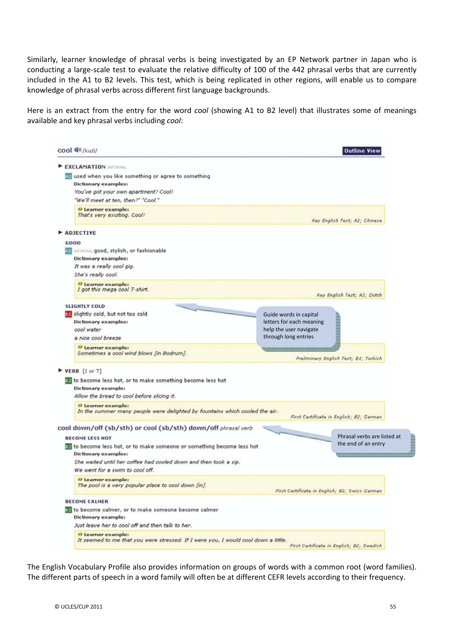Similarly, learner knowledge of phrasal verbs is being investigated by an EP Network partner in Japan who is conducting a large-scale test to evaluate the relative difficulty of 100 of the 442 phrasal verbs that are currently included in the A1 to B2 levels. This test, which is being replicated in other regions, will enable us to compare knowledge of phrasal verbs across different first language backgrounds.

Here is an extract from the entry for the word *cool* (showing A1 to B2 level) that illustrates some of meanings available and key phrasal verbs including *cool*:

|                                                                                                          |                                                | <b>Outline View</b>                                           |
|----------------------------------------------------------------------------------------------------------|------------------------------------------------|---------------------------------------------------------------|
| EXCLAMATION INFORMAL                                                                                     |                                                |                                                               |
| used when you like something or agree to something                                                       |                                                |                                                               |
| <b>Dictionary examples:</b>                                                                              |                                                |                                                               |
| You've got your own apartment? Cool!                                                                     |                                                |                                                               |
| "We'll meet at ten, then?" "Cool."                                                                       |                                                |                                                               |
| <sup>O</sup> Learner example:<br>That's very exciting. Cool!                                             |                                                | Key English Test; A2; Chinese                                 |
| ADJECTIVE                                                                                                |                                                |                                                               |
| GOOD                                                                                                     |                                                |                                                               |
|                                                                                                          |                                                |                                                               |
| <b>AR INFORMAL good, stylish, or fashionable</b><br>Dictionary examples:                                 |                                                |                                                               |
| It was a really cool gig.                                                                                |                                                |                                                               |
|                                                                                                          |                                                |                                                               |
| She's really cool.                                                                                       |                                                |                                                               |
| <sup>O</sup> Learner example:<br>I got this mega cool T-shirt.                                           |                                                | Key English Test; A2; Dutch                                   |
| <b>SLIGHTLY COLD</b>                                                                                     |                                                |                                                               |
| as slightly cold, but not too cold                                                                       | Guide words in capital                         |                                                               |
| <b>Dictionary examples:</b>                                                                              | letters for each meaning                       |                                                               |
| cool water                                                                                               | help the user navigate                         |                                                               |
| a nice cool breeze                                                                                       | through long entries                           |                                                               |
|                                                                                                          |                                                |                                                               |
| <sup>O</sup> Learner example:<br>Sometimes a cool wind blows [in Bodrum].                                |                                                |                                                               |
|                                                                                                          |                                                | Preliminary English Test; B1; Turkish                         |
| $\triangleright$ VERB [I or T]                                                                           |                                                |                                                               |
|                                                                                                          |                                                |                                                               |
| 32 to become less hot, or to make something become less hot                                              |                                                |                                                               |
| Dictionary example:                                                                                      |                                                |                                                               |
| Allow the bread to cool before slicing it.                                                               |                                                |                                                               |
| O Learner example:                                                                                       |                                                |                                                               |
| In the summer many people were delighted by fountains which cooled the air.                              |                                                |                                                               |
|                                                                                                          |                                                | First Certificate in English; B2; German                      |
| cool down/off (sb/sth) or cool (sb/sth) down/off phrasal verb                                            |                                                |                                                               |
| <b>BECOME LESS HOT</b>                                                                                   |                                                | Phrasal verbs are listed at                                   |
| to become less hot, or to make someone or something become less hot                                      |                                                | the end of an entry                                           |
| Dictionary examples:                                                                                     |                                                | 0,000,000,000,000,000,000,000,000,000,000,000,000,000,000,000 |
| She waited until her coffee had cooled down and then took a sip.                                         |                                                |                                                               |
| We went for a swim to cool off.                                                                          |                                                |                                                               |
| <sup>O</sup> Learner example:                                                                            |                                                |                                                               |
| The pool is a very popular place to cool down [in].                                                      |                                                |                                                               |
|                                                                                                          | First Certificate in English; B2; Swiss German |                                                               |
| <b>BECOME CALMER</b>                                                                                     |                                                |                                                               |
| 32 to become calmer, or to make someone become calmer                                                    |                                                |                                                               |
| Dictionary example:                                                                                      |                                                |                                                               |
| Just leave her to cool off and then talk to her.                                                         |                                                |                                                               |
| O Learner example:<br>It seemed to me that you were stressed. If I were you, I would cool down a little. |                                                |                                                               |

The English Vocabulary Profile also provides information on groups of words with a common root (word families). The different parts of speech in a word family will often be at different CEFR levels according to their frequency.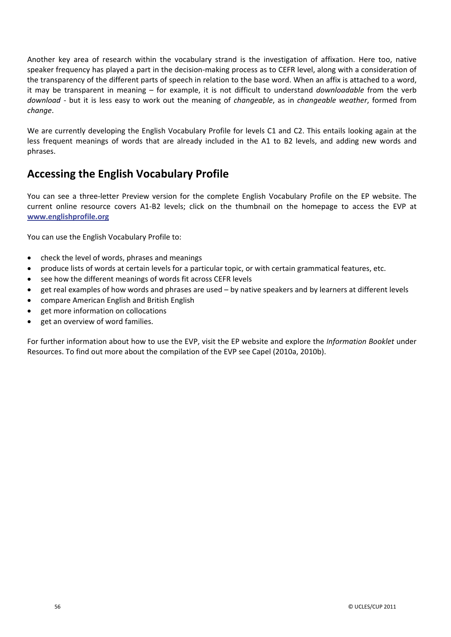Another key area of research within the vocabulary strand is the investigation of affixation. Here too, native speaker frequency has played a part in the decision-making process as to CEFR level, along with a consideration of the transparency of the different parts of speech in relation to the base word. When an affix is attached to a word, it may be transparent in meaning – for example, it is not difficult to understand *downloadable* from the verb *download* - but it is less easy to work out the meaning of *changeable*, as in *changeable weather*, formed from *change*.

We are currently developing the English Vocabulary Profile for levels C1 and C2. This entails looking again at the less frequent meanings of words that are already included in the A1 to B2 levels, and adding new words and phrases.

# **Accessing the English Vocabulary Profile**

You can see a three-letter Preview version for the complete English Vocabulary Profile on the EP website. The current online resource covers A1-B2 levels; click on the thumbnail on the homepage to access the EVP at **www.englishprofile.org**

You can use the English Vocabulary Profile to:

- check the level of words, phrases and meanings
- produce lists of words at certain levels for a particular topic, or with certain grammatical features, etc.
- see how the different meanings of words fit across CEFR levels
- x get real examples of how words and phrases are used by native speakers and by learners at different levels
- compare American English and British English
- get more information on collocations
- x get an overview of word families.

For further information about how to use the EVP, visit the EP website and explore the *Information Booklet* under Resources. To find out more about the compilation of the EVP see Capel (2010a, 2010b).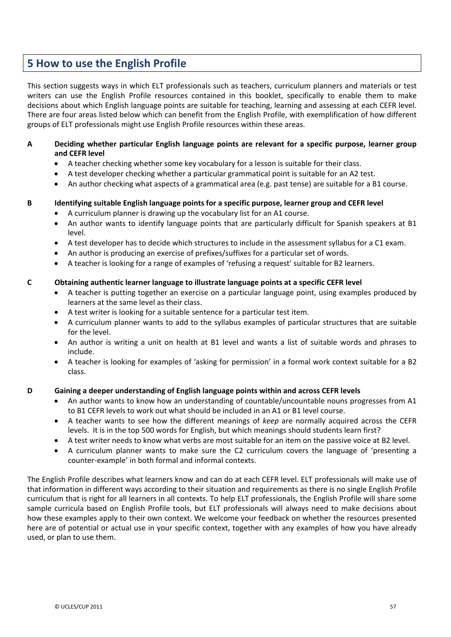# **5 How to use the English Profile**

This section suggests ways in which ELT professionals such as teachers, curriculum planners and materials or test writers can use the English Profile resources contained in this booklet, specifically to enable them to make decisions about which English language points are suitable for teaching, learning and assessing at each CEFR level. There are four areas listed below which can benefit from the English Profile, with exemplification of how different groups of ELT professionals might use English Profile resources within these areas.

#### **A Deciding whether particular English language points are relevant for a specific purpose, learner group and CEFR level**

- x A teacher checking whether some key vocabulary for a lesson is suitable for their class.
- A test developer checking whether a particular grammatical point is suitable for an A2 test.
- An author checking what aspects of a grammatical area (e.g. past tense) are suitable for a B1 course.

#### **B Identifying suitable English language points for a specific purpose, learner group and CEFR level**

- A curriculum planner is drawing up the vocabulary list for an A1 course.
- An author wants to identify language points that are particularly difficult for Spanish speakers at B1 level.
- x A test developer has to decide which structures to include in the assessment syllabus for a C1 exam.
- An author is producing an exercise of prefixes/suffixes for a particular set of words.
- A teacher is looking for a range of examples of 'refusing a request' suitable for B2 learners.

#### **C Obtaining authentic learner language to illustrate language points at a specific CEFR level**

- A teacher is putting together an exercise on a particular language point, using examples produced by learners at the same level as their class.
- x A test writer is looking for a suitable sentence for a particular test item.
- A curriculum planner wants to add to the syllabus examples of particular structures that are suitable for the level.
- An author is writing a unit on health at B1 level and wants a list of suitable words and phrases to include.
- A teacher is looking for examples of 'asking for permission' in a formal work context suitable for a B2 class.

#### **D Gaining a deeper understanding of English language points within and across CEFR levels**

- An author wants to know how an understanding of countable/uncountable nouns progresses from A1 to B1 CEFR levels to work out what should be included in an A1 or B1 level course.
- x A teacher wants to see how the different meanings of *keep* are normally acquired across the CEFR levels. It is in the top 500 words for English, but which meanings should students learn first?
- A test writer needs to know what verbs are most suitable for an item on the passive voice at B2 level.
- x A curriculum planner wants to make sure the C2 curriculum covers the language of 'presenting a counter-example' in both formal and informal contexts.

The English Profile describes what learners know and can do at each CEFR level. ELT professionals will make use of that information in different ways according to their situation and requirements as there is no single English Profile curriculum that is right for all learners in all contexts. To help ELT professionals, the English Profile will share some sample curricula based on English Profile tools, but ELT professionals will always need to make decisions about how these examples apply to their own context. We welcome your feedback on whether the resources presented here are of potential or actual use in your specific context, together with any examples of how you have already used, or plan to use them.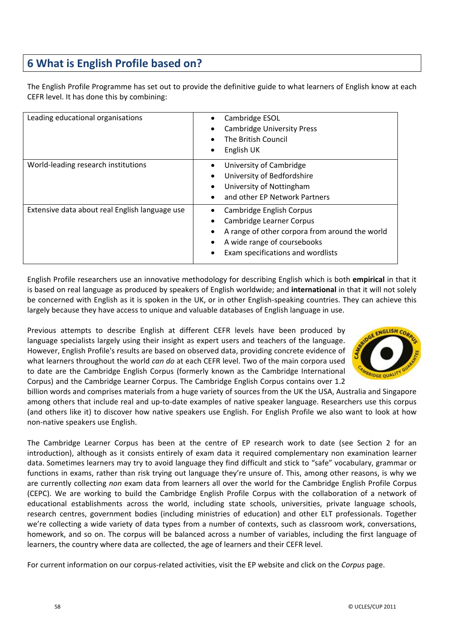# **6 What is English Profile based on?**

The English Profile Programme has set out to provide the definitive guide to what learners of English know at each CEFR level. It has done this by combining:

| Leading educational organisations              | Cambridge ESOL<br><b>Cambridge University Press</b><br>The British Council<br>English UK                                                                                   |
|------------------------------------------------|----------------------------------------------------------------------------------------------------------------------------------------------------------------------------|
| World-leading research institutions            | University of Cambridge<br>University of Bedfordshire<br>University of Nottingham<br>and other EP Network Partners                                                         |
| Extensive data about real English language use | Cambridge English Corpus<br>Cambridge Learner Corpus<br>A range of other corpora from around the world<br>A wide range of coursebooks<br>Exam specifications and wordlists |

English Profile researchers use an innovative methodology for describing English which is both **empirical** in that it is based on real language as produced by speakers of English worldwide; and **international** in that it will not solely be concerned with English as it is spoken in the UK, or in other English-speaking countries. They can achieve this largely because they have access to unique and valuable databases of English language in use.

Previous attempts to describe English at different CEFR levels have been produced by language specialists largely using their insight as expert users and teachers of the language. However, English Profile's results are based on observed data, providing concrete evidence of what learners throughout the world *can do* at each CEFR level. Two of the main corpora used to date are the Cambridge English Corpus (formerly known as the Cambridge International Corpus) and the Cambridge Learner Corpus. The Cambridge English Corpus contains over 1.2



billion words and comprises materials from a huge variety of sources from the UK the USA, Australia and Singapore among others that include real and up-to-date examples of native speaker language. Researchers use this corpus (and others like it) to discover how native speakers use English. For English Profile we also want to look at how non-native speakers use English.

The Cambridge Learner Corpus has been at the centre of EP research work to date (see Section 2 for an introduction), although as it consists entirely of exam data it required complementary non examination learner data. Sometimes learners may try to avoid language they find difficult and stick to "safe" vocabulary, grammar or functions in exams, rather than risk trying out language they're unsure of. This, among other reasons, is why we are currently collecting *non* exam data from learners all over the world for the Cambridge English Profile Corpus (CEPC). We are working to build the Cambridge English Profile Corpus with the collaboration of a network of educational establishments across the world, including state schools, universities, private language schools, research centres, government bodies (including ministries of education) and other ELT professionals. Together we're collecting a wide variety of data types from a number of contexts, such as classroom work, conversations, homework, and so on. The corpus will be balanced across a number of variables, including the first language of learners, the country where data are collected, the age of learners and their CEFR level.

For current information on our corpus-related activities, visit the EP website and click on the *Corpus* page.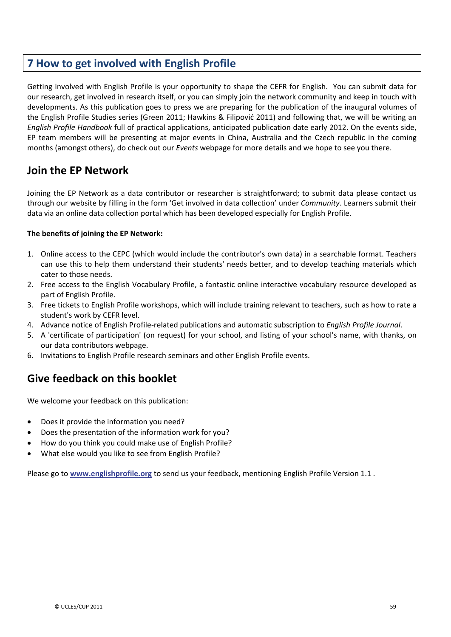# **7 How to get involved with English Profile**

Getting involved with English Profile is your opportunity to shape the CEFR for English. You can submit data for our research, get involved in research itself, or you can simply join the network community and keep in touch with developments. As this publication goes to press we are preparing for the publication of the inaugural volumes of the English Profile Studies series (Green 2011; Hawkins & Filipović 2011) and following that, we will be writing an *English Profile Handbook* full of practical applications, anticipated publication date early 2012. On the events side, EP team members will be presenting at major events in China, Australia and the Czech republic in the coming months (amongst others), do check out our *Events* webpage for more details and we hope to see you there.

# **Join the EP Network**

Joining the EP Network as a data contributor or researcher is straightforward; to submit data please contact us through our website by filling in the form 'Get involved in data collection' under *Community*. Learners submit their data via an online data collection portal which has been developed especially for English Profile.

#### **The benefits of joining the EP Network:**

- 1. Online access to the CEPC (which would include the contributor's own data) in a searchable format. Teachers can use this to help them understand their students' needs better, and to develop teaching materials which cater to those needs.
- 2. Free access to the English Vocabulary Profile, a fantastic online interactive vocabulary resource developed as part of English Profile.
- 3. Free tickets to English Profile workshops, which will include training relevant to teachers, such as how to rate a student's work by CEFR level.
- 4. Advance notice of English ProfileͲrelated publications and automatic subscription to *English Profile Journal*.
- 5. A 'certificate of participation' (on request) for your school, and listing of your school's name, with thanks, on our data contributors webpage.
- 6. Invitations to English Profile research seminars and other English Profile events.

# **Give feedback on this booklet**

We welcome your feedback on this publication:

- Does it provide the information you need?
- Does the presentation of the information work for you?
- How do you think you could make use of English Profile?
- What else would you like to see from English Profile?

Please go to **www.englishprofile.org** to send us your feedback, mentioning English Profile Version 1.1 .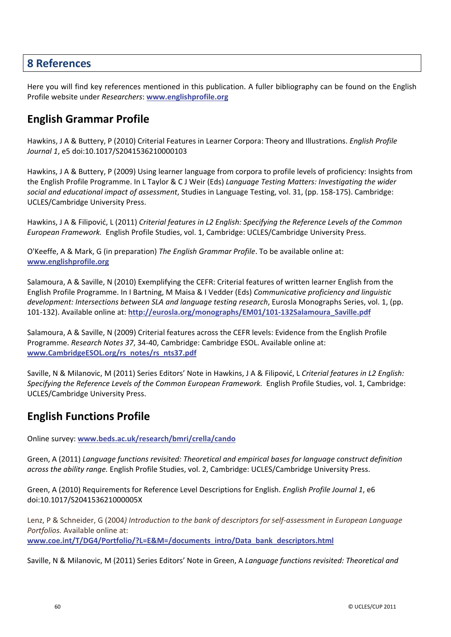#### **8 References**

Here you will find key references mentioned in this publication. A fuller bibliography can be found on the English Profile website under *Researchers*: **www.englishprofile.org**

# **English Grammar Profile**

Hawkins, J A & Buttery, P (2010) Criterial Features in Learner Corpora: Theory and Illustrations. *English Profile Journal 1*, e5 doi:10.1017/S2041536210000103

Hawkins, J A & Buttery, P (2009) Using learner language from corpora to profile levels of proficiency: Insights from the English Profile Programme. In L Taylor & C J Weir (Eds) *Language Testing Matters: Investigating the wider social and educational impact of assessment*, Studies in Language Testing, vol. 31, (pp. 158Ͳ175). Cambridge: UCLES/Cambridge University Press.

Hawkins, J A & Filipoviđ, L (2011) *Criterial features in L2 English: Specifying the Reference Levels of the Common European Framework.* English Profile Studies, vol. 1, Cambridge: UCLES/Cambridge University Press.

O'Keeffe, A & Mark, G (in preparation) *The English Grammar Profile*. To be available online at: **www.englishprofile.org**

Salamoura, A & Saville, N (2010) Exemplifying the CEFR: Criterial features of written learner English from the English Profile Programme. In I Bartning, M Maisa & I Vedder (Eds) *Communicative proficiency and linguistic development: Intersections between SLA and language testing research*, Eurosla Monographs Series, vol. 1, (pp. 101-132). Available online at: http://eurosla.org/monographs/EM01/101-132Salamoura\_Saville.pdf

Salamoura, A & Saville, N (2009) Criterial features across the CEFR levels: Evidence from the English Profile Programme. *Research Notes 37, 34-40, Cambridge: Cambridge ESOL. Available online at:* **www.CambridgeESOL.org/rs\_notes/rs\_nts37.pdf**

Saville, N & Milanovic, M (2011) Series Editors' Note in Hawkins, J A & Filipović, L Criterial features in L2 English: *Specifying the Reference Levels of the Common European Framework.* English Profile Studies, vol. 1, Cambridge: UCLES/Cambridge University Press.

# **English Functions Profile**

Online survey: **www.beds.ac.uk/research/bmri/crella/cando**

Green, A (2011) *Language functions revisited: Theoretical and empirical bases for language construct definition across the ability range.* English Profile Studies, vol. 2, Cambridge: UCLES/Cambridge University Press.

Green, A (2010) Requirements for Reference Level Descriptions for English. *English Profile Journal 1*, e6 doi:10.1017/S204153621000005X

Lenz, P & Schneider, G (2004*) Introduction to the bank of descriptors for selfͲassessment in European Language Portfolios.* Available online at: **www.coe.int/T/DG4/Portfolio/?L=E&M=/documents\_intro/Data\_bank\_descriptors.html**

Saville, N & Milanovic, M (2011) Series Editors' Note in Green, A *Language functions revisited: Theoretical and*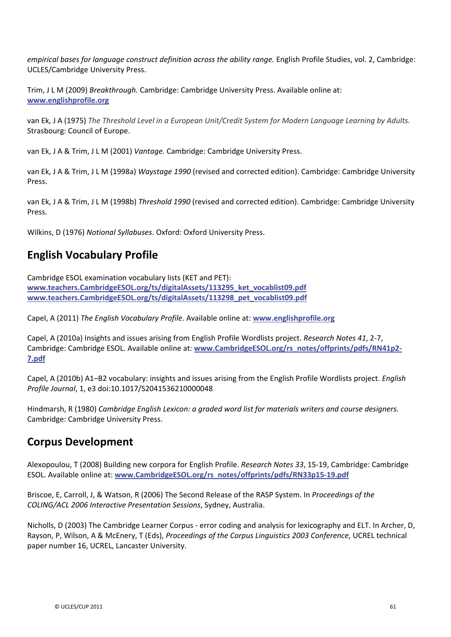*empirical bases for language construct definition across the ability range.* English Profile Studies, vol. 2, Cambridge: UCLES/Cambridge University Press.

Trim, J L M (2009) *Breakthrough.* Cambridge: Cambridge University Press. Available online at: **www.englishprofile.org**

van Ek, J A (1975) *The Threshold Level in a European Unit/Credit System for Modern Language Learning by Adults.* Strasbourg: Council of Europe.

van Ek, J A & Trim, J L M (2001) *Vantage.* Cambridge: Cambridge University Press.

van Ek, J A & Trim, J L M (1998a) *Waystage 1990* (revised and corrected edition). Cambridge: Cambridge University Press.

van Ek, J A & Trim, J L M (1998b) *Threshold 1990* (revised and corrected edition). Cambridge: Cambridge University Press.

Wilkins, D (1976) *Notional Syllabuses*. Oxford: Oxford University Press.

# **English Vocabulary Profile**

Cambridge ESOL examination vocabulary lists (KET and PET): **www.teachers.CambridgeESOL.org/ts/digitalAssets/113295\_ket\_vocablist09.pdf www.teachers.CambridgeESOL.org/ts/digitalAssets/113298\_pet\_vocablist09.pdf**

Capel, A (2011) *The English Vocabulary Profile*. Available online at: **www.englishprofile.org**

Capel, A (2010a) Insights and issues arising from English Profile Wordlists project. *Research Notes* 41, 2-7, Cambridge: Cambridge ESOL. Available online at: www.CambridgeESOL.org/rs\_notes/offprints/pdfs/RN41p2-**7.pdf**

Capel, A (2010b) A1–B2 vocabulary: insights and issues arising from the English Profile Wordlists project. *English Profile Journal*, 1, e3 doi:10.1017/S2041536210000048

Hindmarsh, R (1980) *Cambridge English Lexicon: a graded word list for materials writers and course designers.* Cambridge: Cambridge University Press.

# **Corpus Development**

Alexopoulou, T (2008) Building new corpora for English Profile. *Research Notes 33*, 15Ͳ19, Cambridge: Cambridge ESOL. Available online at: **www.CambridgeESOL.org/rs\_notes/offprints/pdfs/RN33p15Ͳ19.pdf**

Briscoe, E, Carroll, J, & Watson, R (2006) The Second Release of the RASP System. In *Proceedings of the COLING/ACL 2006 Interactive Presentation Sessions*, Sydney, Australia.

Nicholls, D (2003) The Cambridge Learner Corpus - error coding and analysis for lexicography and ELT. In Archer, D, Rayson, P, Wilson, A & McEnery, T (Eds), *Proceedings of the Corpus Linguistics 2003 Conference*, UCREL technical paper number 16, UCREL, Lancaster University.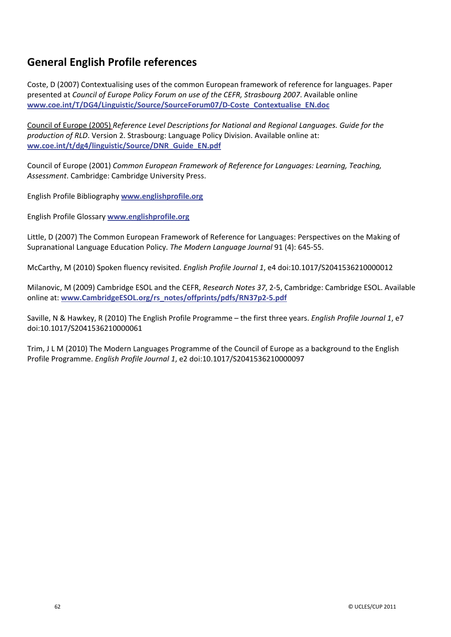# **General English Profile references**

Coste, D (2007) Contextualising uses of the common European framework of reference for languages. Paper presented at *Council of Europe Policy Forum on use of the CEFR, Strasbourg 2007*. Available online **www.coe.int/T/DG4/Linguistic/Source/SourceForum07/DͲCoste\_Contextualise\_EN.doc**

Council of Europe (2005) *Reference Level Descriptions for National and Regional Languages. Guide for the production of RLD*. Version 2. Strasbourg: Language Policy Division. Available online at: **ww.coe.int/t/dg4/linguistic/Source/DNR\_Guide\_EN.pdf**

Council of Europe (2001) *Common European Framework of Reference for Languages: Learning, Teaching, Assessment*. Cambridge: Cambridge University Press.

English Profile Bibliography **www.englishprofile.org**

English Profile Glossary **www.englishprofile.org**

Little, D (2007) The Common European Framework of Reference for Languages: Perspectives on the Making of Supranational Language Education Policy. *The Modern Language Journal* 91 (4): 645-55.

McCarthy, M (2010) Spoken fluency revisited. *English Profile Journal 1*, e4 doi:10.1017/S2041536210000012

Milanovic, M (2009) Cambridge ESOL and the CEFR, *Research Notes* 37, 2-5, Cambridge: Cambridge ESOL. Available online at: **www.CambridgeESOL.org/rs\_notes/offprints/pdfs/RN37p2Ͳ5.pdf**

Saville, N & Hawkey, R (2010) The English Profile Programme – the first three years. *English Profile Journal 1*, e7 doi:10.1017/S2041536210000061

Trim, J L M (2010) The Modern Languages Programme of the Council of Europe as a background to the English Profile Programme. *English Profile Journal 1*, e2 doi:10.1017/S2041536210000097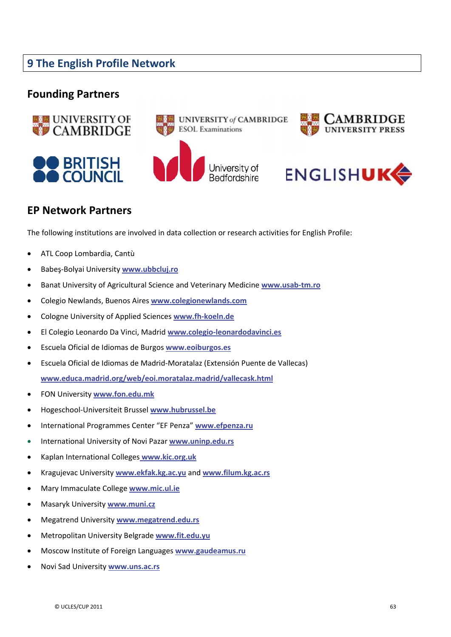# **9 The English Profile Network**

## **Founding Partners**











# **EP Network Partners**

The following institutions are involved in data collection or research activities for English Profile:

- x ATL Coop Lombardia, Cantù
- Babeş-Bolyai University www.ubbcluj.ro
- x Banat University of Agricultural Science and Veterinary Medicine **www.usabͲtm.ro**
- x Colegio Newlands, Buenos Aires **www.colegionewlands.com**
- **Cologne University of Applied Sciences www.fh-koeln.de**
- x El Colegio Leonardo Da Vinci, Madrid **www.colegioͲleonardodavinci.es**
- x Escuela Oficial de Idiomas de Burgos **www.eoiburgos.es**
- x Escuela Oficial de Idiomas de MadridͲMoratalaz (Extensión Puente de Vallecas) **www.educa.madrid.org/web/eoi.moratalaz.madrid/vallecask.html**
- x FON University **www.fon.edu.mk**
- x HogeschoolͲUniversiteit Brussel **www.hubrussel.be**
- x International Programmes Center "EF Penza" **www.efpenza.ru**
- x International University of Novi Pazar **www.uninp.edu.rs**
- x Kaplan International Colleges **www.kic.org.uk**
- x Kragujevac University **www.ekfak.kg.ac.yu** and **www.filum.kg.ac.rs**
- x Mary Immaculate College **www.mic.ul.ie**
- x Masaryk University **www.muni.cz**
- x Megatrend University **www.megatrend.edu.rs**
- x Metropolitan University Belgrade **www.fit.edu.yu**
- x Moscow Institute of Foreign Languages **www.gaudeamus.ru**
- x Novi Sad University **www.uns.ac.rs**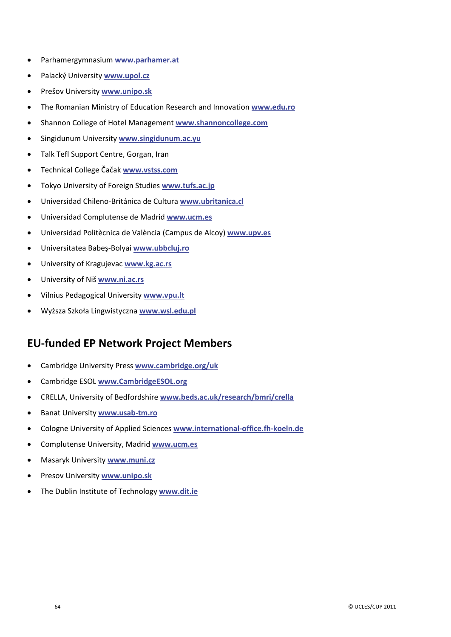- x Parhamergymnasium **www.parhamer.at**
- x Palacký University **www.upol.cz**
- x Prešov University **www.unipo.sk**
- x The Romanian Ministry of Education Research and Innovation **www.edu.ro**
- x Shannon College of Hotel Management **www.shannoncollege.com**
- x Singidunum University **www.singidunum.ac.yu**
- Talk Tefl Support Centre, Gorgan, Iran
- Technical College Čačak www.vstss.com
- Tokyo University of Foreign Studies **www.tufs.ac.jp**
- Universidad Chileno-Británica de Cultura **www.ubritanica.cl**
- x Universidad Complutense de Madrid **www.ucm.es**
- x Universidad Politècnica de València (Campus de Alcoy) **www.upv.es**
- x Universitatea BabeƔͲBolyai **www.ubbcluj.ro**
- x University of Kragujevac **www.kg.ac.rs**
- x University of Niš **www.ni.ac.rs**
- x Vilnius Pedagogical University **www.vpu.lt**
- x WyǏsza Szkoųa Lingwistyczna **www.wsl.edu.pl**

# **EUͲfunded EP Network Project Members**

- x Cambridge University Press **www.cambridge.org/uk**
- x Cambridge ESOL **www.CambridgeESOL.org**
- x CRELLA, University of Bedfordshire **www.beds.ac.uk/research/bmri/crella**
- $\bullet$  Banat University **www.usab-tm.ro**
- **Cologne University of Applied Sciences www.international-office.fh-koeln.de**
- x Complutense University, Madrid **www.ucm.es**
- x Masaryk University **www.muni.cz**
- x Presov University **www.unipo.sk**
- The Dublin Institute of Technology www.dit.ie